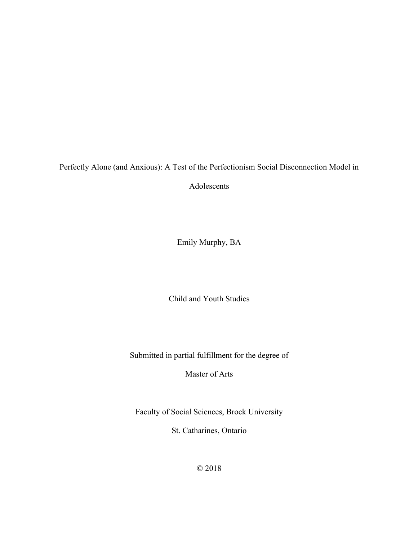Perfectly Alone (and Anxious): A Test of the Perfectionism Social Disconnection Model in

Adolescents

Emily Murphy, BA

Child and Youth Studies

Submitted in partial fulfillment for the degree of

Master of Arts

Faculty of Social Sciences, Brock University

St. Catharines, Ontario

© 2018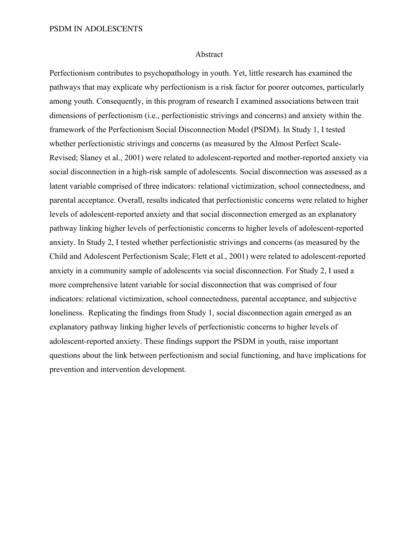#### Abstract

Perfectionism contributes to psychopathology in youth. Yet, little research has examined the pathways that may explicate why perfectionism is a risk factor for poorer outcomes, particularly among youth. Consequently, in this program of research I examined associations between trait dimensions of perfectionism (i.e., perfectionistic strivings and concerns) and anxiety within the framework of the Perfectionism Social Disconnection Model (PSDM). In Study 1, I tested whether perfectionistic strivings and concerns (as measured by the Almost Perfect Scale-Revised; Slaney et al., 2001) were related to adolescent-reported and mother-reported anxiety via social disconnection in a high-risk sample of adolescents. Social disconnection was assessed as a latent variable comprised of three indicators: relational victimization, school connectedness, and parental acceptance. Overall, results indicated that perfectionistic concerns were related to higher levels of adolescent-reported anxiety and that social disconnection emerged as an explanatory pathway linking higher levels of perfectionistic concerns to higher levels of adolescent-reported anxiety. In Study 2, I tested whether perfectionistic strivings and concerns (as measured by the Child and Adolescent Perfectionism Scale; Flett et al., 2001) were related to adolescent-reported anxiety in a community sample of adolescents via social disconnection. For Study 2, I used a more comprehensive latent variable for social disconnection that was comprised of four indicators: relational victimization, school connectedness, parental acceptance, and subjective loneliness. Replicating the findings from Study 1, social disconnection again emerged as an explanatory pathway linking higher levels of perfectionistic concerns to higher levels of adolescent-reported anxiety. These findings support the PSDM in youth, raise important questions about the link between perfectionism and social functioning, and have implications for prevention and intervention development.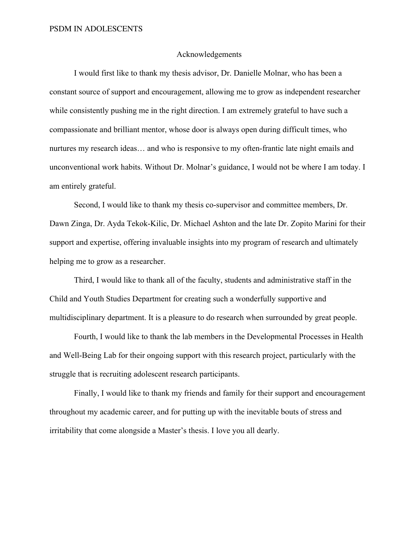#### Acknowledgements

I would first like to thank my thesis advisor, Dr. Danielle Molnar, who has been a constant source of support and encouragement, allowing me to grow as independent researcher while consistently pushing me in the right direction. I am extremely grateful to have such a compassionate and brilliant mentor, whose door is always open during difficult times, who nurtures my research ideas… and who is responsive to my often-frantic late night emails and unconventional work habits. Without Dr. Molnar's guidance, I would not be where I am today. I am entirely grateful.

Second, I would like to thank my thesis co-supervisor and committee members, Dr. Dawn Zinga, Dr. Ayda Tekok-Kilic, Dr. Michael Ashton and the late Dr. Zopito Marini for their support and expertise, offering invaluable insights into my program of research and ultimately helping me to grow as a researcher.

Third, I would like to thank all of the faculty, students and administrative staff in the Child and Youth Studies Department for creating such a wonderfully supportive and multidisciplinary department. It is a pleasure to do research when surrounded by great people.

Fourth, I would like to thank the lab members in the Developmental Processes in Health and Well-Being Lab for their ongoing support with this research project, particularly with the struggle that is recruiting adolescent research participants.

Finally, I would like to thank my friends and family for their support and encouragement throughout my academic career, and for putting up with the inevitable bouts of stress and irritability that come alongside a Master's thesis. I love you all dearly.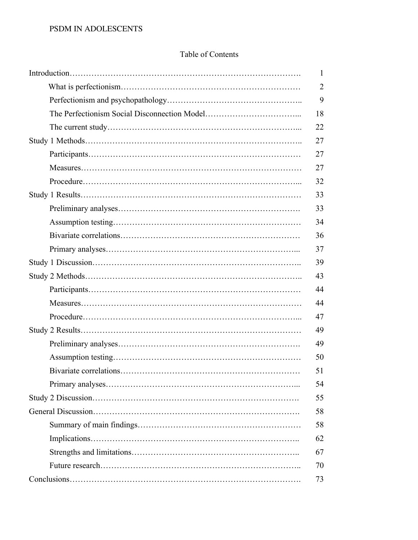## Table of Contents

| 1              |
|----------------|
| $\overline{2}$ |
| 9              |
| 18             |
| 22             |
| 27             |
| 27             |
| 27             |
| 32             |
| 33             |
| 33             |
| 34             |
| 36             |
| 37             |
| 39             |
| 43             |
| 44             |
| 44             |
| 47             |
| 49             |
| 49             |
| 50             |
| 51             |
| 54             |
| 55             |
| 58             |
| 58             |
| 62             |
| 67             |
| 70             |
| 73             |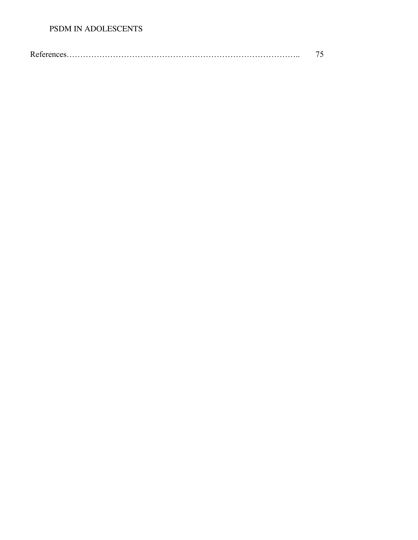## PSDM IN ADOLESCENTS

|--|--|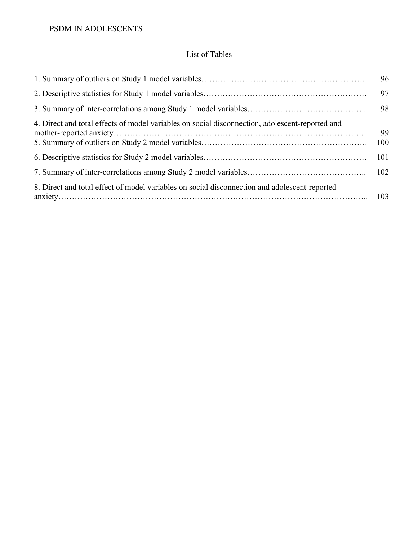# List of Tables

|                                                                                                 | 96        |
|-------------------------------------------------------------------------------------------------|-----------|
|                                                                                                 | 97        |
|                                                                                                 | 98        |
| 4. Direct and total effects of model variables on social disconnection, adolescent-reported and | 99<br>100 |
|                                                                                                 | 101       |
|                                                                                                 | 102       |
| 8. Direct and total effect of model variables on social disconnection and adolescent-reported   |           |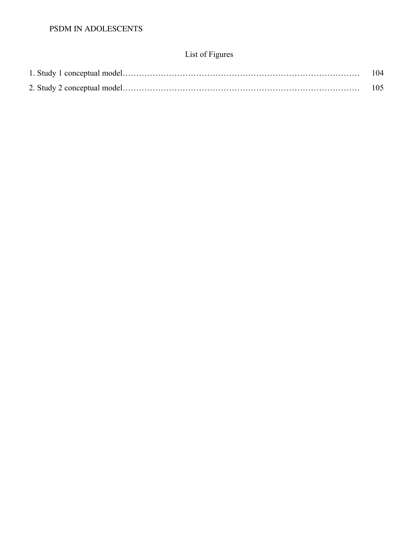# List of Figures

| 104 |
|-----|
|     |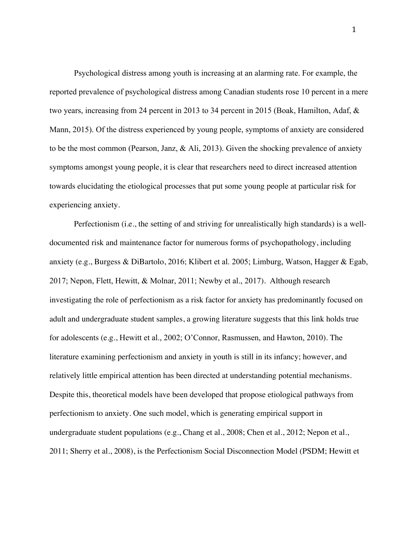Psychological distress among youth is increasing at an alarming rate. For example, the reported prevalence of psychological distress among Canadian students rose 10 percent in a mere two years, increasing from 24 percent in 2013 to 34 percent in 2015 (Boak, Hamilton, Adaf, & Mann, 2015). Of the distress experienced by young people, symptoms of anxiety are considered to be the most common (Pearson, Janz, & Ali, 2013). Given the shocking prevalence of anxiety symptoms amongst young people, it is clear that researchers need to direct increased attention towards elucidating the etiological processes that put some young people at particular risk for experiencing anxiety.

Perfectionism (i.e., the setting of and striving for unrealistically high standards) is a welldocumented risk and maintenance factor for numerous forms of psychopathology, including anxiety (e.g., Burgess & DiBartolo, 2016; Klibert et al. 2005; Limburg, Watson, Hagger & Egab, 2017; Nepon, Flett, Hewitt, & Molnar, 2011; Newby et al., 2017). Although research investigating the role of perfectionism as a risk factor for anxiety has predominantly focused on adult and undergraduate student samples, a growing literature suggests that this link holds true for adolescents (e.g., Hewitt et al., 2002; O'Connor, Rasmussen, and Hawton, 2010). The literature examining perfectionism and anxiety in youth is still in its infancy; however, and relatively little empirical attention has been directed at understanding potential mechanisms. Despite this, theoretical models have been developed that propose etiological pathways from perfectionism to anxiety. One such model, which is generating empirical support in undergraduate student populations (e.g., Chang et al., 2008; Chen et al., 2012; Nepon et al., 2011; Sherry et al., 2008), is the Perfectionism Social Disconnection Model (PSDM; Hewitt et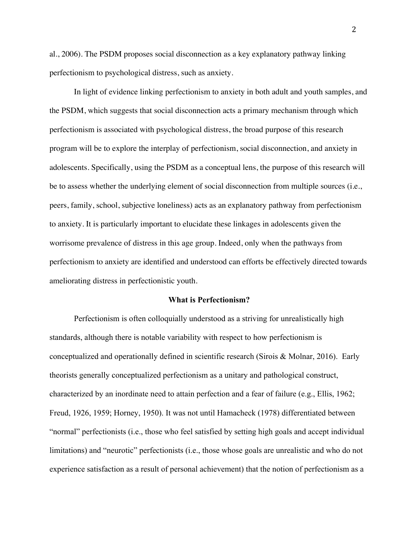al., 2006). The PSDM proposes social disconnection as a key explanatory pathway linking perfectionism to psychological distress, such as anxiety.

In light of evidence linking perfectionism to anxiety in both adult and youth samples, and the PSDM, which suggests that social disconnection acts a primary mechanism through which perfectionism is associated with psychological distress, the broad purpose of this research program will be to explore the interplay of perfectionism, social disconnection, and anxiety in adolescents. Specifically, using the PSDM as a conceptual lens, the purpose of this research will be to assess whether the underlying element of social disconnection from multiple sources (i.e., peers, family, school, subjective loneliness) acts as an explanatory pathway from perfectionism to anxiety. It is particularly important to elucidate these linkages in adolescents given the worrisome prevalence of distress in this age group. Indeed, only when the pathways from perfectionism to anxiety are identified and understood can efforts be effectively directed towards ameliorating distress in perfectionistic youth.

## **What is Perfectionism?**

Perfectionism is often colloquially understood as a striving for unrealistically high standards, although there is notable variability with respect to how perfectionism is conceptualized and operationally defined in scientific research (Sirois & Molnar, 2016). Early theorists generally conceptualized perfectionism as a unitary and pathological construct, characterized by an inordinate need to attain perfection and a fear of failure (e.g., Ellis, 1962; Freud, 1926, 1959; Horney, 1950). It was not until Hamacheck (1978) differentiated between "normal" perfectionists (i.e., those who feel satisfied by setting high goals and accept individual limitations) and "neurotic" perfectionists (i.e., those whose goals are unrealistic and who do not experience satisfaction as a result of personal achievement) that the notion of perfectionism as a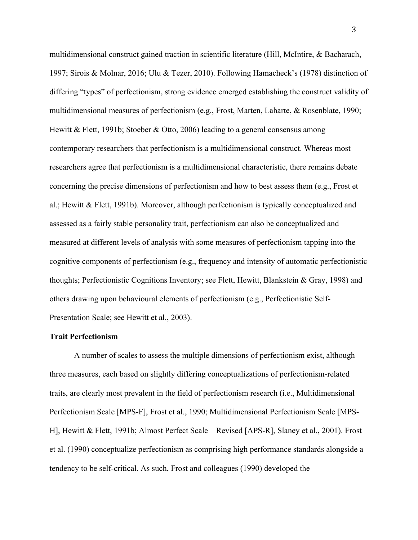multidimensional construct gained traction in scientific literature (Hill, McIntire, & Bacharach, 1997; Sirois & Molnar, 2016; Ulu & Tezer, 2010). Following Hamacheck's (1978) distinction of differing "types" of perfectionism, strong evidence emerged establishing the construct validity of multidimensional measures of perfectionism (e.g., Frost, Marten, Laharte, & Rosenblate, 1990; Hewitt & Flett, 1991b; Stoeber & Otto, 2006) leading to a general consensus among contemporary researchers that perfectionism is a multidimensional construct. Whereas most researchers agree that perfectionism is a multidimensional characteristic, there remains debate concerning the precise dimensions of perfectionism and how to best assess them (e.g., Frost et al.; Hewitt & Flett, 1991b). Moreover, although perfectionism is typically conceptualized and assessed as a fairly stable personality trait, perfectionism can also be conceptualized and measured at different levels of analysis with some measures of perfectionism tapping into the cognitive components of perfectionism (e.g., frequency and intensity of automatic perfectionistic thoughts; Perfectionistic Cognitions Inventory; see Flett, Hewitt, Blankstein & Gray, 1998) and others drawing upon behavioural elements of perfectionism (e.g., Perfectionistic Self-Presentation Scale; see Hewitt et al., 2003).

#### **Trait Perfectionism**

A number of scales to assess the multiple dimensions of perfectionism exist, although three measures, each based on slightly differing conceptualizations of perfectionism-related traits, are clearly most prevalent in the field of perfectionism research (i.e., Multidimensional Perfectionism Scale [MPS-F], Frost et al., 1990; Multidimensional Perfectionism Scale [MPS-H], Hewitt & Flett, 1991b; Almost Perfect Scale – Revised [APS-R], Slaney et al., 2001). Frost et al. (1990) conceptualize perfectionism as comprising high performance standards alongside a tendency to be self-critical. As such, Frost and colleagues (1990) developed the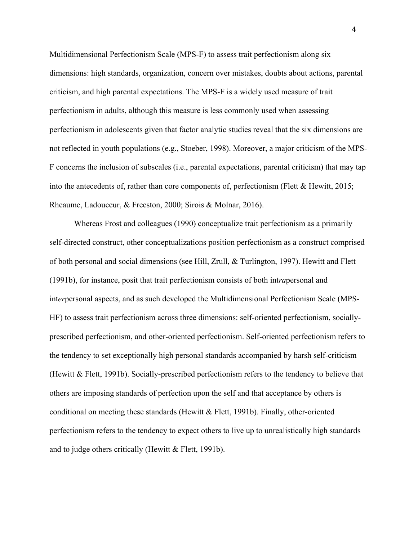Multidimensional Perfectionism Scale (MPS-F) to assess trait perfectionism along six dimensions: high standards, organization, concern over mistakes, doubts about actions, parental criticism, and high parental expectations. The MPS-F is a widely used measure of trait perfectionism in adults, although this measure is less commonly used when assessing perfectionism in adolescents given that factor analytic studies reveal that the six dimensions are not reflected in youth populations (e.g., Stoeber, 1998). Moreover, a major criticism of the MPS-F concerns the inclusion of subscales (i.e., parental expectations, parental criticism) that may tap into the antecedents of, rather than core components of, perfectionism (Flett  $\&$  Hewitt, 2015; Rheaume, Ladouceur, & Freeston, 2000; Sirois & Molnar, 2016).

Whereas Frost and colleagues (1990) conceptualize trait perfectionism as a primarily self-directed construct, other conceptualizations position perfectionism as a construct comprised of both personal and social dimensions (see Hill, Zrull, & Turlington, 1997). Hewitt and Flett (1991b), for instance, posit that trait perfectionism consists of both int*ra*personal and int*er*personal aspects, and as such developed the Multidimensional Perfectionism Scale (MPS-HF) to assess trait perfectionism across three dimensions: self-oriented perfectionism, sociallyprescribed perfectionism, and other-oriented perfectionism. Self-oriented perfectionism refers to the tendency to set exceptionally high personal standards accompanied by harsh self-criticism (Hewitt & Flett, 1991b). Socially-prescribed perfectionism refers to the tendency to believe that others are imposing standards of perfection upon the self and that acceptance by others is conditional on meeting these standards (Hewitt  $\&$  Flett, 1991b). Finally, other-oriented perfectionism refers to the tendency to expect others to live up to unrealistically high standards and to judge others critically (Hewitt & Flett, 1991b).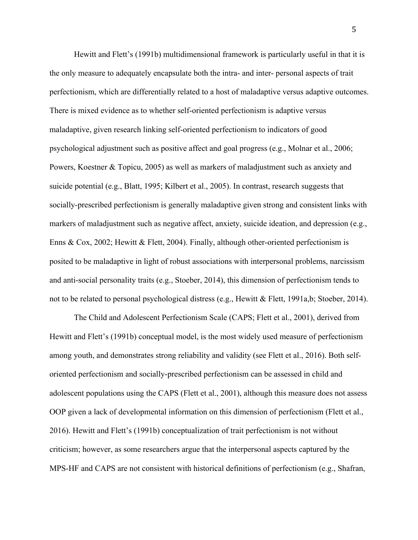Hewitt and Flett's (1991b) multidimensional framework is particularly useful in that it is the only measure to adequately encapsulate both the intra- and inter- personal aspects of trait perfectionism, which are differentially related to a host of maladaptive versus adaptive outcomes. There is mixed evidence as to whether self-oriented perfectionism is adaptive versus maladaptive, given research linking self-oriented perfectionism to indicators of good psychological adjustment such as positive affect and goal progress (e.g., Molnar et al., 2006; Powers, Koestner & Topicu, 2005) as well as markers of maladjustment such as anxiety and suicide potential (e.g., Blatt, 1995; Kilbert et al., 2005). In contrast, research suggests that socially-prescribed perfectionism is generally maladaptive given strong and consistent links with markers of maladjustment such as negative affect, anxiety, suicide ideation, and depression (e.g., Enns & Cox, 2002; Hewitt & Flett, 2004). Finally, although other-oriented perfectionism is posited to be maladaptive in light of robust associations with interpersonal problems, narcissism and anti-social personality traits (e.g., Stoeber, 2014), this dimension of perfectionism tends to not to be related to personal psychological distress (e.g., Hewitt & Flett, 1991a,b; Stoeber, 2014).

The Child and Adolescent Perfectionism Scale (CAPS; Flett et al., 2001), derived from Hewitt and Flett's (1991b) conceptual model, is the most widely used measure of perfectionism among youth, and demonstrates strong reliability and validity (see Flett et al., 2016). Both selforiented perfectionism and socially-prescribed perfectionism can be assessed in child and adolescent populations using the CAPS (Flett et al., 2001), although this measure does not assess OOP given a lack of developmental information on this dimension of perfectionism (Flett et al., 2016). Hewitt and Flett's (1991b) conceptualization of trait perfectionism is not without criticism; however, as some researchers argue that the interpersonal aspects captured by the MPS-HF and CAPS are not consistent with historical definitions of perfectionism (e.g., Shafran,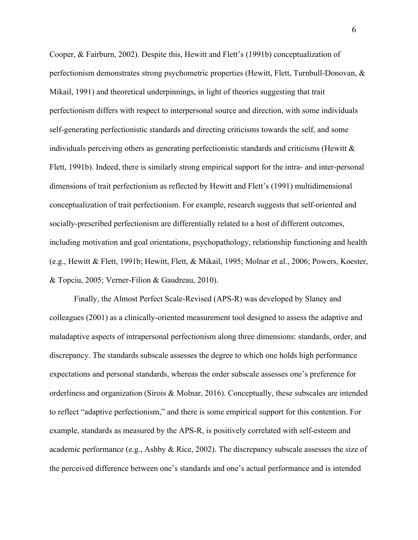Cooper, & Fairburn, 2002). Despite this, Hewitt and Flett's (1991b) conceptualization of perfectionism demonstrates strong psychometric properties (Hewitt, Flett, Turnbull-Donovan, & Mikail, 1991) and theoretical underpinnings, in light of theories suggesting that trait perfectionism differs with respect to interpersonal source and direction, with some individuals self-generating perfectionistic standards and directing criticisms towards the self, and some individuals perceiving others as generating perfectionistic standards and criticisms (Hewitt & Flett, 1991b). Indeed, there is similarly strong empirical support for the intra- and inter-personal dimensions of trait perfectionism as reflected by Hewitt and Flett's (1991) multidimensional conceptualization of trait perfectionism. For example, research suggests that self-oriented and socially-prescribed perfectionism are differentially related to a host of different outcomes, including motivation and goal orientations, psychopathology, relationship functioning and health (e.g., Hewitt & Flett, 1991b; Hewitt, Flett, & Mikail, 1995; Molnar et al., 2006; Powers, Koester, & Topciu, 2005; Verner-Filion & Gaudreau, 2010).

Finally, the Almost Perfect Scale-Revised (APS-R) was developed by Slaney and colleagues (2001) as a clinically-oriented measurement tool designed to assess the adaptive and maladaptive aspects of intrapersonal perfectionism along three dimensions: standards, order, and discrepancy. The standards subscale assesses the degree to which one holds high performance expectations and personal standards, whereas the order subscale assesses one's preference for orderliness and organization (Sirois & Molnar, 2016). Conceptually, these subscales are intended to reflect "adaptive perfectionism," and there is some empirical support for this contention. For example, standards as measured by the APS-R, is positively correlated with self-esteem and academic performance (e.g., Ashby & Rice, 2002). The discrepancy subscale assesses the size of the perceived difference between one's standards and one's actual performance and is intended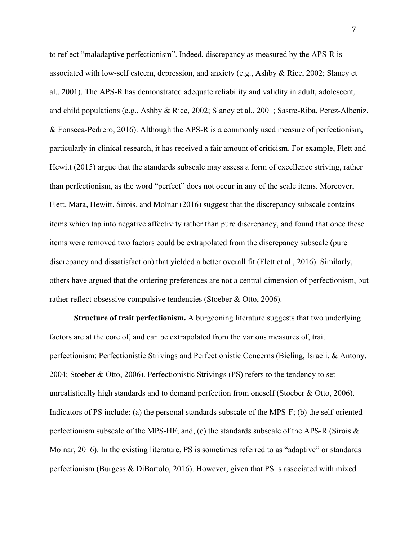to reflect "maladaptive perfectionism". Indeed, discrepancy as measured by the APS-R is associated with low-self esteem, depression, and anxiety (e.g., Ashby & Rice, 2002; Slaney et al., 2001). The APS-R has demonstrated adequate reliability and validity in adult, adolescent, and child populations (e.g., Ashby & Rice, 2002; Slaney et al., 2001; Sastre-Riba, Perez-Albeniz, & Fonseca-Pedrero, 2016). Although the APS-R is a commonly used measure of perfectionism, particularly in clinical research, it has received a fair amount of criticism. For example, Flett and Hewitt (2015) argue that the standards subscale may assess a form of excellence striving, rather than perfectionism, as the word "perfect" does not occur in any of the scale items. Moreover, Flett, Mara, Hewitt, Sirois, and Molnar (2016) suggest that the discrepancy subscale contains items which tap into negative affectivity rather than pure discrepancy, and found that once these items were removed two factors could be extrapolated from the discrepancy subscale (pure discrepancy and dissatisfaction) that yielded a better overall fit (Flett et al., 2016). Similarly, others have argued that the ordering preferences are not a central dimension of perfectionism, but rather reflect obsessive-compulsive tendencies (Stoeber & Otto, 2006).

**Structure of trait perfectionism.** A burgeoning literature suggests that two underlying factors are at the core of, and can be extrapolated from the various measures of, trait perfectionism: Perfectionistic Strivings and Perfectionistic Concerns (Bieling, Israeli, & Antony, 2004; Stoeber & Otto, 2006). Perfectionistic Strivings (PS) refers to the tendency to set unrealistically high standards and to demand perfection from oneself (Stoeber & Otto, 2006). Indicators of PS include: (a) the personal standards subscale of the MPS-F; (b) the self-oriented perfectionism subscale of the MPS-HF; and, (c) the standards subscale of the APS-R (Sirois & Molnar, 2016). In the existing literature, PS is sometimes referred to as "adaptive" or standards perfectionism (Burgess & DiBartolo, 2016). However, given that PS is associated with mixed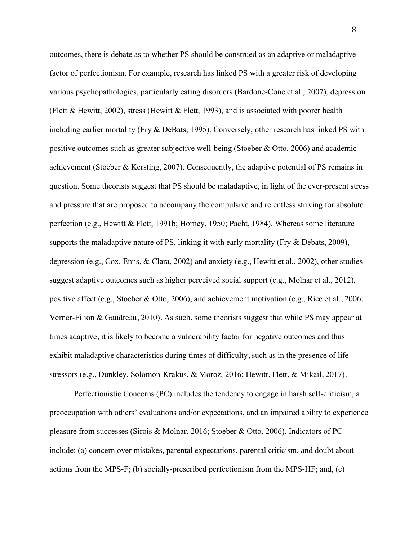outcomes, there is debate as to whether PS should be construed as an adaptive or maladaptive factor of perfectionism. For example, research has linked PS with a greater risk of developing various psychopathologies, particularly eating disorders (Bardone-Cone et al., 2007), depression (Flett & Hewitt, 2002), stress (Hewitt & Flett, 1993), and is associated with poorer health including earlier mortality (Fry & DeBats, 1995). Conversely, other research has linked PS with positive outcomes such as greater subjective well-being (Stoeber & Otto, 2006) and academic achievement (Stoeber & Kersting, 2007). Consequently, the adaptive potential of PS remains in question. Some theorists suggest that PS should be maladaptive, in light of the ever-present stress and pressure that are proposed to accompany the compulsive and relentless striving for absolute perfection (e.g., Hewitt & Flett, 1991b; Horney, 1950; Pacht, 1984). Whereas some literature supports the maladaptive nature of PS, linking it with early mortality (Fry & Debats, 2009), depression (e.g., Cox, Enns, & Clara, 2002) and anxiety (e.g., Hewitt et al., 2002), other studies suggest adaptive outcomes such as higher perceived social support (e.g., Molnar et al., 2012), positive affect (e.g., Stoeber & Otto, 2006), and achievement motivation (e.g., Rice et al., 2006; Verner-Filion & Gaudreau, 2010). As such, some theorists suggest that while PS may appear at times adaptive, it is likely to become a vulnerability factor for negative outcomes and thus exhibit maladaptive characteristics during times of difficulty, such as in the presence of life stressors (e.g., Dunkley, Solomon-Krakus, & Moroz, 2016; Hewitt, Flett, & Mikail, 2017).

Perfectionistic Concerns (PC) includes the tendency to engage in harsh self-criticism, a preoccupation with others' evaluations and/or expectations, and an impaired ability to experience pleasure from successes (Sirois & Molnar, 2016; Stoeber & Otto, 2006). Indicators of PC include: (a) concern over mistakes, parental expectations, parental criticism, and doubt about actions from the MPS-F; (b) socially-prescribed perfectionism from the MPS-HF; and, (c)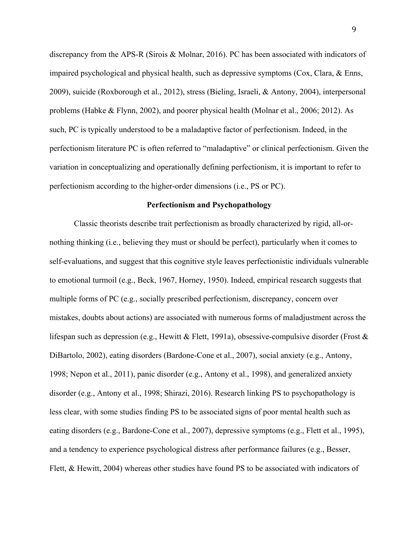discrepancy from the APS-R (Sirois & Molnar, 2016). PC has been associated with indicators of impaired psychological and physical health, such as depressive symptoms (Cox, Clara, & Enns, 2009), suicide (Roxborough et al., 2012), stress (Bieling, Israeli, & Antony, 2004), interpersonal problems (Habke & Flynn, 2002), and poorer physical health (Molnar et al., 2006; 2012). As such, PC is typically understood to be a maladaptive factor of perfectionism. Indeed, in the perfectionism literature PC is often referred to "maladaptive" or clinical perfectionism. Given the variation in conceptualizing and operationally defining perfectionism, it is important to refer to perfectionism according to the higher-order dimensions (i.e., PS or PC).

#### **Perfectionism and Psychopathology**

Classic theorists describe trait perfectionism as broadly characterized by rigid, all-ornothing thinking (i.e., believing they must or should be perfect), particularly when it comes to self-evaluations, and suggest that this cognitive style leaves perfectionistic individuals vulnerable to emotional turmoil (e.g., Beck, 1967, Horney, 1950). Indeed, empirical research suggests that multiple forms of PC (e.g., socially prescribed perfectionism, discrepancy, concern over mistakes, doubts about actions) are associated with numerous forms of maladjustment across the lifespan such as depression (e.g., Hewitt & Flett, 1991a), obsessive-compulsive disorder (Frost  $\&$ DiBartolo, 2002), eating disorders (Bardone-Cone et al., 2007), social anxiety (e.g., Antony, 1998; Nepon et al., 2011), panic disorder (e.g., Antony et al., 1998), and generalized anxiety disorder (e.g., Antony et al., 1998; Shirazi, 2016). Research linking PS to psychopathology is less clear, with some studies finding PS to be associated signs of poor mental health such as eating disorders (e.g., Bardone-Cone et al., 2007), depressive symptoms (e.g., Flett et al., 1995), and a tendency to experience psychological distress after performance failures (e.g., Besser, Flett, & Hewitt, 2004) whereas other studies have found PS to be associated with indicators of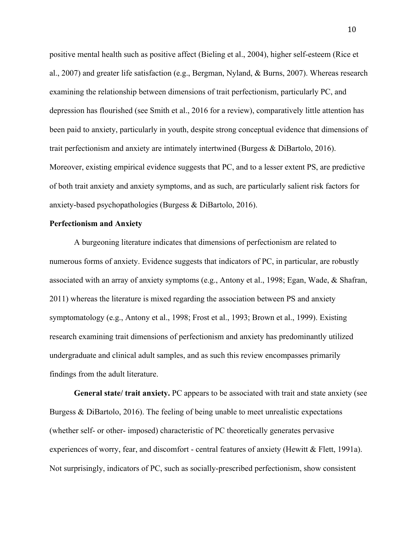positive mental health such as positive affect (Bieling et al., 2004), higher self-esteem (Rice et al., 2007) and greater life satisfaction (e.g., Bergman, Nyland, & Burns, 2007). Whereas research examining the relationship between dimensions of trait perfectionism, particularly PC, and depression has flourished (see Smith et al., 2016 for a review), comparatively little attention has been paid to anxiety, particularly in youth, despite strong conceptual evidence that dimensions of trait perfectionism and anxiety are intimately intertwined (Burgess & DiBartolo, 2016). Moreover, existing empirical evidence suggests that PC, and to a lesser extent PS, are predictive of both trait anxiety and anxiety symptoms, and as such, are particularly salient risk factors for anxiety-based psychopathologies (Burgess & DiBartolo, 2016).

#### **Perfectionism and Anxiety**

A burgeoning literature indicates that dimensions of perfectionism are related to numerous forms of anxiety. Evidence suggests that indicators of PC, in particular, are robustly associated with an array of anxiety symptoms (e.g., Antony et al., 1998; Egan, Wade, & Shafran, 2011) whereas the literature is mixed regarding the association between PS and anxiety symptomatology (e.g., Antony et al., 1998; Frost et al., 1993; Brown et al., 1999). Existing research examining trait dimensions of perfectionism and anxiety has predominantly utilized undergraduate and clinical adult samples, and as such this review encompasses primarily findings from the adult literature.

**General state/ trait anxiety.** PC appears to be associated with trait and state anxiety (see Burgess & DiBartolo, 2016). The feeling of being unable to meet unrealistic expectations (whether self- or other- imposed) characteristic of PC theoretically generates pervasive experiences of worry, fear, and discomfort - central features of anxiety (Hewitt & Flett, 1991a). Not surprisingly, indicators of PC, such as socially-prescribed perfectionism, show consistent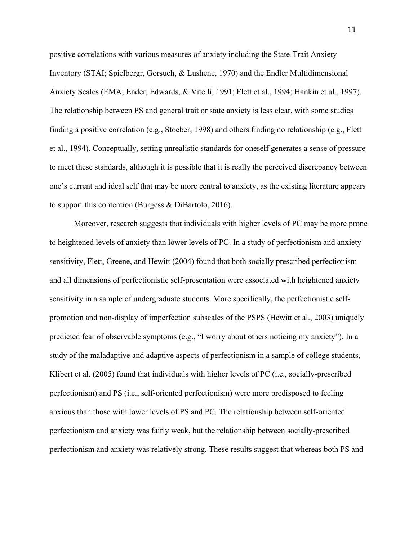positive correlations with various measures of anxiety including the State-Trait Anxiety Inventory (STAI; Spielbergr, Gorsuch, & Lushene, 1970) and the Endler Multidimensional Anxiety Scales (EMA; Ender, Edwards, & Vitelli, 1991; Flett et al., 1994; Hankin et al., 1997). The relationship between PS and general trait or state anxiety is less clear, with some studies finding a positive correlation (e.g., Stoeber, 1998) and others finding no relationship (e.g., Flett et al., 1994). Conceptually, setting unrealistic standards for oneself generates a sense of pressure to meet these standards, although it is possible that it is really the perceived discrepancy between one's current and ideal self that may be more central to anxiety, as the existing literature appears to support this contention (Burgess & DiBartolo, 2016).

Moreover, research suggests that individuals with higher levels of PC may be more prone to heightened levels of anxiety than lower levels of PC. In a study of perfectionism and anxiety sensitivity, Flett, Greene, and Hewitt (2004) found that both socially prescribed perfectionism and all dimensions of perfectionistic self-presentation were associated with heightened anxiety sensitivity in a sample of undergraduate students. More specifically, the perfectionistic selfpromotion and non-display of imperfection subscales of the PSPS (Hewitt et al., 2003) uniquely predicted fear of observable symptoms (e.g., "I worry about others noticing my anxiety"). In a study of the maladaptive and adaptive aspects of perfectionism in a sample of college students, Klibert et al. (2005) found that individuals with higher levels of PC (i.e., socially-prescribed perfectionism) and PS (i.e., self-oriented perfectionism) were more predisposed to feeling anxious than those with lower levels of PS and PC. The relationship between self-oriented perfectionism and anxiety was fairly weak, but the relationship between socially-prescribed perfectionism and anxiety was relatively strong. These results suggest that whereas both PS and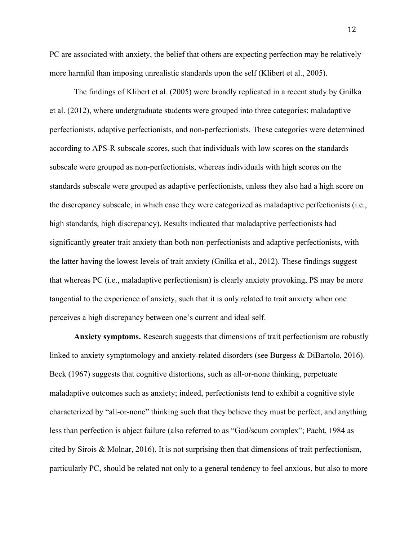PC are associated with anxiety, the belief that others are expecting perfection may be relatively more harmful than imposing unrealistic standards upon the self (Klibert et al., 2005).

The findings of Klibert et al. (2005) were broadly replicated in a recent study by Gnilka et al. (2012), where undergraduate students were grouped into three categories: maladaptive perfectionists, adaptive perfectionists, and non-perfectionists. These categories were determined according to APS-R subscale scores, such that individuals with low scores on the standards subscale were grouped as non-perfectionists, whereas individuals with high scores on the standards subscale were grouped as adaptive perfectionists, unless they also had a high score on the discrepancy subscale, in which case they were categorized as maladaptive perfectionists (i.e., high standards, high discrepancy). Results indicated that maladaptive perfectionists had significantly greater trait anxiety than both non-perfectionists and adaptive perfectionists, with the latter having the lowest levels of trait anxiety (Gnilka et al., 2012). These findings suggest that whereas PC (i.e., maladaptive perfectionism) is clearly anxiety provoking, PS may be more tangential to the experience of anxiety, such that it is only related to trait anxiety when one perceives a high discrepancy between one's current and ideal self.

**Anxiety symptoms.** Research suggests that dimensions of trait perfectionism are robustly linked to anxiety symptomology and anxiety-related disorders (see Burgess & DiBartolo, 2016). Beck (1967) suggests that cognitive distortions, such as all-or-none thinking, perpetuate maladaptive outcomes such as anxiety; indeed, perfectionists tend to exhibit a cognitive style characterized by "all-or-none" thinking such that they believe they must be perfect, and anything less than perfection is abject failure (also referred to as "God/scum complex"; Pacht, 1984 as cited by Sirois & Molnar, 2016). It is not surprising then that dimensions of trait perfectionism, particularly PC, should be related not only to a general tendency to feel anxious, but also to more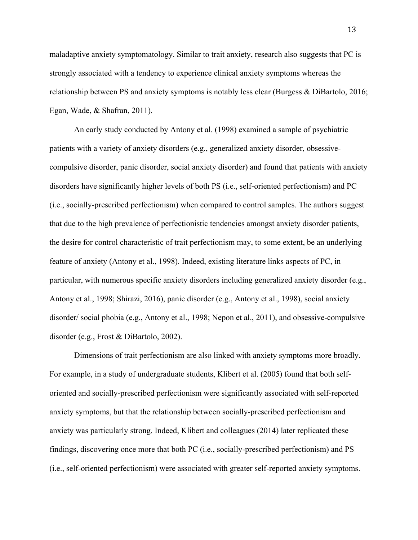maladaptive anxiety symptomatology. Similar to trait anxiety, research also suggests that PC is strongly associated with a tendency to experience clinical anxiety symptoms whereas the relationship between PS and anxiety symptoms is notably less clear (Burgess & DiBartolo, 2016; Egan, Wade, & Shafran, 2011).

An early study conducted by Antony et al. (1998) examined a sample of psychiatric patients with a variety of anxiety disorders (e.g., generalized anxiety disorder, obsessivecompulsive disorder, panic disorder, social anxiety disorder) and found that patients with anxiety disorders have significantly higher levels of both PS (i.e., self-oriented perfectionism) and PC (i.e., socially-prescribed perfectionism) when compared to control samples. The authors suggest that due to the high prevalence of perfectionistic tendencies amongst anxiety disorder patients, the desire for control characteristic of trait perfectionism may, to some extent, be an underlying feature of anxiety (Antony et al., 1998). Indeed, existing literature links aspects of PC, in particular, with numerous specific anxiety disorders including generalized anxiety disorder (e.g., Antony et al., 1998; Shirazi, 2016), panic disorder (e.g., Antony et al., 1998), social anxiety disorder/ social phobia (e.g., Antony et al., 1998; Nepon et al., 2011), and obsessive-compulsive disorder (e.g., Frost & DiBartolo, 2002).

Dimensions of trait perfectionism are also linked with anxiety symptoms more broadly. For example, in a study of undergraduate students, Klibert et al. (2005) found that both selforiented and socially-prescribed perfectionism were significantly associated with self-reported anxiety symptoms, but that the relationship between socially-prescribed perfectionism and anxiety was particularly strong. Indeed, Klibert and colleagues (2014) later replicated these findings, discovering once more that both PC (i.e., socially-prescribed perfectionism) and PS (i.e., self-oriented perfectionism) were associated with greater self-reported anxiety symptoms.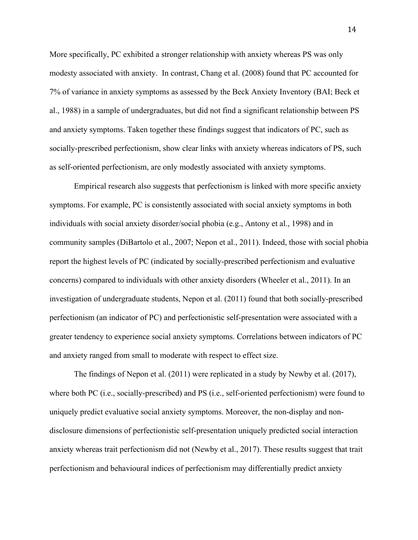More specifically, PC exhibited a stronger relationship with anxiety whereas PS was only modesty associated with anxiety. In contrast, Chang et al. (2008) found that PC accounted for 7% of variance in anxiety symptoms as assessed by the Beck Anxiety Inventory (BAI; Beck et al., 1988) in a sample of undergraduates, but did not find a significant relationship between PS and anxiety symptoms. Taken together these findings suggest that indicators of PC, such as socially-prescribed perfectionism, show clear links with anxiety whereas indicators of PS, such as self-oriented perfectionism, are only modestly associated with anxiety symptoms.

Empirical research also suggests that perfectionism is linked with more specific anxiety symptoms. For example, PC is consistently associated with social anxiety symptoms in both individuals with social anxiety disorder/social phobia (e.g., Antony et al., 1998) and in community samples (DiBartolo et al., 2007; Nepon et al., 2011). Indeed, those with social phobia report the highest levels of PC (indicated by socially-prescribed perfectionism and evaluative concerns) compared to individuals with other anxiety disorders (Wheeler et al., 2011). In an investigation of undergraduate students, Nepon et al. (2011) found that both socially-prescribed perfectionism (an indicator of PC) and perfectionistic self-presentation were associated with a greater tendency to experience social anxiety symptoms. Correlations between indicators of PC and anxiety ranged from small to moderate with respect to effect size.

The findings of Nepon et al. (2011) were replicated in a study by Newby et al. (2017), where both PC (i.e., socially-prescribed) and PS (i.e., self-oriented perfectionism) were found to uniquely predict evaluative social anxiety symptoms. Moreover, the non-display and nondisclosure dimensions of perfectionistic self-presentation uniquely predicted social interaction anxiety whereas trait perfectionism did not (Newby et al., 2017). These results suggest that trait perfectionism and behavioural indices of perfectionism may differentially predict anxiety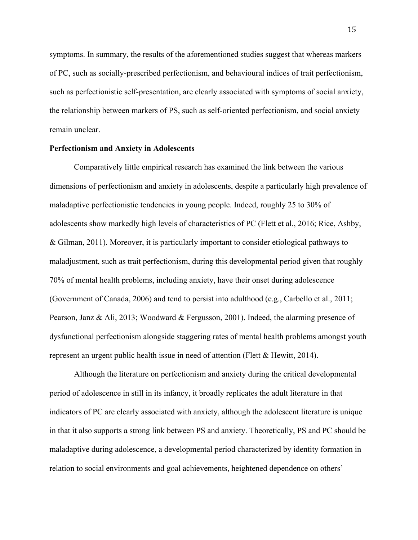symptoms. In summary, the results of the aforementioned studies suggest that whereas markers of PC, such as socially-prescribed perfectionism, and behavioural indices of trait perfectionism, such as perfectionistic self-presentation, are clearly associated with symptoms of social anxiety, the relationship between markers of PS, such as self-oriented perfectionism, and social anxiety remain unclear.

### **Perfectionism and Anxiety in Adolescents**

Comparatively little empirical research has examined the link between the various dimensions of perfectionism and anxiety in adolescents, despite a particularly high prevalence of maladaptive perfectionistic tendencies in young people. Indeed, roughly 25 to 30% of adolescents show markedly high levels of characteristics of PC (Flett et al., 2016; Rice, Ashby, & Gilman, 2011). Moreover, it is particularly important to consider etiological pathways to maladjustment, such as trait perfectionism, during this developmental period given that roughly 70% of mental health problems, including anxiety, have their onset during adolescence (Government of Canada, 2006) and tend to persist into adulthood (e.g., Carbello et al., 2011; Pearson, Janz & Ali, 2013; Woodward & Fergusson, 2001). Indeed, the alarming presence of dysfunctional perfectionism alongside staggering rates of mental health problems amongst youth represent an urgent public health issue in need of attention (Flett & Hewitt, 2014).

Although the literature on perfectionism and anxiety during the critical developmental period of adolescence in still in its infancy, it broadly replicates the adult literature in that indicators of PC are clearly associated with anxiety, although the adolescent literature is unique in that it also supports a strong link between PS and anxiety. Theoretically, PS and PC should be maladaptive during adolescence, a developmental period characterized by identity formation in relation to social environments and goal achievements, heightened dependence on others'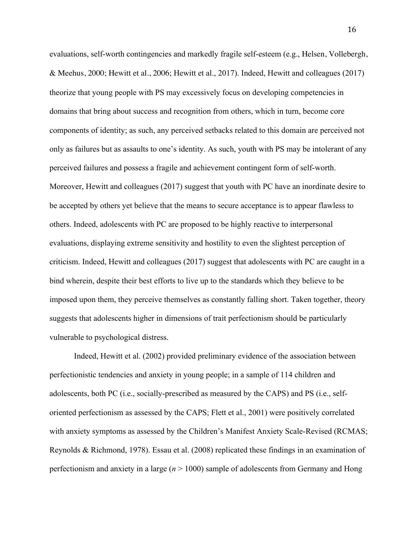evaluations, self-worth contingencies and markedly fragile self-esteem (e.g., Helsen, Vollebergh, & Meehus, 2000; Hewitt et al., 2006; Hewitt et al., 2017). Indeed, Hewitt and colleagues (2017) theorize that young people with PS may excessively focus on developing competencies in domains that bring about success and recognition from others, which in turn, become core components of identity; as such, any perceived setbacks related to this domain are perceived not only as failures but as assaults to one's identity. As such, youth with PS may be intolerant of any perceived failures and possess a fragile and achievement contingent form of self-worth. Moreover, Hewitt and colleagues (2017) suggest that youth with PC have an inordinate desire to be accepted by others yet believe that the means to secure acceptance is to appear flawless to others. Indeed, adolescents with PC are proposed to be highly reactive to interpersonal evaluations, displaying extreme sensitivity and hostility to even the slightest perception of criticism. Indeed, Hewitt and colleagues (2017) suggest that adolescents with PC are caught in a bind wherein, despite their best efforts to live up to the standards which they believe to be imposed upon them, they perceive themselves as constantly falling short. Taken together, theory suggests that adolescents higher in dimensions of trait perfectionism should be particularly vulnerable to psychological distress.

Indeed, Hewitt et al. (2002) provided preliminary evidence of the association between perfectionistic tendencies and anxiety in young people; in a sample of 114 children and adolescents, both PC (i.e., socially-prescribed as measured by the CAPS) and PS (i.e., selforiented perfectionism as assessed by the CAPS; Flett et al., 2001) were positively correlated with anxiety symptoms as assessed by the Children's Manifest Anxiety Scale-Revised (RCMAS; Reynolds & Richmond, 1978). Essau et al. (2008) replicated these findings in an examination of perfectionism and anxiety in a large (*n* > 1000) sample of adolescents from Germany and Hong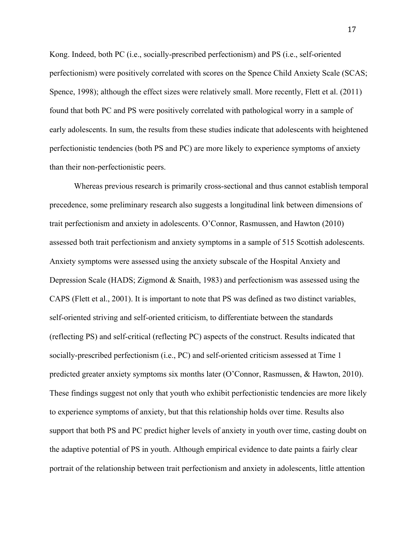Kong. Indeed, both PC (i.e., socially-prescribed perfectionism) and PS (i.e., self-oriented perfectionism) were positively correlated with scores on the Spence Child Anxiety Scale (SCAS; Spence, 1998); although the effect sizes were relatively small. More recently, Flett et al. (2011) found that both PC and PS were positively correlated with pathological worry in a sample of early adolescents. In sum, the results from these studies indicate that adolescents with heightened perfectionistic tendencies (both PS and PC) are more likely to experience symptoms of anxiety than their non-perfectionistic peers.

Whereas previous research is primarily cross-sectional and thus cannot establish temporal precedence, some preliminary research also suggests a longitudinal link between dimensions of trait perfectionism and anxiety in adolescents. O'Connor, Rasmussen, and Hawton (2010) assessed both trait perfectionism and anxiety symptoms in a sample of 515 Scottish adolescents. Anxiety symptoms were assessed using the anxiety subscale of the Hospital Anxiety and Depression Scale (HADS; Zigmond & Snaith, 1983) and perfectionism was assessed using the CAPS (Flett et al., 2001). It is important to note that PS was defined as two distinct variables, self-oriented striving and self-oriented criticism, to differentiate between the standards (reflecting PS) and self-critical (reflecting PC) aspects of the construct. Results indicated that socially-prescribed perfectionism (i.e., PC) and self-oriented criticism assessed at Time 1 predicted greater anxiety symptoms six months later (O'Connor, Rasmussen, & Hawton, 2010). These findings suggest not only that youth who exhibit perfectionistic tendencies are more likely to experience symptoms of anxiety, but that this relationship holds over time. Results also support that both PS and PC predict higher levels of anxiety in youth over time, casting doubt on the adaptive potential of PS in youth. Although empirical evidence to date paints a fairly clear portrait of the relationship between trait perfectionism and anxiety in adolescents, little attention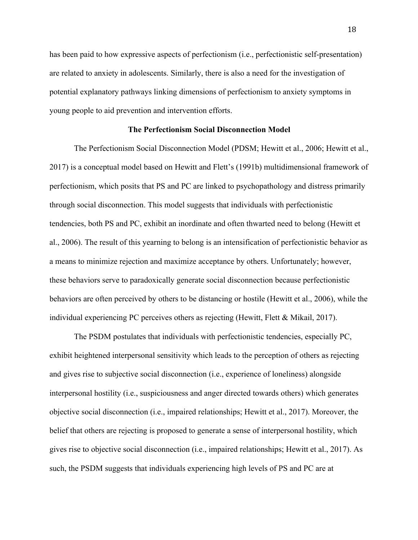has been paid to how expressive aspects of perfectionism (i.e., perfectionistic self-presentation) are related to anxiety in adolescents. Similarly, there is also a need for the investigation of potential explanatory pathways linking dimensions of perfectionism to anxiety symptoms in young people to aid prevention and intervention efforts.

#### **The Perfectionism Social Disconnection Model**

The Perfectionism Social Disconnection Model (PDSM; Hewitt et al., 2006; Hewitt et al., 2017) is a conceptual model based on Hewitt and Flett's (1991b) multidimensional framework of perfectionism, which posits that PS and PC are linked to psychopathology and distress primarily through social disconnection. This model suggests that individuals with perfectionistic tendencies, both PS and PC, exhibit an inordinate and often thwarted need to belong (Hewitt et al., 2006). The result of this yearning to belong is an intensification of perfectionistic behavior as a means to minimize rejection and maximize acceptance by others. Unfortunately; however, these behaviors serve to paradoxically generate social disconnection because perfectionistic behaviors are often perceived by others to be distancing or hostile (Hewitt et al., 2006), while the individual experiencing PC perceives others as rejecting (Hewitt, Flett & Mikail, 2017).

The PSDM postulates that individuals with perfectionistic tendencies, especially PC, exhibit heightened interpersonal sensitivity which leads to the perception of others as rejecting and gives rise to subjective social disconnection (i.e., experience of loneliness) alongside interpersonal hostility (i.e., suspiciousness and anger directed towards others) which generates objective social disconnection (i.e., impaired relationships; Hewitt et al., 2017). Moreover, the belief that others are rejecting is proposed to generate a sense of interpersonal hostility, which gives rise to objective social disconnection (i.e., impaired relationships; Hewitt et al., 2017). As such, the PSDM suggests that individuals experiencing high levels of PS and PC are at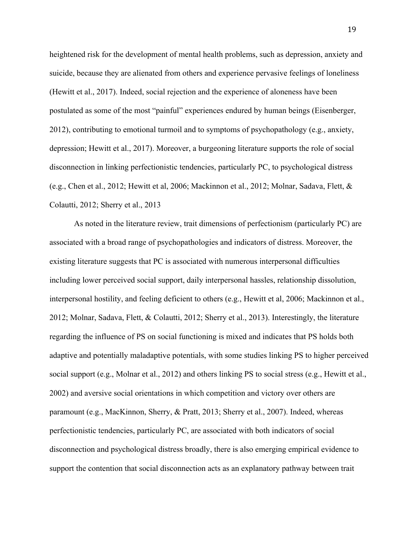heightened risk for the development of mental health problems, such as depression, anxiety and suicide, because they are alienated from others and experience pervasive feelings of loneliness (Hewitt et al., 2017). Indeed, social rejection and the experience of aloneness have been postulated as some of the most "painful" experiences endured by human beings (Eisenberger, 2012), contributing to emotional turmoil and to symptoms of psychopathology (e.g., anxiety, depression; Hewitt et al., 2017). Moreover, a burgeoning literature supports the role of social disconnection in linking perfectionistic tendencies, particularly PC, to psychological distress (e.g., Chen et al., 2012; Hewitt et al, 2006; Mackinnon et al., 2012; Molnar, Sadava, Flett, & Colautti, 2012; Sherry et al., 2013

As noted in the literature review, trait dimensions of perfectionism (particularly PC) are associated with a broad range of psychopathologies and indicators of distress. Moreover, the existing literature suggests that PC is associated with numerous interpersonal difficulties including lower perceived social support, daily interpersonal hassles, relationship dissolution, interpersonal hostility, and feeling deficient to others (e.g., Hewitt et al, 2006; Mackinnon et al., 2012; Molnar, Sadava, Flett, & Colautti, 2012; Sherry et al., 2013). Interestingly, the literature regarding the influence of PS on social functioning is mixed and indicates that PS holds both adaptive and potentially maladaptive potentials, with some studies linking PS to higher perceived social support (e.g., Molnar et al., 2012) and others linking PS to social stress (e.g., Hewitt et al., 2002) and aversive social orientations in which competition and victory over others are paramount (e.g., MacKinnon, Sherry, & Pratt, 2013; Sherry et al., 2007). Indeed, whereas perfectionistic tendencies, particularly PC, are associated with both indicators of social disconnection and psychological distress broadly, there is also emerging empirical evidence to support the contention that social disconnection acts as an explanatory pathway between trait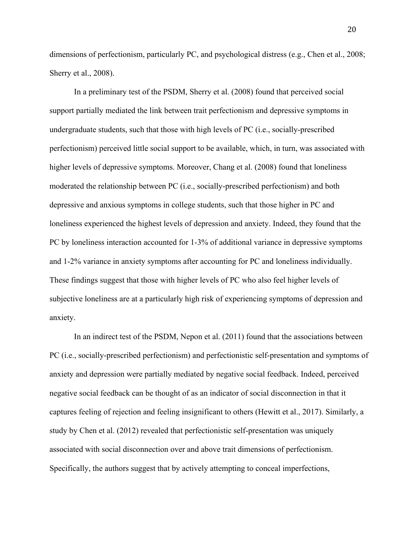dimensions of perfectionism, particularly PC, and psychological distress (e.g., Chen et al., 2008; Sherry et al., 2008).

In a preliminary test of the PSDM, Sherry et al. (2008) found that perceived social support partially mediated the link between trait perfectionism and depressive symptoms in undergraduate students, such that those with high levels of PC (i.e., socially-prescribed perfectionism) perceived little social support to be available, which, in turn, was associated with higher levels of depressive symptoms. Moreover, Chang et al. (2008) found that loneliness moderated the relationship between PC (i.e., socially-prescribed perfectionism) and both depressive and anxious symptoms in college students, such that those higher in PC and loneliness experienced the highest levels of depression and anxiety. Indeed, they found that the PC by loneliness interaction accounted for 1-3% of additional variance in depressive symptoms and 1-2% variance in anxiety symptoms after accounting for PC and loneliness individually. These findings suggest that those with higher levels of PC who also feel higher levels of subjective loneliness are at a particularly high risk of experiencing symptoms of depression and anxiety.

In an indirect test of the PSDM, Nepon et al. (2011) found that the associations between PC (i.e., socially-prescribed perfectionism) and perfectionistic self-presentation and symptoms of anxiety and depression were partially mediated by negative social feedback. Indeed, perceived negative social feedback can be thought of as an indicator of social disconnection in that it captures feeling of rejection and feeling insignificant to others (Hewitt et al., 2017). Similarly, a study by Chen et al. (2012) revealed that perfectionistic self-presentation was uniquely associated with social disconnection over and above trait dimensions of perfectionism. Specifically, the authors suggest that by actively attempting to conceal imperfections,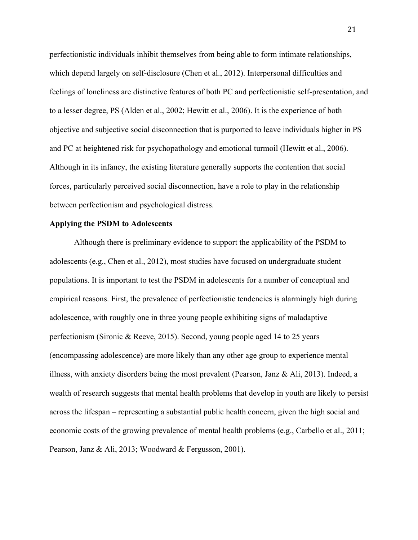perfectionistic individuals inhibit themselves from being able to form intimate relationships, which depend largely on self-disclosure (Chen et al., 2012). Interpersonal difficulties and feelings of loneliness are distinctive features of both PC and perfectionistic self-presentation, and to a lesser degree, PS (Alden et al., 2002; Hewitt et al., 2006). It is the experience of both objective and subjective social disconnection that is purported to leave individuals higher in PS and PC at heightened risk for psychopathology and emotional turmoil (Hewitt et al., 2006). Although in its infancy, the existing literature generally supports the contention that social forces, particularly perceived social disconnection, have a role to play in the relationship between perfectionism and psychological distress.

### **Applying the PSDM to Adolescents**

Although there is preliminary evidence to support the applicability of the PSDM to adolescents (e.g., Chen et al., 2012), most studies have focused on undergraduate student populations. It is important to test the PSDM in adolescents for a number of conceptual and empirical reasons. First, the prevalence of perfectionistic tendencies is alarmingly high during adolescence, with roughly one in three young people exhibiting signs of maladaptive perfectionism (Sironic & Reeve, 2015). Second, young people aged 14 to 25 years (encompassing adolescence) are more likely than any other age group to experience mental illness, with anxiety disorders being the most prevalent (Pearson, Janz & Ali, 2013). Indeed, a wealth of research suggests that mental health problems that develop in youth are likely to persist across the lifespan – representing a substantial public health concern, given the high social and economic costs of the growing prevalence of mental health problems (e.g., Carbello et al., 2011; Pearson, Janz & Ali, 2013; Woodward & Fergusson, 2001).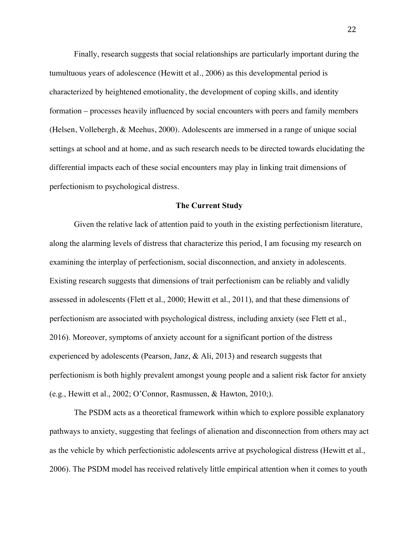Finally, research suggests that social relationships are particularly important during the tumultuous years of adolescence (Hewitt et al., 2006) as this developmental period is characterized by heightened emotionality, the development of coping skills, and identity formation – processes heavily influenced by social encounters with peers and family members (Helsen, Vollebergh, & Meehus, 2000). Adolescents are immersed in a range of unique social settings at school and at home, and as such research needs to be directed towards elucidating the differential impacts each of these social encounters may play in linking trait dimensions of perfectionism to psychological distress.

#### **The Current Study**

Given the relative lack of attention paid to youth in the existing perfectionism literature, along the alarming levels of distress that characterize this period, I am focusing my research on examining the interplay of perfectionism, social disconnection, and anxiety in adolescents. Existing research suggests that dimensions of trait perfectionism can be reliably and validly assessed in adolescents (Flett et al., 2000; Hewitt et al., 2011), and that these dimensions of perfectionism are associated with psychological distress, including anxiety (see Flett et al., 2016). Moreover, symptoms of anxiety account for a significant portion of the distress experienced by adolescents (Pearson, Janz, & Ali, 2013) and research suggests that perfectionism is both highly prevalent amongst young people and a salient risk factor for anxiety (e.g., Hewitt et al., 2002; O'Connor, Rasmussen, & Hawton, 2010;).

The PSDM acts as a theoretical framework within which to explore possible explanatory pathways to anxiety, suggesting that feelings of alienation and disconnection from others may act as the vehicle by which perfectionistic adolescents arrive at psychological distress (Hewitt et al., 2006). The PSDM model has received relatively little empirical attention when it comes to youth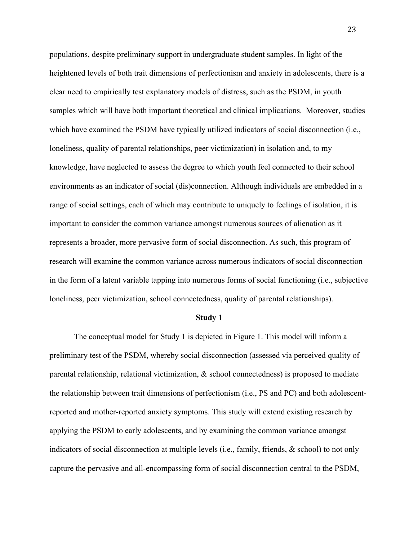populations, despite preliminary support in undergraduate student samples. In light of the heightened levels of both trait dimensions of perfectionism and anxiety in adolescents, there is a clear need to empirically test explanatory models of distress, such as the PSDM, in youth samples which will have both important theoretical and clinical implications. Moreover, studies which have examined the PSDM have typically utilized indicators of social disconnection (i.e., loneliness, quality of parental relationships, peer victimization) in isolation and, to my knowledge, have neglected to assess the degree to which youth feel connected to their school environments as an indicator of social (dis)connection. Although individuals are embedded in a range of social settings, each of which may contribute to uniquely to feelings of isolation, it is important to consider the common variance amongst numerous sources of alienation as it represents a broader, more pervasive form of social disconnection. As such, this program of research will examine the common variance across numerous indicators of social disconnection in the form of a latent variable tapping into numerous forms of social functioning (i.e., subjective loneliness, peer victimization, school connectedness, quality of parental relationships).

#### **Study 1**

The conceptual model for Study 1 is depicted in Figure 1. This model will inform a preliminary test of the PSDM, whereby social disconnection (assessed via perceived quality of parental relationship, relational victimization, & school connectedness) is proposed to mediate the relationship between trait dimensions of perfectionism (i.e., PS and PC) and both adolescentreported and mother-reported anxiety symptoms. This study will extend existing research by applying the PSDM to early adolescents, and by examining the common variance amongst indicators of social disconnection at multiple levels (i.e., family, friends, & school) to not only capture the pervasive and all-encompassing form of social disconnection central to the PSDM,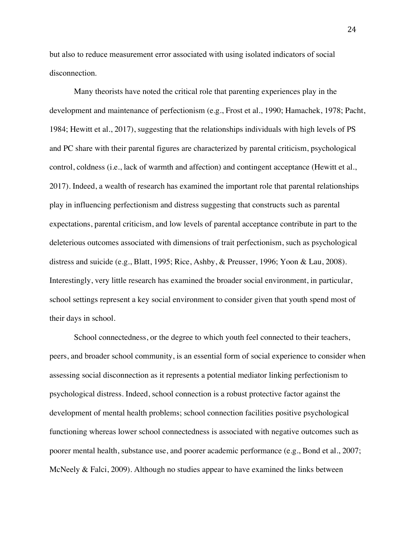but also to reduce measurement error associated with using isolated indicators of social disconnection.

Many theorists have noted the critical role that parenting experiences play in the development and maintenance of perfectionism (e.g., Frost et al., 1990; Hamachek, 1978; Pacht, 1984; Hewitt et al., 2017), suggesting that the relationships individuals with high levels of PS and PC share with their parental figures are characterized by parental criticism, psychological control, coldness (i.e., lack of warmth and affection) and contingent acceptance (Hewitt et al., 2017). Indeed, a wealth of research has examined the important role that parental relationships play in influencing perfectionism and distress suggesting that constructs such as parental expectations, parental criticism, and low levels of parental acceptance contribute in part to the deleterious outcomes associated with dimensions of trait perfectionism, such as psychological distress and suicide (e.g., Blatt, 1995; Rice, Ashby, & Preusser, 1996; Yoon & Lau, 2008). Interestingly, very little research has examined the broader social environment, in particular, school settings represent a key social environment to consider given that youth spend most of their days in school.

School connectedness, or the degree to which youth feel connected to their teachers, peers, and broader school community, is an essential form of social experience to consider when assessing social disconnection as it represents a potential mediator linking perfectionism to psychological distress. Indeed, school connection is a robust protective factor against the development of mental health problems; school connection facilities positive psychological functioning whereas lower school connectedness is associated with negative outcomes such as poorer mental health, substance use, and poorer academic performance (e.g., Bond et al., 2007; McNeely & Falci, 2009). Although no studies appear to have examined the links between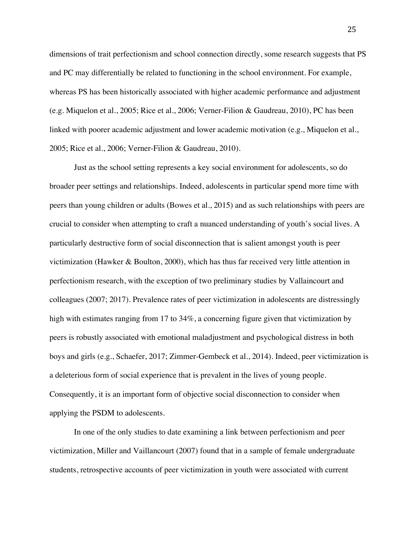dimensions of trait perfectionism and school connection directly, some research suggests that PS and PC may differentially be related to functioning in the school environment. For example, whereas PS has been historically associated with higher academic performance and adjustment (e.g. Miquelon et al., 2005; Rice et al., 2006; Verner-Filion & Gaudreau, 2010), PC has been linked with poorer academic adjustment and lower academic motivation (e.g., Miquelon et al., 2005; Rice et al., 2006; Verner-Filion & Gaudreau, 2010).

Just as the school setting represents a key social environment for adolescents, so do broader peer settings and relationships. Indeed, adolescents in particular spend more time with peers than young children or adults (Bowes et al., 2015) and as such relationships with peers are crucial to consider when attempting to craft a nuanced understanding of youth's social lives. A particularly destructive form of social disconnection that is salient amongst youth is peer victimization (Hawker & Boulton, 2000), which has thus far received very little attention in perfectionism research, with the exception of two preliminary studies by Vallaincourt and colleagues (2007; 2017). Prevalence rates of peer victimization in adolescents are distressingly high with estimates ranging from 17 to 34%, a concerning figure given that victimization by peers is robustly associated with emotional maladjustment and psychological distress in both boys and girls (e.g., Schaefer, 2017; Zimmer-Gembeck et al., 2014). Indeed, peer victimization is a deleterious form of social experience that is prevalent in the lives of young people. Consequently, it is an important form of objective social disconnection to consider when applying the PSDM to adolescents.

In one of the only studies to date examining a link between perfectionism and peer victimization, Miller and Vaillancourt (2007) found that in a sample of female undergraduate students, retrospective accounts of peer victimization in youth were associated with current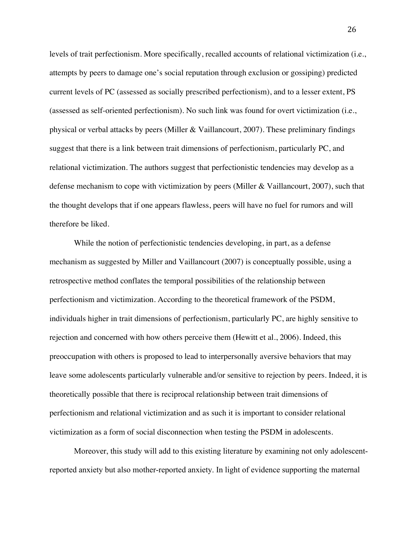levels of trait perfectionism. More specifically, recalled accounts of relational victimization (i.e., attempts by peers to damage one's social reputation through exclusion or gossiping) predicted current levels of PC (assessed as socially prescribed perfectionism), and to a lesser extent, PS (assessed as self-oriented perfectionism). No such link was found for overt victimization (i.e., physical or verbal attacks by peers (Miller & Vaillancourt, 2007). These preliminary findings suggest that there is a link between trait dimensions of perfectionism, particularly PC, and relational victimization. The authors suggest that perfectionistic tendencies may develop as a defense mechanism to cope with victimization by peers (Miller & Vaillancourt, 2007), such that the thought develops that if one appears flawless, peers will have no fuel for rumors and will therefore be liked.

While the notion of perfectionistic tendencies developing, in part, as a defense mechanism as suggested by Miller and Vaillancourt (2007) is conceptually possible, using a retrospective method conflates the temporal possibilities of the relationship between perfectionism and victimization. According to the theoretical framework of the PSDM, individuals higher in trait dimensions of perfectionism, particularly PC, are highly sensitive to rejection and concerned with how others perceive them (Hewitt et al., 2006). Indeed, this preoccupation with others is proposed to lead to interpersonally aversive behaviors that may leave some adolescents particularly vulnerable and/or sensitive to rejection by peers. Indeed, it is theoretically possible that there is reciprocal relationship between trait dimensions of perfectionism and relational victimization and as such it is important to consider relational victimization as a form of social disconnection when testing the PSDM in adolescents.

Moreover, this study will add to this existing literature by examining not only adolescentreported anxiety but also mother-reported anxiety. In light of evidence supporting the maternal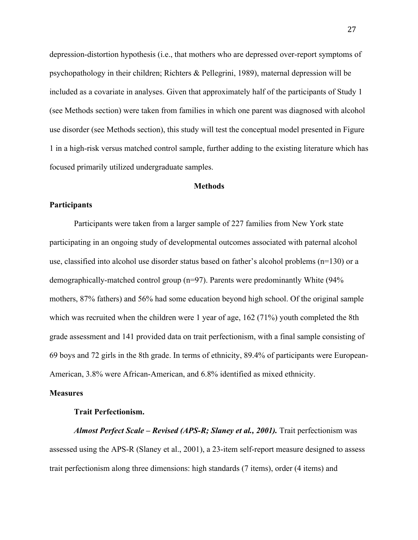depression-distortion hypothesis (i.e., that mothers who are depressed over-report symptoms of psychopathology in their children; Richters & Pellegrini, 1989), maternal depression will be included as a covariate in analyses. Given that approximately half of the participants of Study 1 (see Methods section) were taken from families in which one parent was diagnosed with alcohol use disorder (see Methods section), this study will test the conceptual model presented in Figure 1 in a high-risk versus matched control sample, further adding to the existing literature which has focused primarily utilized undergraduate samples.

#### **Methods**

## **Participants**

Participants were taken from a larger sample of 227 families from New York state participating in an ongoing study of developmental outcomes associated with paternal alcohol use, classified into alcohol use disorder status based on father's alcohol problems (n=130) or a demographically-matched control group (n=97). Parents were predominantly White (94% mothers, 87% fathers) and 56% had some education beyond high school. Of the original sample which was recruited when the children were 1 year of age, 162 (71%) youth completed the 8th grade assessment and 141 provided data on trait perfectionism, with a final sample consisting of 69 boys and 72 girls in the 8th grade. In terms of ethnicity, 89.4% of participants were European-American, 3.8% were African-American, and 6.8% identified as mixed ethnicity.

#### **Measures**

#### **Trait Perfectionism.**

*Almost Perfect Scale – Revised (APS-R; Slaney et al., 2001).* Trait perfectionism was assessed using the APS-R (Slaney et al., 2001), a 23-item self-report measure designed to assess trait perfectionism along three dimensions: high standards (7 items), order (4 items) and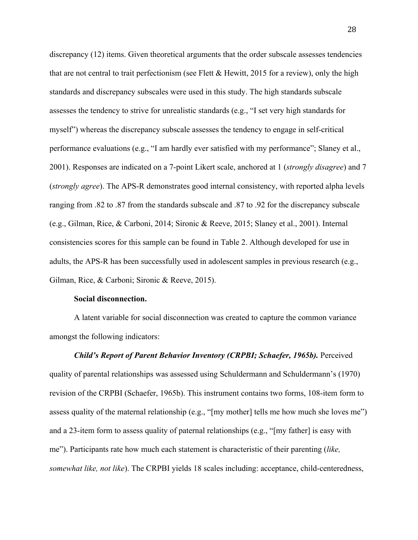discrepancy (12) items. Given theoretical arguments that the order subscale assesses tendencies that are not central to trait perfectionism (see Flett & Hewitt, 2015 for a review), only the high standards and discrepancy subscales were used in this study. The high standards subscale assesses the tendency to strive for unrealistic standards (e.g., "I set very high standards for myself") whereas the discrepancy subscale assesses the tendency to engage in self-critical performance evaluations (e.g., "I am hardly ever satisfied with my performance"; Slaney et al., 2001). Responses are indicated on a 7-point Likert scale, anchored at 1 (*strongly disagree*) and 7 (*strongly agree*). The APS-R demonstrates good internal consistency, with reported alpha levels ranging from .82 to .87 from the standards subscale and .87 to .92 for the discrepancy subscale (e.g., Gilman, Rice, & Carboni, 2014; Sironic & Reeve, 2015; Slaney et al., 2001). Internal consistencies scores for this sample can be found in Table 2. Although developed for use in adults, the APS-R has been successfully used in adolescent samples in previous research (e.g., Gilman, Rice, & Carboni; Sironic & Reeve, 2015).

#### **Social disconnection.**

A latent variable for social disconnection was created to capture the common variance amongst the following indicators:

*Child's Report of Parent Behavior Inventory (CRPBI; Schaefer, 1965b).* Perceived quality of parental relationships was assessed using Schuldermann and Schuldermann's (1970) revision of the CRPBI (Schaefer, 1965b). This instrument contains two forms, 108-item form to assess quality of the maternal relationship (e.g., "[my mother] tells me how much she loves me") and a 23-item form to assess quality of paternal relationships (e.g., "[my father] is easy with me"). Participants rate how much each statement is characteristic of their parenting (*like, somewhat like, not like*). The CRPBI yields 18 scales including: acceptance, child-centeredness,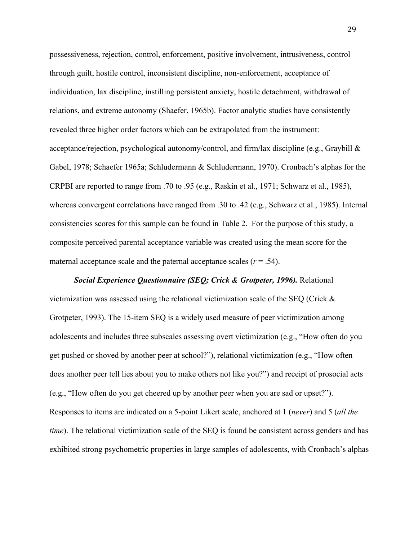possessiveness, rejection, control, enforcement, positive involvement, intrusiveness, control through guilt, hostile control, inconsistent discipline, non-enforcement, acceptance of individuation, lax discipline, instilling persistent anxiety, hostile detachment, withdrawal of relations, and extreme autonomy (Shaefer, 1965b). Factor analytic studies have consistently revealed three higher order factors which can be extrapolated from the instrument: acceptance/rejection, psychological autonomy/control, and firm/lax discipline (e.g., Graybill & Gabel, 1978; Schaefer 1965a; Schludermann & Schludermann, 1970). Cronbach's alphas for the CRPBI are reported to range from .70 to .95 (e.g., Raskin et al., 1971; Schwarz et al., 1985), whereas convergent correlations have ranged from .30 to .42 (e.g., Schwarz et al., 1985). Internal consistencies scores for this sample can be found in Table 2. For the purpose of this study, a composite perceived parental acceptance variable was created using the mean score for the maternal acceptance scale and the paternal acceptance scales  $(r = .54)$ .

*Social Experience Questionnaire (SEQ; Crick & Grotpeter, 1996).* Relational victimization was assessed using the relational victimization scale of the SEQ (Crick  $\&$ Grotpeter, 1993). The 15-item SEQ is a widely used measure of peer victimization among adolescents and includes three subscales assessing overt victimization (e.g., "How often do you get pushed or shoved by another peer at school?"), relational victimization (e.g., "How often does another peer tell lies about you to make others not like you?") and receipt of prosocial acts (e.g., "How often do you get cheered up by another peer when you are sad or upset?"). Responses to items are indicated on a 5-point Likert scale, anchored at 1 (*never*) and 5 (*all the time*). The relational victimization scale of the SEQ is found be consistent across genders and has exhibited strong psychometric properties in large samples of adolescents, with Cronbach's alphas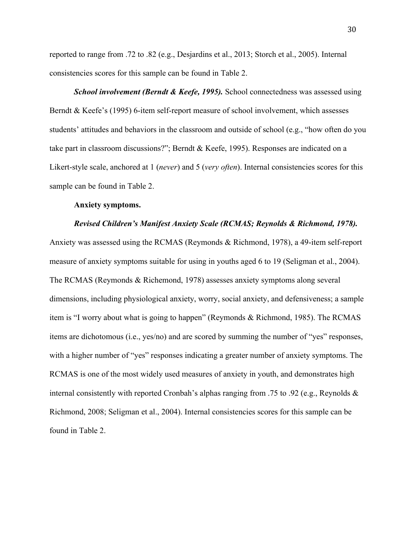reported to range from .72 to .82 (e.g., Desjardins et al., 2013; Storch et al., 2005). Internal consistencies scores for this sample can be found in Table 2.

*School involvement (Berndt & Keefe, 1995).* School connectedness was assessed using Berndt & Keefe's (1995) 6-item self-report measure of school involvement, which assesses students' attitudes and behaviors in the classroom and outside of school (e.g., "how often do you take part in classroom discussions?"; Berndt & Keefe, 1995). Responses are indicated on a Likert-style scale, anchored at 1 (*never*) and 5 (*very often*). Internal consistencies scores for this sample can be found in Table 2.

## **Anxiety symptoms.**

### *Revised Children's Manifest Anxiety Scale (RCMAS; Reynolds & Richmond, 1978).*

Anxiety was assessed using the RCMAS (Reymonds & Richmond, 1978), a 49-item self-report measure of anxiety symptoms suitable for using in youths aged 6 to 19 (Seligman et al., 2004). The RCMAS (Reymonds & Richemond, 1978) assesses anxiety symptoms along several dimensions, including physiological anxiety, worry, social anxiety, and defensiveness; a sample item is "I worry about what is going to happen" (Reymonds & Richmond, 1985). The RCMAS items are dichotomous (i.e., yes/no) and are scored by summing the number of "yes" responses, with a higher number of "yes" responses indicating a greater number of anxiety symptoms. The RCMAS is one of the most widely used measures of anxiety in youth, and demonstrates high internal consistently with reported Cronbah's alphas ranging from .75 to .92 (e.g., Reynolds & Richmond, 2008; Seligman et al., 2004). Internal consistencies scores for this sample can be found in Table 2.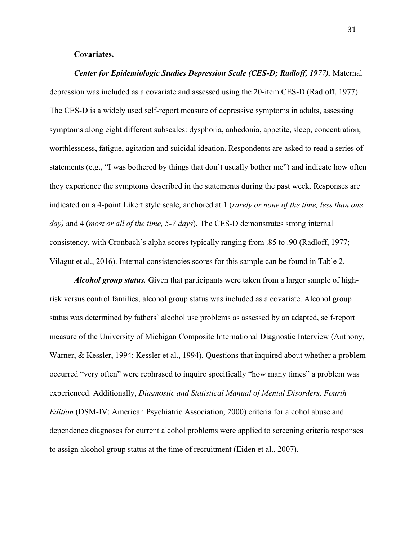## **Covariates.**

*Center for Epidemiologic Studies Depression Scale (CES-D; Radloff, 1977).* Maternal depression was included as a covariate and assessed using the 20-item CES-D (Radloff, 1977). The CES-D is a widely used self-report measure of depressive symptoms in adults, assessing symptoms along eight different subscales: dysphoria, anhedonia, appetite, sleep, concentration, worthlessness, fatigue, agitation and suicidal ideation. Respondents are asked to read a series of statements (e.g., "I was bothered by things that don't usually bother me") and indicate how often they experience the symptoms described in the statements during the past week. Responses are indicated on a 4-point Likert style scale, anchored at 1 (*rarely or none of the time, less than one day)* and 4 (*most or all of the time, 5-7 days*). The CES-D demonstrates strong internal consistency, with Cronbach's alpha scores typically ranging from .85 to .90 (Radloff, 1977; Vilagut et al., 2016). Internal consistencies scores for this sample can be found in Table 2.

*Alcohol group status.* Given that participants were taken from a larger sample of highrisk versus control families, alcohol group status was included as a covariate. Alcohol group status was determined by fathers' alcohol use problems as assessed by an adapted, self-report measure of the University of Michigan Composite International Diagnostic Interview (Anthony, Warner, & Kessler, 1994; Kessler et al., 1994). Questions that inquired about whether a problem occurred "very often" were rephrased to inquire specifically "how many times" a problem was experienced. Additionally, *Diagnostic and Statistical Manual of Mental Disorders, Fourth Edition* (DSM-IV; American Psychiatric Association, 2000) criteria for alcohol abuse and dependence diagnoses for current alcohol problems were applied to screening criteria responses to assign alcohol group status at the time of recruitment (Eiden et al., 2007).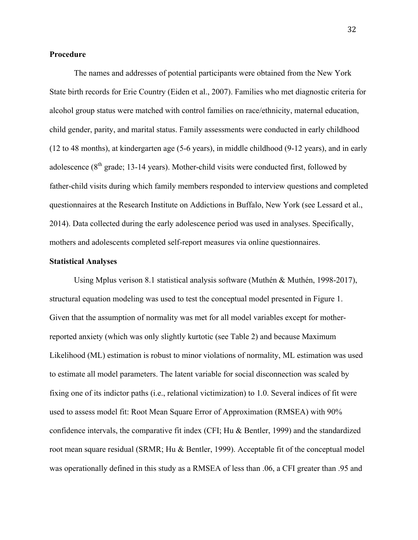## **Procedure**

The names and addresses of potential participants were obtained from the New York State birth records for Erie Country (Eiden et al., 2007). Families who met diagnostic criteria for alcohol group status were matched with control families on race/ethnicity, maternal education, child gender, parity, and marital status. Family assessments were conducted in early childhood (12 to 48 months), at kindergarten age (5-6 years), in middle childhood (9-12 years), and in early adolescence  $(8<sup>th</sup> grade; 13-14 years)$ . Mother-child visits were conducted first, followed by father-child visits during which family members responded to interview questions and completed questionnaires at the Research Institute on Addictions in Buffalo, New York (see Lessard et al., 2014). Data collected during the early adolescence period was used in analyses. Specifically, mothers and adolescents completed self-report measures via online questionnaires.

#### **Statistical Analyses**

Using Mplus verison 8.1 statistical analysis software (Muthén & Muthén, 1998-2017), structural equation modeling was used to test the conceptual model presented in Figure 1. Given that the assumption of normality was met for all model variables except for motherreported anxiety (which was only slightly kurtotic (see Table 2) and because Maximum Likelihood (ML) estimation is robust to minor violations of normality, ML estimation was used to estimate all model parameters. The latent variable for social disconnection was scaled by fixing one of its indictor paths (i.e., relational victimization) to 1.0. Several indices of fit were used to assess model fit: Root Mean Square Error of Approximation (RMSEA) with 90% confidence intervals, the comparative fit index (CFI; Hu & Bentler, 1999) and the standardized root mean square residual (SRMR; Hu & Bentler, 1999). Acceptable fit of the conceptual model was operationally defined in this study as a RMSEA of less than .06, a CFI greater than .95 and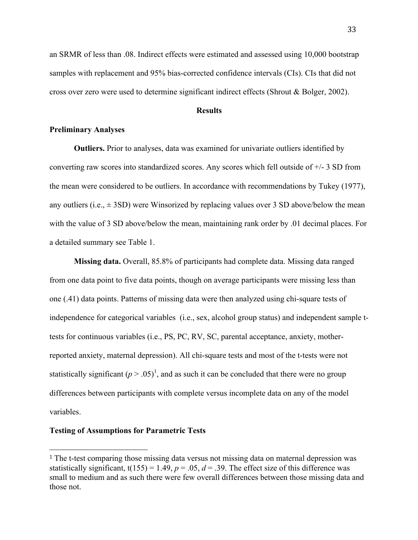an SRMR of less than .08. Indirect effects were estimated and assessed using 10,000 bootstrap samples with replacement and 95% bias-corrected confidence intervals (CIs). CIs that did not cross over zero were used to determine significant indirect effects (Shrout & Bolger, 2002).

# **Results**

## **Preliminary Analyses**

**Outliers.** Prior to analyses, data was examined for univariate outliers identified by converting raw scores into standardized scores. Any scores which fell outside of  $+/-3$  SD from the mean were considered to be outliers. In accordance with recommendations by Tukey (1977), any outliers (i.e.,  $\pm$  3SD) were Winsorized by replacing values over 3 SD above/below the mean with the value of 3 SD above/below the mean, maintaining rank order by 0.01 decimal places. For a detailed summary see Table 1.

**Missing data.** Overall, 85.8% of participants had complete data. Missing data ranged from one data point to five data points, though on average participants were missing less than one (.41) data points. Patterns of missing data were then analyzed using chi-square tests of independence for categorical variables (i.e., sex, alcohol group status) and independent sample ttests for continuous variables (i.e., PS, PC, RV, SC, parental acceptance, anxiety, motherreported anxiety, maternal depression). All chi-square tests and most of the t-tests were not statistically significant  $(p > .05)^1$ , and as such it can be concluded that there were no group differences between participants with complete versus incomplete data on any of the model variables.

#### **Testing of Assumptions for Parametric Tests**

 

<sup>1</sup> The t-test comparing those missing data versus not missing data on maternal depression was statistically significant,  $t(155) = 1.49$ ,  $p = .05$ ,  $d = .39$ . The effect size of this difference was small to medium and as such there were few overall differences between those missing data and those not.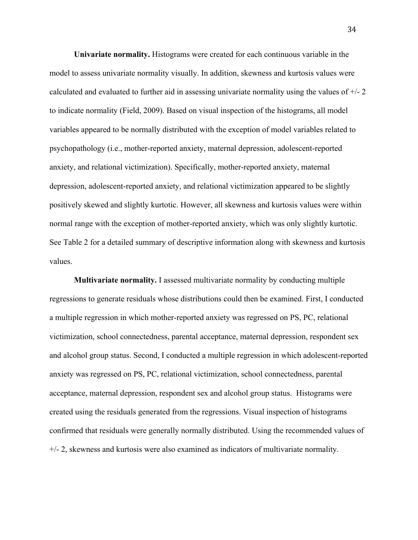**Univariate normality.** Histograms were created for each continuous variable in the model to assess univariate normality visually. In addition, skewness and kurtosis values were calculated and evaluated to further aid in assessing univariate normality using the values of +/- 2 to indicate normality (Field, 2009). Based on visual inspection of the histograms, all model variables appeared to be normally distributed with the exception of model variables related to psychopathology (i.e., mother-reported anxiety, maternal depression, adolescent-reported anxiety, and relational victimization). Specifically, mother-reported anxiety, maternal depression, adolescent-reported anxiety, and relational victimization appeared to be slightly positively skewed and slightly kurtotic. However, all skewness and kurtosis values were within normal range with the exception of mother-reported anxiety, which was only slightly kurtotic. See Table 2 for a detailed summary of descriptive information along with skewness and kurtosis values.

**Multivariate normality.** I assessed multivariate normality by conducting multiple regressions to generate residuals whose distributions could then be examined. First, I conducted a multiple regression in which mother-reported anxiety was regressed on PS, PC, relational victimization, school connectedness, parental acceptance, maternal depression, respondent sex and alcohol group status. Second, I conducted a multiple regression in which adolescent-reported anxiety was regressed on PS, PC, relational victimization, school connectedness, parental acceptance, maternal depression, respondent sex and alcohol group status. Histograms were created using the residuals generated from the regressions. Visual inspection of histograms confirmed that residuals were generally normally distributed. Using the recommended values of +/- 2, skewness and kurtosis were also examined as indicators of multivariate normality.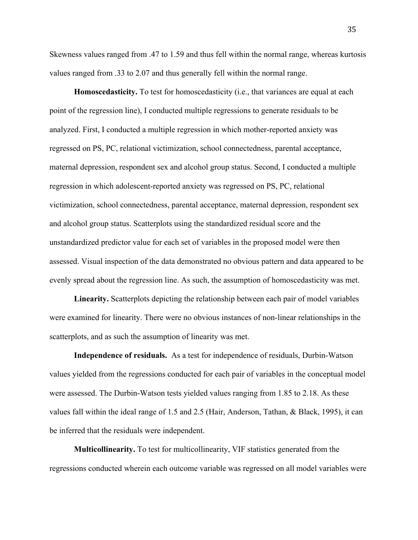Skewness values ranged from .47 to 1.59 and thus fell within the normal range, whereas kurtosis values ranged from .33 to 2.07 and thus generally fell within the normal range.

**Homoscedasticity.** To test for homoscedasticity (i.e., that variances are equal at each point of the regression line), I conducted multiple regressions to generate residuals to be analyzed. First, I conducted a multiple regression in which mother-reported anxiety was regressed on PS, PC, relational victimization, school connectedness, parental acceptance, maternal depression, respondent sex and alcohol group status. Second, I conducted a multiple regression in which adolescent-reported anxiety was regressed on PS, PC, relational victimization, school connectedness, parental acceptance, maternal depression, respondent sex and alcohol group status. Scatterplots using the standardized residual score and the unstandardized predictor value for each set of variables in the proposed model were then assessed. Visual inspection of the data demonstrated no obvious pattern and data appeared to be evenly spread about the regression line. As such, the assumption of homoscedasticity was met.

**Linearity.** Scatterplots depicting the relationship between each pair of model variables were examined for linearity. There were no obvious instances of non-linear relationships in the scatterplots, and as such the assumption of linearity was met.

**Independence of residuals.** As a test for independence of residuals, Durbin-Watson values yielded from the regressions conducted for each pair of variables in the conceptual model were assessed. The Durbin-Watson tests yielded values ranging from 1.85 to 2.18. As these values fall within the ideal range of 1.5 and 2.5 (Hair, Anderson, Tathan, & Black, 1995), it can be inferred that the residuals were independent.

**Multicollinearity.** To test for multicollinearity, VIF statistics generated from the regressions conducted wherein each outcome variable was regressed on all model variables were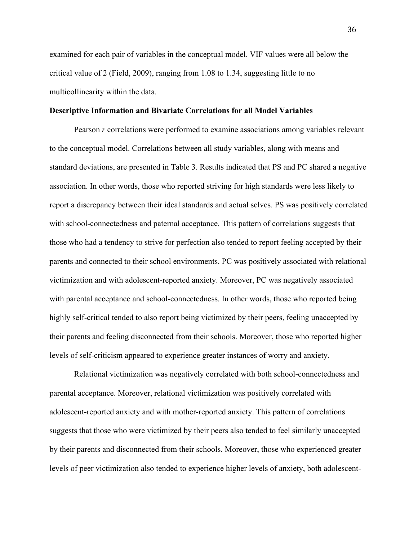examined for each pair of variables in the conceptual model. VIF values were all below the critical value of 2 (Field, 2009), ranging from 1.08 to 1.34, suggesting little to no multicollinearity within the data.

### **Descriptive Information and Bivariate Correlations for all Model Variables**

Pearson *r* correlations were performed to examine associations among variables relevant to the conceptual model. Correlations between all study variables, along with means and standard deviations, are presented in Table 3. Results indicated that PS and PC shared a negative association. In other words, those who reported striving for high standards were less likely to report a discrepancy between their ideal standards and actual selves. PS was positively correlated with school-connectedness and paternal acceptance. This pattern of correlations suggests that those who had a tendency to strive for perfection also tended to report feeling accepted by their parents and connected to their school environments. PC was positively associated with relational victimization and with adolescent-reported anxiety. Moreover, PC was negatively associated with parental acceptance and school-connectedness. In other words, those who reported being highly self-critical tended to also report being victimized by their peers, feeling unaccepted by their parents and feeling disconnected from their schools. Moreover, those who reported higher levels of self-criticism appeared to experience greater instances of worry and anxiety.

Relational victimization was negatively correlated with both school-connectedness and parental acceptance. Moreover, relational victimization was positively correlated with adolescent-reported anxiety and with mother-reported anxiety. This pattern of correlations suggests that those who were victimized by their peers also tended to feel similarly unaccepted by their parents and disconnected from their schools. Moreover, those who experienced greater levels of peer victimization also tended to experience higher levels of anxiety, both adolescent-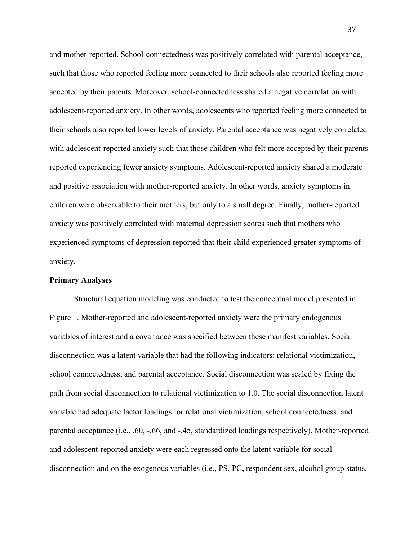and mother-reported. School-connectedness was positively correlated with parental acceptance, such that those who reported feeling more connected to their schools also reported feeling more accepted by their parents. Moreover, school-connectedness shared a negative correlation with adolescent-reported anxiety. In other words, adolescents who reported feeling more connected to their schools also reported lower levels of anxiety. Parental acceptance was negatively correlated with adolescent-reported anxiety such that those children who felt more accepted by their parents reported experiencing fewer anxiety symptoms. Adolescent-reported anxiety shared a moderate and positive association with mother-reported anxiety. In other words, anxiety symptoms in children were observable to their mothers, but only to a small degree. Finally, mother-reported anxiety was positively correlated with maternal depression scores such that mothers who experienced symptoms of depression reported that their child experienced greater symptoms of anxiety.

## **Primary Analyses**

Structural equation modeling was conducted to test the conceptual model presented in Figure 1. Mother-reported and adolescent-reported anxiety were the primary endogenous variables of interest and a covariance was specified between these manifest variables. Social disconnection was a latent variable that had the following indicators: relational victimization, school connectedness, and parental acceptance. Social disconnection was scaled by fixing the path from social disconnection to relational victimization to 1.0. The social disconnection latent variable had adequate factor loadings for relational victimization, school connectedness, and parental acceptance (i.e., .60, -.66, and -.45, standardized loadings respectively). Mother-reported and adolescent-reported anxiety were each regressed onto the latent variable for social disconnection and on the exogenous variables (i.e., PS, PC**,** respondent sex, alcohol group status,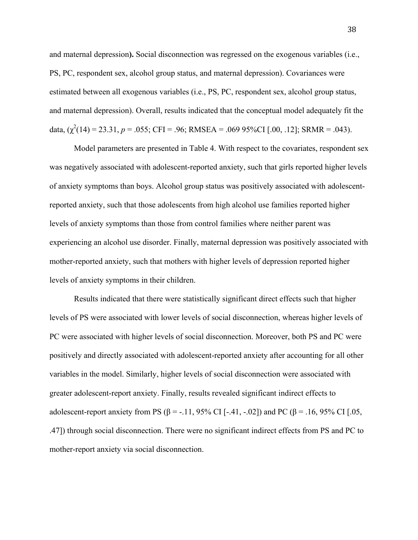and maternal depression**).** Social disconnection was regressed on the exogenous variables (i.e., PS, PC, respondent sex, alcohol group status, and maternal depression). Covariances were estimated between all exogenous variables (i.e., PS, PC, respondent sex, alcohol group status, and maternal depression). Overall, results indicated that the conceptual model adequately fit the data,  $(\chi^2(14) = 23.31, p = .055; CFI = .96; RMSEA = .069 95\% CI [.00, .12]; SRMR = .043)$ .

Model parameters are presented in Table 4. With respect to the covariates, respondent sex was negatively associated with adolescent-reported anxiety, such that girls reported higher levels of anxiety symptoms than boys. Alcohol group status was positively associated with adolescentreported anxiety, such that those adolescents from high alcohol use families reported higher levels of anxiety symptoms than those from control families where neither parent was experiencing an alcohol use disorder. Finally, maternal depression was positively associated with mother-reported anxiety, such that mothers with higher levels of depression reported higher levels of anxiety symptoms in their children.

Results indicated that there were statistically significant direct effects such that higher levels of PS were associated with lower levels of social disconnection, whereas higher levels of PC were associated with higher levels of social disconnection. Moreover, both PS and PC were positively and directly associated with adolescent-reported anxiety after accounting for all other variables in the model. Similarly, higher levels of social disconnection were associated with greater adolescent-report anxiety. Finally, results revealed significant indirect effects to adolescent-report anxiety from PS ( $\beta$  = -.11, 95% CI [-.41, -.02]) and PC ( $\beta$  = .16, 95% CI [.05, .47]) through social disconnection. There were no significant indirect effects from PS and PC to mother-report anxiety via social disconnection.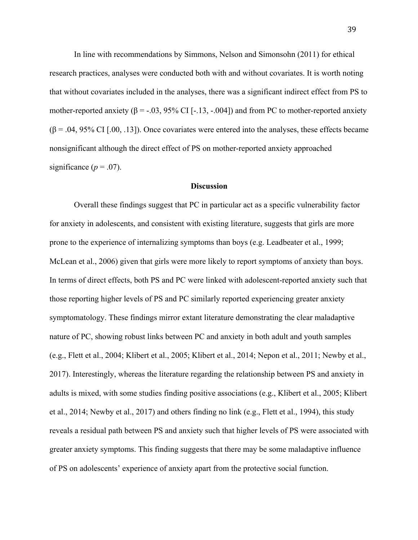In line with recommendations by Simmons, Nelson and Simonsohn (2011) for ethical research practices, analyses were conducted both with and without covariates. It is worth noting that without covariates included in the analyses, there was a significant indirect effect from PS to mother-reported anxiety ( $\beta$  = -.03, 95% CI [-.13, -.004]) and from PC to mother-reported anxiety  $(\beta = .04, 95\% \text{ CI}$  [.00, .13]). Once covariates were entered into the analyses, these effects became nonsignificant although the direct effect of PS on mother-reported anxiety approached significance  $(p = .07)$ .

#### **Discussion**

Overall these findings suggest that PC in particular act as a specific vulnerability factor for anxiety in adolescents, and consistent with existing literature, suggests that girls are more prone to the experience of internalizing symptoms than boys (e.g. Leadbeater et al., 1999; McLean et al., 2006) given that girls were more likely to report symptoms of anxiety than boys. In terms of direct effects, both PS and PC were linked with adolescent-reported anxiety such that those reporting higher levels of PS and PC similarly reported experiencing greater anxiety symptomatology. These findings mirror extant literature demonstrating the clear maladaptive nature of PC, showing robust links between PC and anxiety in both adult and youth samples (e.g., Flett et al., 2004; Klibert et al., 2005; Klibert et al., 2014; Nepon et al., 2011; Newby et al., 2017). Interestingly, whereas the literature regarding the relationship between PS and anxiety in adults is mixed, with some studies finding positive associations (e.g., Klibert et al., 2005; Klibert et al., 2014; Newby et al., 2017) and others finding no link (e.g., Flett et al., 1994), this study reveals a residual path between PS and anxiety such that higher levels of PS were associated with greater anxiety symptoms. This finding suggests that there may be some maladaptive influence of PS on adolescents' experience of anxiety apart from the protective social function.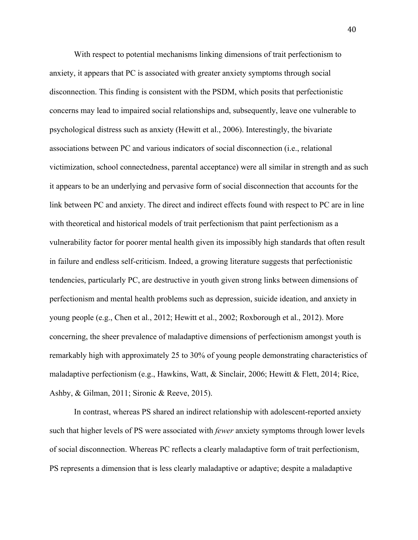With respect to potential mechanisms linking dimensions of trait perfectionism to anxiety, it appears that PC is associated with greater anxiety symptoms through social disconnection. This finding is consistent with the PSDM, which posits that perfectionistic concerns may lead to impaired social relationships and, subsequently, leave one vulnerable to psychological distress such as anxiety (Hewitt et al., 2006). Interestingly, the bivariate associations between PC and various indicators of social disconnection (i.e., relational victimization, school connectedness, parental acceptance) were all similar in strength and as such it appears to be an underlying and pervasive form of social disconnection that accounts for the link between PC and anxiety. The direct and indirect effects found with respect to PC are in line with theoretical and historical models of trait perfectionism that paint perfectionism as a vulnerability factor for poorer mental health given its impossibly high standards that often result in failure and endless self-criticism. Indeed, a growing literature suggests that perfectionistic tendencies, particularly PC, are destructive in youth given strong links between dimensions of perfectionism and mental health problems such as depression, suicide ideation, and anxiety in young people (e.g., Chen et al., 2012; Hewitt et al., 2002; Roxborough et al., 2012). More concerning, the sheer prevalence of maladaptive dimensions of perfectionism amongst youth is remarkably high with approximately 25 to 30% of young people demonstrating characteristics of maladaptive perfectionism (e.g., Hawkins, Watt, & Sinclair, 2006; Hewitt & Flett, 2014; Rice, Ashby, & Gilman, 2011; Sironic & Reeve, 2015).

In contrast, whereas PS shared an indirect relationship with adolescent-reported anxiety such that higher levels of PS were associated with *fewer* anxiety symptoms through lower levels of social disconnection. Whereas PC reflects a clearly maladaptive form of trait perfectionism, PS represents a dimension that is less clearly maladaptive or adaptive; despite a maladaptive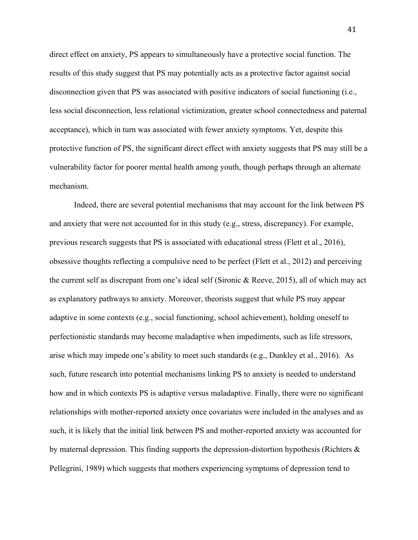direct effect on anxiety, PS appears to simultaneously have a protective social function. The results of this study suggest that PS may potentially acts as a protective factor against social disconnection given that PS was associated with positive indicators of social functioning (i.e., less social disconnection, less relational victimization, greater school connectedness and paternal acceptance), which in turn was associated with fewer anxiety symptoms. Yet, despite this protective function of PS, the significant direct effect with anxiety suggests that PS may still be a vulnerability factor for poorer mental health among youth, though perhaps through an alternate mechanism.

Indeed, there are several potential mechanisms that may account for the link between PS and anxiety that were not accounted for in this study (e.g., stress, discrepancy). For example, previous research suggests that PS is associated with educational stress (Flett et al., 2016), obsessive thoughts reflecting a compulsive need to be perfect (Flett et al., 2012) and perceiving the current self as discrepant from one's ideal self (Sironic & Reeve, 2015), all of which may act as explanatory pathways to anxiety. Moreover, theorists suggest that while PS may appear adaptive in some contexts (e.g., social functioning, school achievement), holding oneself to perfectionistic standards may become maladaptive when impediments, such as life stressors, arise which may impede one's ability to meet such standards (e.g., Dunkley et al., 2016). As such, future research into potential mechanisms linking PS to anxiety is needed to understand how and in which contexts PS is adaptive versus maladaptive. Finally, there were no significant relationships with mother-reported anxiety once covariates were included in the analyses and as such, it is likely that the initial link between PS and mother-reported anxiety was accounted for by maternal depression. This finding supports the depression-distortion hypothesis (Richters & Pellegrini, 1989) which suggests that mothers experiencing symptoms of depression tend to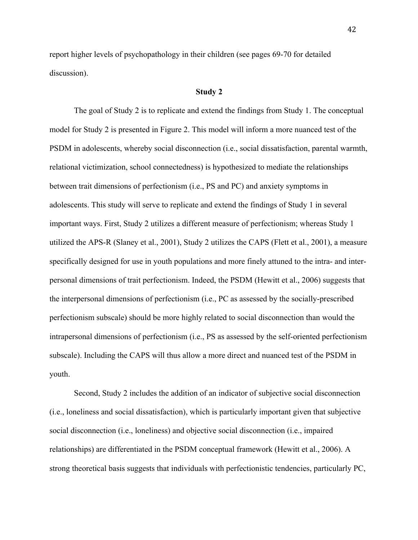report higher levels of psychopathology in their children (see pages 69-70 for detailed discussion).

### **Study 2**

The goal of Study 2 is to replicate and extend the findings from Study 1. The conceptual model for Study 2 is presented in Figure 2. This model will inform a more nuanced test of the PSDM in adolescents, whereby social disconnection (i.e., social dissatisfaction, parental warmth, relational victimization, school connectedness) is hypothesized to mediate the relationships between trait dimensions of perfectionism (i.e., PS and PC) and anxiety symptoms in adolescents. This study will serve to replicate and extend the findings of Study 1 in several important ways. First, Study 2 utilizes a different measure of perfectionism; whereas Study 1 utilized the APS-R (Slaney et al., 2001), Study 2 utilizes the CAPS (Flett et al., 2001), a measure specifically designed for use in youth populations and more finely attuned to the intra- and interpersonal dimensions of trait perfectionism. Indeed, the PSDM (Hewitt et al., 2006) suggests that the interpersonal dimensions of perfectionism (i.e., PC as assessed by the socially-prescribed perfectionism subscale) should be more highly related to social disconnection than would the intrapersonal dimensions of perfectionism (i.e., PS as assessed by the self-oriented perfectionism subscale). Including the CAPS will thus allow a more direct and nuanced test of the PSDM in youth.

Second, Study 2 includes the addition of an indicator of subjective social disconnection (i.e., loneliness and social dissatisfaction), which is particularly important given that subjective social disconnection (i.e., loneliness) and objective social disconnection (i.e., impaired relationships) are differentiated in the PSDM conceptual framework (Hewitt et al., 2006). A strong theoretical basis suggests that individuals with perfectionistic tendencies, particularly PC,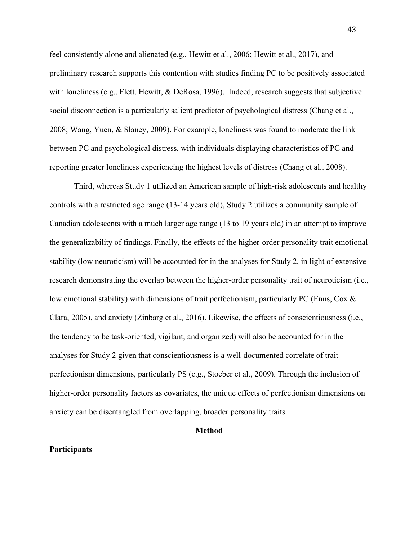feel consistently alone and alienated (e.g., Hewitt et al., 2006; Hewitt et al., 2017), and preliminary research supports this contention with studies finding PC to be positively associated with loneliness (e.g., Flett, Hewitt,  $\&$  DeRosa, 1996). Indeed, research suggests that subjective social disconnection is a particularly salient predictor of psychological distress (Chang et al., 2008; Wang, Yuen, & Slaney, 2009). For example, loneliness was found to moderate the link between PC and psychological distress, with individuals displaying characteristics of PC and reporting greater loneliness experiencing the highest levels of distress (Chang et al., 2008).

Third, whereas Study 1 utilized an American sample of high-risk adolescents and healthy controls with a restricted age range (13-14 years old), Study 2 utilizes a community sample of Canadian adolescents with a much larger age range (13 to 19 years old) in an attempt to improve the generalizability of findings. Finally, the effects of the higher-order personality trait emotional stability (low neuroticism) will be accounted for in the analyses for Study 2, in light of extensive research demonstrating the overlap between the higher-order personality trait of neuroticism (i.e., low emotional stability) with dimensions of trait perfectionism, particularly PC (Enns, Cox & Clara, 2005), and anxiety (Zinbarg et al., 2016). Likewise, the effects of conscientiousness (i.e., the tendency to be task-oriented, vigilant, and organized) will also be accounted for in the analyses for Study 2 given that conscientiousness is a well-documented correlate of trait perfectionism dimensions, particularly PS (e.g., Stoeber et al., 2009). Through the inclusion of higher-order personality factors as covariates, the unique effects of perfectionism dimensions on anxiety can be disentangled from overlapping, broader personality traits.

#### **Method**

### **Participants**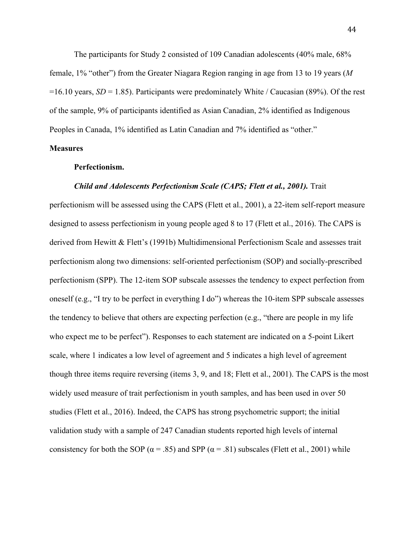The participants for Study 2 consisted of 109 Canadian adolescents (40% male, 68% female, 1% "other") from the Greater Niagara Region ranging in age from 13 to 19 years (*M* =16.10 years, *SD* = 1.85). Participants were predominately White / Caucasian (89%). Of the rest of the sample, 9% of participants identified as Asian Canadian, 2% identified as Indigenous Peoples in Canada, 1% identified as Latin Canadian and 7% identified as "other."

# **Measures**

### **Perfectionism.**

### *Child and Adolescents Perfectionism Scale (CAPS; Flett et al., 2001).* Trait

perfectionism will be assessed using the CAPS (Flett et al., 2001), a 22-item self-report measure designed to assess perfectionism in young people aged 8 to 17 (Flett et al., 2016). The CAPS is derived from Hewitt & Flett's (1991b) Multidimensional Perfectionism Scale and assesses trait perfectionism along two dimensions: self-oriented perfectionism (SOP) and socially-prescribed perfectionism (SPP). The 12-item SOP subscale assesses the tendency to expect perfection from oneself (e.g., "I try to be perfect in everything I do") whereas the 10-item SPP subscale assesses the tendency to believe that others are expecting perfection (e.g., "there are people in my life who expect me to be perfect"). Responses to each statement are indicated on a 5-point Likert scale, where 1 indicates a low level of agreement and 5 indicates a high level of agreement though three items require reversing (items 3, 9, and 18; Flett et al., 2001). The CAPS is the most widely used measure of trait perfectionism in youth samples, and has been used in over 50 studies (Flett et al., 2016). Indeed, the CAPS has strong psychometric support; the initial validation study with a sample of 247 Canadian students reported high levels of internal consistency for both the SOP ( $\alpha$  = .85) and SPP ( $\alpha$  = .81) subscales (Flett et al., 2001) while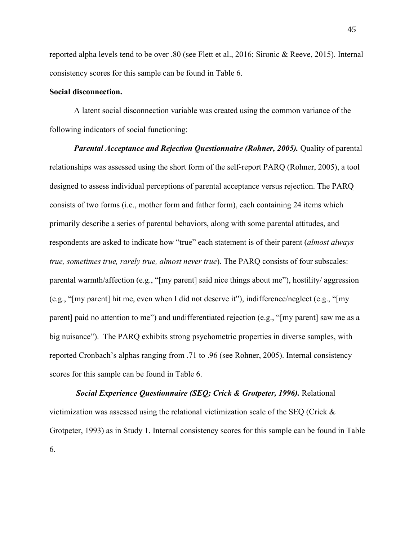reported alpha levels tend to be over .80 (see Flett et al., 2016; Sironic & Reeve, 2015). Internal consistency scores for this sample can be found in Table 6.

## **Social disconnection.**

A latent social disconnection variable was created using the common variance of the following indicators of social functioning:

*Parental Acceptance and Rejection Questionnaire (Rohner, 2005).* Quality of parental relationships was assessed using the short form of the self-report PARQ (Rohner, 2005), a tool designed to assess individual perceptions of parental acceptance versus rejection. The PARQ consists of two forms (i.e., mother form and father form), each containing 24 items which primarily describe a series of parental behaviors, along with some parental attitudes, and respondents are asked to indicate how "true" each statement is of their parent (*almost always true, sometimes true, rarely true, almost never true*). The PARQ consists of four subscales: parental warmth/affection (e.g., "[my parent] said nice things about me"), hostility/ aggression (e.g., "[my parent] hit me, even when I did not deserve it"), indifference/neglect (e.g., "[my parent] paid no attention to me") and undifferentiated rejection (e.g., "[my parent] saw me as a big nuisance"). The PARQ exhibits strong psychometric properties in diverse samples, with reported Cronbach's alphas ranging from .71 to .96 (see Rohner, 2005). Internal consistency scores for this sample can be found in Table 6.

*Social Experience Questionnaire (SEQ; Crick & Grotpeter, 1996).* Relational victimization was assessed using the relational victimization scale of the SEQ (Crick  $\&$ Grotpeter, 1993) as in Study 1. Internal consistency scores for this sample can be found in Table 6.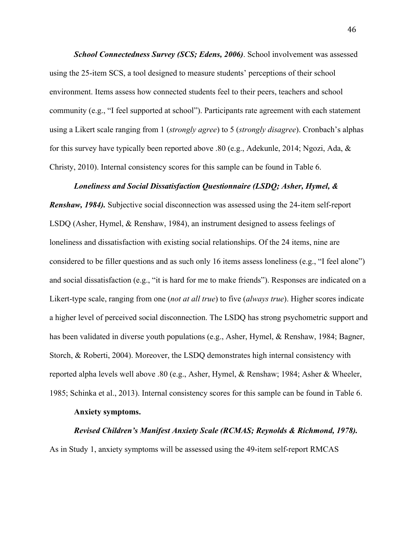*School Connectedness Survey (SCS; Edens, 2006)*. School involvement was assessed using the 25-item SCS, a tool designed to measure students' perceptions of their school environment. Items assess how connected students feel to their peers, teachers and school community (e.g., "I feel supported at school"). Participants rate agreement with each statement using a Likert scale ranging from 1 (*strongly agree*) to 5 (*strongly disagree*). Cronbach's alphas for this survey have typically been reported above .80 (e.g., Adekunle, 2014; Ngozi, Ada, & Christy, 2010). Internal consistency scores for this sample can be found in Table 6.

### *Loneliness and Social Dissatisfaction Questionnaire (LSDQ; Asher, Hymel, &*

*Renshaw, 1984).* Subjective social disconnection was assessed using the 24-item self-report LSDQ (Asher, Hymel, & Renshaw, 1984), an instrument designed to assess feelings of loneliness and dissatisfaction with existing social relationships. Of the 24 items, nine are considered to be filler questions and as such only 16 items assess loneliness (e.g., "I feel alone") and social dissatisfaction (e.g., "it is hard for me to make friends"). Responses are indicated on a Likert-type scale, ranging from one (*not at all true*) to five (*always true*). Higher scores indicate a higher level of perceived social disconnection. The LSDQ has strong psychometric support and has been validated in diverse youth populations (e.g., Asher, Hymel, & Renshaw, 1984; Bagner, Storch, & Roberti, 2004). Moreover, the LSDQ demonstrates high internal consistency with reported alpha levels well above .80 (e.g., Asher, Hymel, & Renshaw; 1984; Asher & Wheeler, 1985; Schinka et al., 2013). Internal consistency scores for this sample can be found in Table 6.

### **Anxiety symptoms.**

#### *Revised Children's Manifest Anxiety Scale (RCMAS; Reynolds & Richmond, 1978).*

As in Study 1, anxiety symptoms will be assessed using the 49-item self-report RMCAS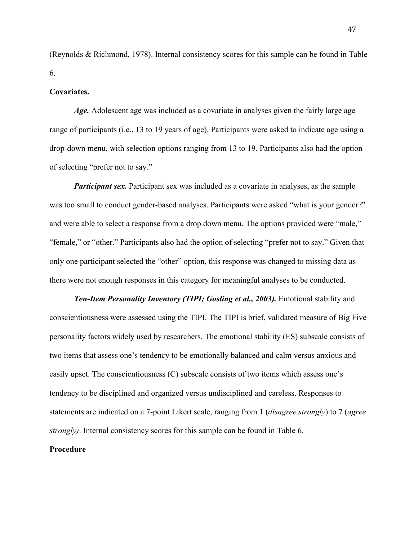(Reynolds & Richmond, 1978). Internal consistency scores for this sample can be found in Table 6.

### **Covariates.**

Age. Adolescent age was included as a covariate in analyses given the fairly large age range of participants (i.e., 13 to 19 years of age). Participants were asked to indicate age using a drop-down menu, with selection options ranging from 13 to 19. Participants also had the option of selecting "prefer not to say."

*Participant sex.* Participant sex was included as a covariate in analyses, as the sample was too small to conduct gender-based analyses. Participants were asked "what is your gender?" and were able to select a response from a drop down menu. The options provided were "male," "female," or "other." Participants also had the option of selecting "prefer not to say." Given that only one participant selected the "other" option, this response was changed to missing data as there were not enough responses in this category for meaningful analyses to be conducted.

**Ten-Item Personality Inventory (TIPI; Gosling et al., 2003).** Emotional stability and conscientiousness were assessed using the TIPI. The TIPI is brief, validated measure of Big Five personality factors widely used by researchers. The emotional stability (ES) subscale consists of two items that assess one's tendency to be emotionally balanced and calm versus anxious and easily upset. The conscientiousness (C) subscale consists of two items which assess one's tendency to be disciplined and organized versus undisciplined and careless. Responses to statements are indicated on a 7-point Likert scale, ranging from 1 (*disagree strongly*) to 7 (*agree strongly)*. Internal consistency scores for this sample can be found in Table 6.

## **Procedure**

47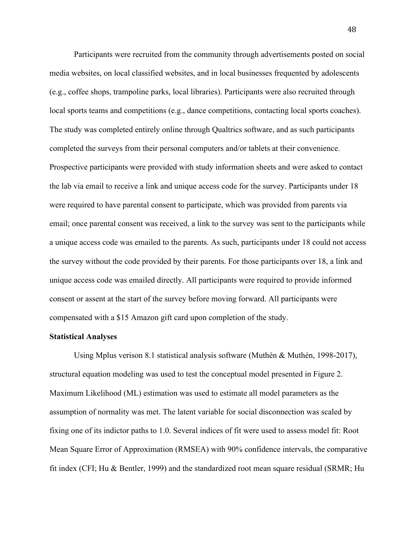Participants were recruited from the community through advertisements posted on social media websites, on local classified websites, and in local businesses frequented by adolescents (e.g., coffee shops, trampoline parks, local libraries). Participants were also recruited through local sports teams and competitions (e.g., dance competitions, contacting local sports coaches). The study was completed entirely online through Qualtrics software, and as such participants completed the surveys from their personal computers and/or tablets at their convenience. Prospective participants were provided with study information sheets and were asked to contact the lab via email to receive a link and unique access code for the survey. Participants under 18 were required to have parental consent to participate, which was provided from parents via email; once parental consent was received, a link to the survey was sent to the participants while a unique access code was emailed to the parents. As such, participants under 18 could not access the survey without the code provided by their parents. For those participants over 18, a link and unique access code was emailed directly. All participants were required to provide informed consent or assent at the start of the survey before moving forward. All participants were compensated with a \$15 Amazon gift card upon completion of the study.

### **Statistical Analyses**

Using Mplus verison 8.1 statistical analysis software (Muthén & Muthén, 1998-2017), structural equation modeling was used to test the conceptual model presented in Figure 2. Maximum Likelihood (ML) estimation was used to estimate all model parameters as the assumption of normality was met. The latent variable for social disconnection was scaled by fixing one of its indictor paths to 1.0. Several indices of fit were used to assess model fit: Root Mean Square Error of Approximation (RMSEA) with 90% confidence intervals, the comparative fit index (CFI; Hu & Bentler, 1999) and the standardized root mean square residual (SRMR; Hu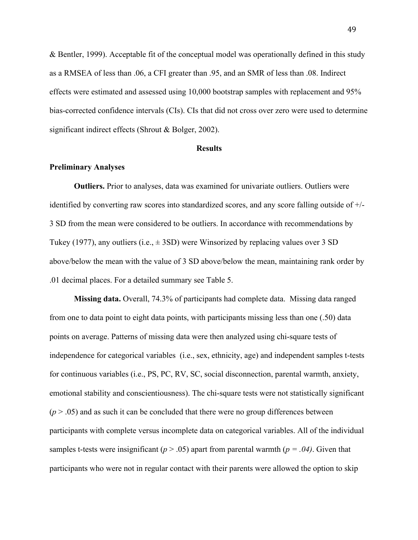& Bentler, 1999). Acceptable fit of the conceptual model was operationally defined in this study as a RMSEA of less than .06, a CFI greater than .95, and an SMR of less than .08. Indirect effects were estimated and assessed using 10,000 bootstrap samples with replacement and 95% bias-corrected confidence intervals (CIs). CIs that did not cross over zero were used to determine significant indirect effects (Shrout & Bolger, 2002).

#### **Results**

#### **Preliminary Analyses**

**Outliers.** Prior to analyses, data was examined for univariate outliers. Outliers were identified by converting raw scores into standardized scores, and any score falling outside of +/- 3 SD from the mean were considered to be outliers. In accordance with recommendations by Tukey (1977), any outliers (i.e.,  $\pm$  3SD) were Winsorized by replacing values over 3 SD above/below the mean with the value of 3 SD above/below the mean, maintaining rank order by .01 decimal places. For a detailed summary see Table 5.

**Missing data.** Overall, 74.3% of participants had complete data. Missing data ranged from one to data point to eight data points, with participants missing less than one (.50) data points on average. Patterns of missing data were then analyzed using chi-square tests of independence for categorical variables (i.e., sex, ethnicity, age) and independent samples t-tests for continuous variables (i.e., PS, PC, RV, SC, social disconnection, parental warmth, anxiety, emotional stability and conscientiousness). The chi-square tests were not statistically significant  $(p > .05)$  and as such it can be concluded that there were no group differences between participants with complete versus incomplete data on categorical variables. All of the individual samples t-tests were insignificant ( $p > .05$ ) apart from parental warmth ( $p = .04$ ). Given that participants who were not in regular contact with their parents were allowed the option to skip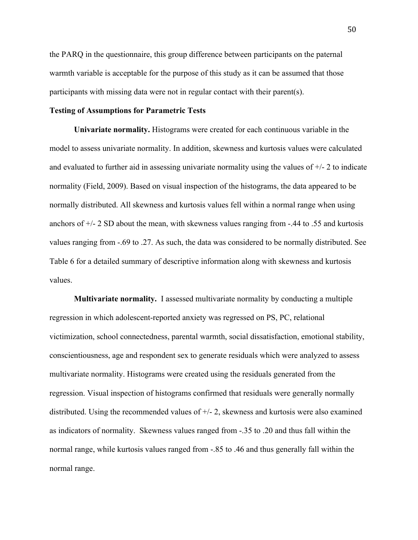the PARQ in the questionnaire, this group difference between participants on the paternal warmth variable is acceptable for the purpose of this study as it can be assumed that those participants with missing data were not in regular contact with their parent(s).

## **Testing of Assumptions for Parametric Tests**

**Univariate normality.** Histograms were created for each continuous variable in the model to assess univariate normality. In addition, skewness and kurtosis values were calculated and evaluated to further aid in assessing univariate normality using the values of  $+/-2$  to indicate normality (Field, 2009). Based on visual inspection of the histograms, the data appeared to be normally distributed. All skewness and kurtosis values fell within a normal range when using anchors of  $\pm/2$  SD about the mean, with skewness values ranging from  $-0.44$  to .55 and kurtosis values ranging from -.69 to .27. As such, the data was considered to be normally distributed. See Table 6 for a detailed summary of descriptive information along with skewness and kurtosis values.

**Multivariate normality.** I assessed multivariate normality by conducting a multiple regression in which adolescent-reported anxiety was regressed on PS, PC, relational victimization, school connectedness, parental warmth, social dissatisfaction, emotional stability, conscientiousness, age and respondent sex to generate residuals which were analyzed to assess multivariate normality. Histograms were created using the residuals generated from the regression. Visual inspection of histograms confirmed that residuals were generally normally distributed. Using the recommended values of  $+/-2$ , skewness and kurtosis were also examined as indicators of normality. Skewness values ranged from -.35 to .20 and thus fall within the normal range, while kurtosis values ranged from -.85 to .46 and thus generally fall within the normal range.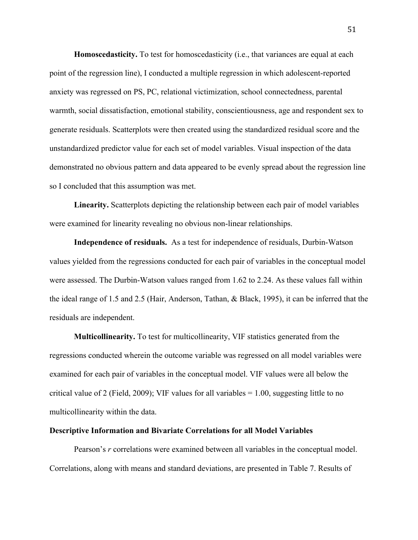**Homoscedasticity.** To test for homoscedasticity (i.e., that variances are equal at each point of the regression line), I conducted a multiple regression in which adolescent-reported anxiety was regressed on PS, PC, relational victimization, school connectedness, parental warmth, social dissatisfaction, emotional stability, conscientiousness, age and respondent sex to generate residuals. Scatterplots were then created using the standardized residual score and the unstandardized predictor value for each set of model variables. Visual inspection of the data demonstrated no obvious pattern and data appeared to be evenly spread about the regression line so I concluded that this assumption was met.

**Linearity.** Scatterplots depicting the relationship between each pair of model variables were examined for linearity revealing no obvious non-linear relationships.

**Independence of residuals.** As a test for independence of residuals, Durbin-Watson values yielded from the regressions conducted for each pair of variables in the conceptual model were assessed. The Durbin-Watson values ranged from 1.62 to 2.24. As these values fall within the ideal range of 1.5 and 2.5 (Hair, Anderson, Tathan, & Black, 1995), it can be inferred that the residuals are independent.

**Multicollinearity.** To test for multicollinearity, VIF statistics generated from the regressions conducted wherein the outcome variable was regressed on all model variables were examined for each pair of variables in the conceptual model. VIF values were all below the critical value of 2 (Field, 2009); VIF values for all variables = 1.00, suggesting little to no multicollinearity within the data.

#### **Descriptive Information and Bivariate Correlations for all Model Variables**

Pearson's *r* correlations were examined between all variables in the conceptual model. Correlations, along with means and standard deviations, are presented in Table 7. Results of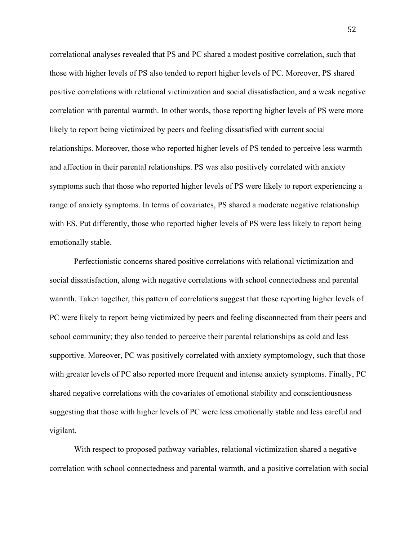correlational analyses revealed that PS and PC shared a modest positive correlation, such that those with higher levels of PS also tended to report higher levels of PC. Moreover, PS shared positive correlations with relational victimization and social dissatisfaction, and a weak negative correlation with parental warmth. In other words, those reporting higher levels of PS were more likely to report being victimized by peers and feeling dissatisfied with current social relationships. Moreover, those who reported higher levels of PS tended to perceive less warmth and affection in their parental relationships. PS was also positively correlated with anxiety symptoms such that those who reported higher levels of PS were likely to report experiencing a range of anxiety symptoms. In terms of covariates, PS shared a moderate negative relationship with ES. Put differently, those who reported higher levels of PS were less likely to report being emotionally stable.

Perfectionistic concerns shared positive correlations with relational victimization and social dissatisfaction, along with negative correlations with school connectedness and parental warmth. Taken together, this pattern of correlations suggest that those reporting higher levels of PC were likely to report being victimized by peers and feeling disconnected from their peers and school community; they also tended to perceive their parental relationships as cold and less supportive. Moreover, PC was positively correlated with anxiety symptomology, such that those with greater levels of PC also reported more frequent and intense anxiety symptoms. Finally, PC shared negative correlations with the covariates of emotional stability and conscientiousness suggesting that those with higher levels of PC were less emotionally stable and less careful and vigilant.

With respect to proposed pathway variables, relational victimization shared a negative correlation with school connectedness and parental warmth, and a positive correlation with social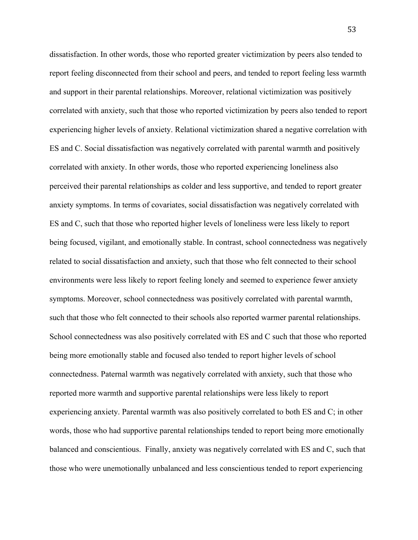dissatisfaction. In other words, those who reported greater victimization by peers also tended to report feeling disconnected from their school and peers, and tended to report feeling less warmth and support in their parental relationships. Moreover, relational victimization was positively correlated with anxiety, such that those who reported victimization by peers also tended to report experiencing higher levels of anxiety. Relational victimization shared a negative correlation with ES and C. Social dissatisfaction was negatively correlated with parental warmth and positively correlated with anxiety. In other words, those who reported experiencing loneliness also perceived their parental relationships as colder and less supportive, and tended to report greater anxiety symptoms. In terms of covariates, social dissatisfaction was negatively correlated with ES and C, such that those who reported higher levels of loneliness were less likely to report being focused, vigilant, and emotionally stable. In contrast, school connectedness was negatively related to social dissatisfaction and anxiety, such that those who felt connected to their school environments were less likely to report feeling lonely and seemed to experience fewer anxiety symptoms. Moreover, school connectedness was positively correlated with parental warmth, such that those who felt connected to their schools also reported warmer parental relationships. School connectedness was also positively correlated with ES and C such that those who reported being more emotionally stable and focused also tended to report higher levels of school connectedness. Paternal warmth was negatively correlated with anxiety, such that those who reported more warmth and supportive parental relationships were less likely to report experiencing anxiety. Parental warmth was also positively correlated to both ES and C; in other words, those who had supportive parental relationships tended to report being more emotionally balanced and conscientious. Finally, anxiety was negatively correlated with ES and C, such that those who were unemotionally unbalanced and less conscientious tended to report experiencing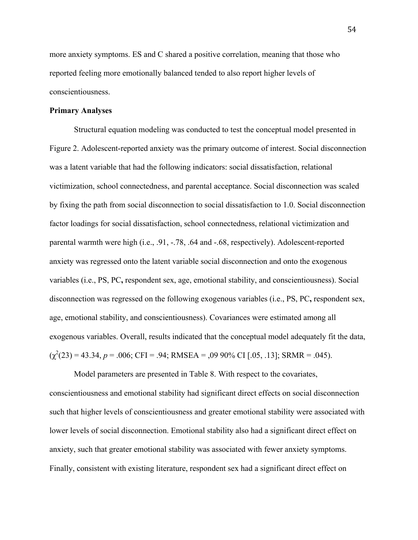more anxiety symptoms. ES and C shared a positive correlation, meaning that those who reported feeling more emotionally balanced tended to also report higher levels of conscientiousness.

# **Primary Analyses**

Structural equation modeling was conducted to test the conceptual model presented in Figure 2. Adolescent-reported anxiety was the primary outcome of interest. Social disconnection was a latent variable that had the following indicators: social dissatisfaction, relational victimization, school connectedness, and parental acceptance. Social disconnection was scaled by fixing the path from social disconnection to social dissatisfaction to 1.0. Social disconnection factor loadings for social dissatisfaction, school connectedness, relational victimization and parental warmth were high (i.e., .91, -.78, .64 and -.68, respectively). Adolescent-reported anxiety was regressed onto the latent variable social disconnection and onto the exogenous variables (i.e., PS, PC**,** respondent sex, age, emotional stability, and conscientiousness). Social disconnection was regressed on the following exogenous variables (i.e., PS, PC**,** respondent sex, age, emotional stability, and conscientiousness). Covariances were estimated among all exogenous variables. Overall, results indicated that the conceptual model adequately fit the data,  $(\chi^2(23) = 43.34, p = .006; CFI = .94; RMSEA = .09 90\% CI [.05, .13]; SRMR = .045).$ 

Model parameters are presented in Table 8. With respect to the covariates, conscientiousness and emotional stability had significant direct effects on social disconnection such that higher levels of conscientiousness and greater emotional stability were associated with lower levels of social disconnection. Emotional stability also had a significant direct effect on anxiety, such that greater emotional stability was associated with fewer anxiety symptoms. Finally, consistent with existing literature, respondent sex had a significant direct effect on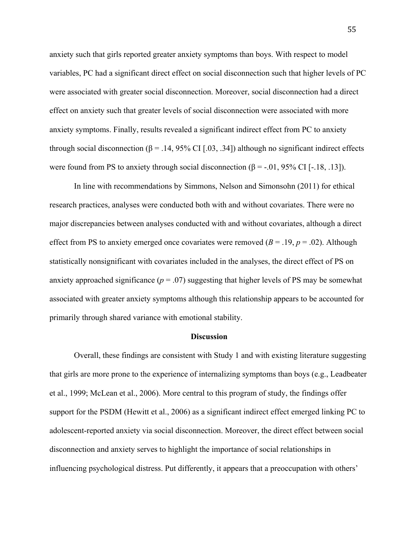anxiety such that girls reported greater anxiety symptoms than boys. With respect to model variables, PC had a significant direct effect on social disconnection such that higher levels of PC were associated with greater social disconnection. Moreover, social disconnection had a direct effect on anxiety such that greater levels of social disconnection were associated with more anxiety symptoms. Finally, results revealed a significant indirect effect from PC to anxiety through social disconnection (β = .14, 95% CI [.03, .34]) although no significant indirect effects were found from PS to anxiety through social disconnection  $(\beta = -0.01, 95\% \text{ CI} [-1.18, 0.13])$ .

In line with recommendations by Simmons, Nelson and Simonsohn (2011) for ethical research practices, analyses were conducted both with and without covariates. There were no major discrepancies between analyses conducted with and without covariates, although a direct effect from PS to anxiety emerged once covariates were removed  $(B = .19, p = .02)$ . Although statistically nonsignificant with covariates included in the analyses, the direct effect of PS on anxiety approached significance  $(p = .07)$  suggesting that higher levels of PS may be somewhat associated with greater anxiety symptoms although this relationship appears to be accounted for primarily through shared variance with emotional stability.

### **Discussion**

Overall, these findings are consistent with Study 1 and with existing literature suggesting that girls are more prone to the experience of internalizing symptoms than boys (e.g., Leadbeater et al., 1999; McLean et al., 2006). More central to this program of study, the findings offer support for the PSDM (Hewitt et al., 2006) as a significant indirect effect emerged linking PC to adolescent-reported anxiety via social disconnection. Moreover, the direct effect between social disconnection and anxiety serves to highlight the importance of social relationships in influencing psychological distress. Put differently, it appears that a preoccupation with others'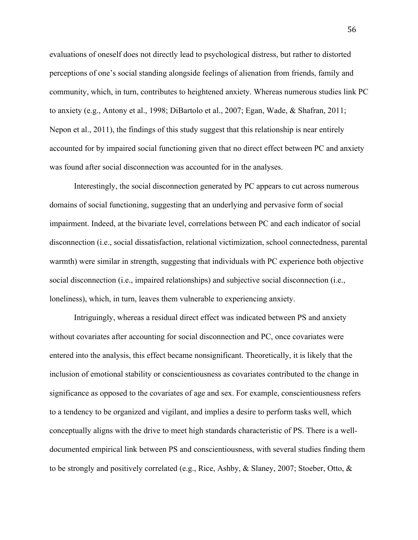evaluations of oneself does not directly lead to psychological distress, but rather to distorted perceptions of one's social standing alongside feelings of alienation from friends, family and community, which, in turn, contributes to heightened anxiety. Whereas numerous studies link PC to anxiety (e.g., Antony et al., 1998; DiBartolo et al., 2007; Egan, Wade, & Shafran, 2011; Nepon et al., 2011), the findings of this study suggest that this relationship is near entirely accounted for by impaired social functioning given that no direct effect between PC and anxiety was found after social disconnection was accounted for in the analyses.

Interestingly, the social disconnection generated by PC appears to cut across numerous domains of social functioning, suggesting that an underlying and pervasive form of social impairment. Indeed, at the bivariate level, correlations between PC and each indicator of social disconnection (i.e., social dissatisfaction, relational victimization, school connectedness, parental warmth) were similar in strength, suggesting that individuals with PC experience both objective social disconnection (i.e., impaired relationships) and subjective social disconnection (i.e., loneliness), which, in turn, leaves them vulnerable to experiencing anxiety.

Intriguingly, whereas a residual direct effect was indicated between PS and anxiety without covariates after accounting for social disconnection and PC, once covariates were entered into the analysis, this effect became nonsignificant. Theoretically, it is likely that the inclusion of emotional stability or conscientiousness as covariates contributed to the change in significance as opposed to the covariates of age and sex. For example, conscientiousness refers to a tendency to be organized and vigilant, and implies a desire to perform tasks well, which conceptually aligns with the drive to meet high standards characteristic of PS. There is a welldocumented empirical link between PS and conscientiousness, with several studies finding them to be strongly and positively correlated (e.g., Rice, Ashby, & Slaney, 2007; Stoeber, Otto, &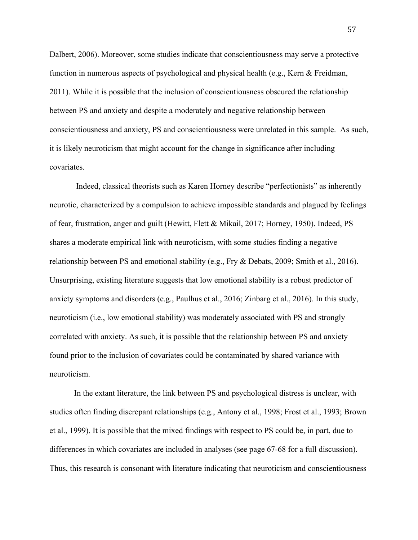Dalbert, 2006). Moreover, some studies indicate that conscientiousness may serve a protective function in numerous aspects of psychological and physical health (e.g., Kern & Freidman, 2011). While it is possible that the inclusion of conscientiousness obscured the relationship between PS and anxiety and despite a moderately and negative relationship between conscientiousness and anxiety, PS and conscientiousness were unrelated in this sample. As such, it is likely neuroticism that might account for the change in significance after including covariates.

Indeed, classical theorists such as Karen Horney describe "perfectionists" as inherently neurotic, characterized by a compulsion to achieve impossible standards and plagued by feelings of fear, frustration, anger and guilt (Hewitt, Flett & Mikail, 2017; Horney, 1950). Indeed, PS shares a moderate empirical link with neuroticism, with some studies finding a negative relationship between PS and emotional stability (e.g., Fry & Debats, 2009; Smith et al., 2016). Unsurprising, existing literature suggests that low emotional stability is a robust predictor of anxiety symptoms and disorders (e.g., Paulhus et al., 2016; Zinbarg et al., 2016). In this study, neuroticism (i.e., low emotional stability) was moderately associated with PS and strongly correlated with anxiety. As such, it is possible that the relationship between PS and anxiety found prior to the inclusion of covariates could be contaminated by shared variance with neuroticism.

In the extant literature, the link between PS and psychological distress is unclear, with studies often finding discrepant relationships (e.g., Antony et al., 1998; Frost et al., 1993; Brown et al., 1999). It is possible that the mixed findings with respect to PS could be, in part, due to differences in which covariates are included in analyses (see page 67-68 for a full discussion). Thus, this research is consonant with literature indicating that neuroticism and conscientiousness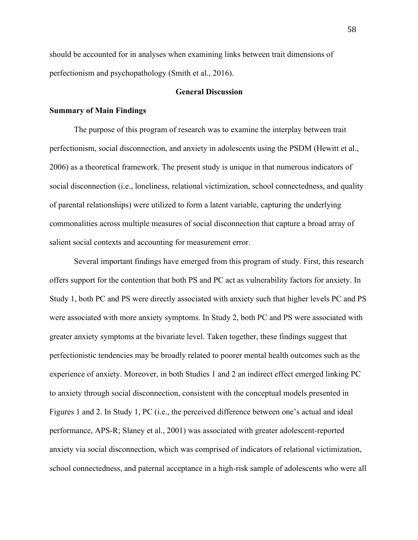should be accounted for in analyses when examining links between trait dimensions of perfectionism and psychopathology (Smith et al., 2016).

## **General Discussion**

## **Summary of Main Findings**

The purpose of this program of research was to examine the interplay between trait perfectionism, social disconnection, and anxiety in adolescents using the PSDM (Hewitt et al., 2006) as a theoretical framework. The present study is unique in that numerous indicators of social disconnection (i.e., loneliness, relational victimization, school connectedness, and quality of parental relationships) were utilized to form a latent variable, capturing the underlying commonalities across multiple measures of social disconnection that capture a broad array of salient social contexts and accounting for measurement error.

Several important findings have emerged from this program of study. First, this research offers support for the contention that both PS and PC act as vulnerability factors for anxiety. In Study 1, both PC and PS were directly associated with anxiety such that higher levels PC and PS were associated with more anxiety symptoms. In Study 2, both PC and PS were associated with greater anxiety symptoms at the bivariate level. Taken together, these findings suggest that perfectionistic tendencies may be broadly related to poorer mental health outcomes such as the experience of anxiety. Moreover, in both Studies 1 and 2 an indirect effect emerged linking PC to anxiety through social disconnection, consistent with the conceptual models presented in Figures 1 and 2. In Study 1, PC (i.e., the perceived difference between one's actual and ideal performance, APS-R; Slaney et al., 2001) was associated with greater adolescent-reported anxiety via social disconnection, which was comprised of indicators of relational victimization, school connectedness, and paternal acceptance in a high-risk sample of adolescents who were all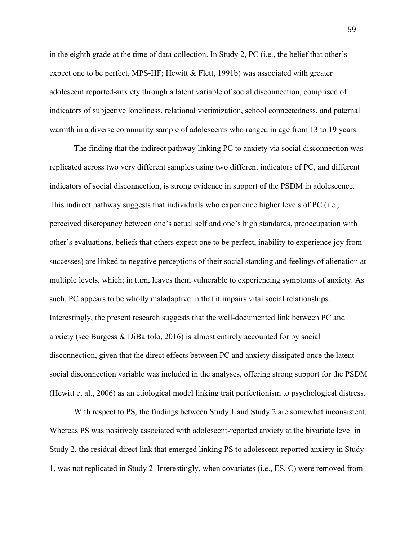in the eighth grade at the time of data collection. In Study 2, PC (i.e., the belief that other's expect one to be perfect, MPS-HF; Hewitt  $&$  Flett, 1991b) was associated with greater adolescent reported-anxiety through a latent variable of social disconnection, comprised of indicators of subjective loneliness, relational victimization, school connectedness, and paternal warmth in a diverse community sample of adolescents who ranged in age from 13 to 19 years.

The finding that the indirect pathway linking PC to anxiety via social disconnection was replicated across two very different samples using two different indicators of PC, and different indicators of social disconnection, is strong evidence in support of the PSDM in adolescence. This indirect pathway suggests that individuals who experience higher levels of PC (i.e., perceived discrepancy between one's actual self and one's high standards, preoccupation with other's evaluations, beliefs that others expect one to be perfect, inability to experience joy from successes) are linked to negative perceptions of their social standing and feelings of alienation at multiple levels, which; in turn, leaves them vulnerable to experiencing symptoms of anxiety. As such, PC appears to be wholly maladaptive in that it impairs vital social relationships. Interestingly, the present research suggests that the well-documented link between PC and anxiety (see Burgess & DiBartolo, 2016) is almost entirely accounted for by social disconnection, given that the direct effects between PC and anxiety dissipated once the latent social disconnection variable was included in the analyses, offering strong support for the PSDM (Hewitt et al., 2006) as an etiological model linking trait perfectionism to psychological distress.

With respect to PS, the findings between Study 1 and Study 2 are somewhat inconsistent. Whereas PS was positively associated with adolescent-reported anxiety at the bivariate level in Study 2, the residual direct link that emerged linking PS to adolescent-reported anxiety in Study 1, was not replicated in Study 2. Interestingly, when covariates (i.e., ES, C) were removed from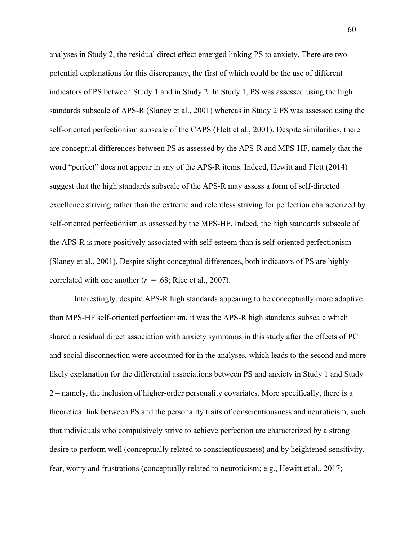analyses in Study 2, the residual direct effect emerged linking PS to anxiety. There are two potential explanations for this discrepancy, the first of which could be the use of different indicators of PS between Study 1 and in Study 2. In Study 1, PS was assessed using the high standards subscale of APS-R (Slaney et al., 2001) whereas in Study 2 PS was assessed using the self-oriented perfectionism subscale of the CAPS (Flett et al., 2001). Despite similarities, there are conceptual differences between PS as assessed by the APS-R and MPS-HF, namely that the word "perfect" does not appear in any of the APS-R items. Indeed, Hewitt and Flett (2014) suggest that the high standards subscale of the APS-R may assess a form of self-directed excellence striving rather than the extreme and relentless striving for perfection characterized by self-oriented perfectionism as assessed by the MPS-HF. Indeed, the high standards subscale of the APS-R is more positively associated with self-esteem than is self-oriented perfectionism (Slaney et al., 2001). Despite slight conceptual differences, both indicators of PS are highly correlated with one another  $(r = .68;$  Rice et al., 2007).

Interestingly, despite APS-R high standards appearing to be conceptually more adaptive than MPS-HF self-oriented perfectionism, it was the APS-R high standards subscale which shared a residual direct association with anxiety symptoms in this study after the effects of PC and social disconnection were accounted for in the analyses, which leads to the second and more likely explanation for the differential associations between PS and anxiety in Study 1 and Study 2 – namely, the inclusion of higher-order personality covariates. More specifically, there is a theoretical link between PS and the personality traits of conscientiousness and neuroticism, such that individuals who compulsively strive to achieve perfection are characterized by a strong desire to perform well (conceptually related to conscientiousness) and by heightened sensitivity, fear, worry and frustrations (conceptually related to neuroticism; e.g., Hewitt et al., 2017;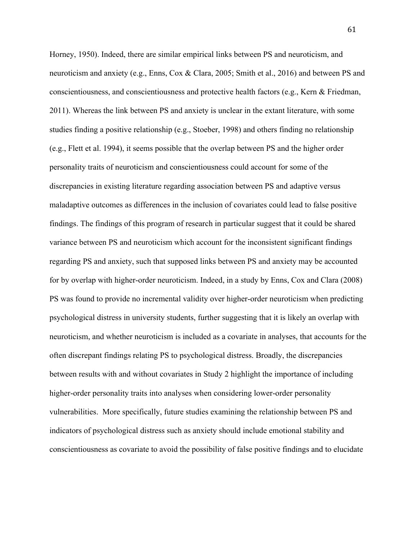Horney, 1950). Indeed, there are similar empirical links between PS and neuroticism, and neuroticism and anxiety (e.g., Enns, Cox & Clara, 2005; Smith et al., 2016) and between PS and conscientiousness, and conscientiousness and protective health factors (e.g., Kern & Friedman, 2011). Whereas the link between PS and anxiety is unclear in the extant literature, with some studies finding a positive relationship (e.g., Stoeber, 1998) and others finding no relationship (e.g., Flett et al. 1994), it seems possible that the overlap between PS and the higher order personality traits of neuroticism and conscientiousness could account for some of the discrepancies in existing literature regarding association between PS and adaptive versus maladaptive outcomes as differences in the inclusion of covariates could lead to false positive findings. The findings of this program of research in particular suggest that it could be shared variance between PS and neuroticism which account for the inconsistent significant findings regarding PS and anxiety, such that supposed links between PS and anxiety may be accounted for by overlap with higher-order neuroticism. Indeed, in a study by Enns, Cox and Clara (2008) PS was found to provide no incremental validity over higher-order neuroticism when predicting psychological distress in university students, further suggesting that it is likely an overlap with neuroticism, and whether neuroticism is included as a covariate in analyses, that accounts for the often discrepant findings relating PS to psychological distress. Broadly, the discrepancies between results with and without covariates in Study 2 highlight the importance of including higher-order personality traits into analyses when considering lower-order personality vulnerabilities. More specifically, future studies examining the relationship between PS and indicators of psychological distress such as anxiety should include emotional stability and conscientiousness as covariate to avoid the possibility of false positive findings and to elucidate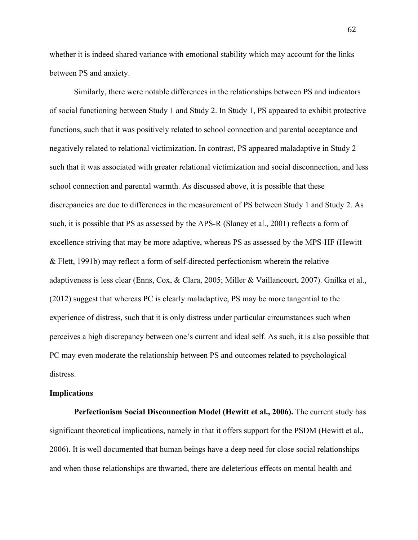whether it is indeed shared variance with emotional stability which may account for the links between PS and anxiety.

Similarly, there were notable differences in the relationships between PS and indicators of social functioning between Study 1 and Study 2. In Study 1, PS appeared to exhibit protective functions, such that it was positively related to school connection and parental acceptance and negatively related to relational victimization. In contrast, PS appeared maladaptive in Study 2 such that it was associated with greater relational victimization and social disconnection, and less school connection and parental warmth. As discussed above, it is possible that these discrepancies are due to differences in the measurement of PS between Study 1 and Study 2. As such, it is possible that PS as assessed by the APS-R (Slaney et al., 2001) reflects a form of excellence striving that may be more adaptive, whereas PS as assessed by the MPS-HF (Hewitt & Flett, 1991b) may reflect a form of self-directed perfectionism wherein the relative adaptiveness is less clear (Enns, Cox, & Clara, 2005; Miller & Vaillancourt, 2007). Gnilka et al., (2012) suggest that whereas PC is clearly maladaptive, PS may be more tangential to the experience of distress, such that it is only distress under particular circumstances such when perceives a high discrepancy between one's current and ideal self. As such, it is also possible that PC may even moderate the relationship between PS and outcomes related to psychological distress.

#### **Implications**

**Perfectionism Social Disconnection Model (Hewitt et al., 2006).** The current study has significant theoretical implications, namely in that it offers support for the PSDM (Hewitt et al., 2006). It is well documented that human beings have a deep need for close social relationships and when those relationships are thwarted, there are deleterious effects on mental health and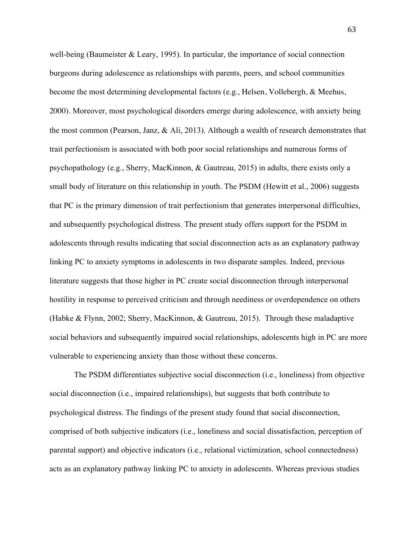well-being (Baumeister & Leary, 1995). In particular, the importance of social connection burgeons during adolescence as relationships with parents, peers, and school communities become the most determining developmental factors (e.g., Helsen, Vollebergh, & Meehus, 2000). Moreover, most psychological disorders emerge during adolescence, with anxiety being the most common (Pearson, Janz, & Ali, 2013). Although a wealth of research demonstrates that trait perfectionism is associated with both poor social relationships and numerous forms of psychopathology (e.g., Sherry, MacKinnon, & Gautreau, 2015) in adults, there exists only a small body of literature on this relationship in youth. The PSDM (Hewitt et al., 2006) suggests that PC is the primary dimension of trait perfectionism that generates interpersonal difficulties, and subsequently psychological distress. The present study offers support for the PSDM in adolescents through results indicating that social disconnection acts as an explanatory pathway linking PC to anxiety symptoms in adolescents in two disparate samples. Indeed, previous literature suggests that those higher in PC create social disconnection through interpersonal hostility in response to perceived criticism and through neediness or overdependence on others (Habke & Flynn, 2002; Sherry, MacKinnon, & Gautreau, 2015). Through these maladaptive social behaviors and subsequently impaired social relationships, adolescents high in PC are more vulnerable to experiencing anxiety than those without these concerns.

The PSDM differentiates subjective social disconnection (i.e., loneliness) from objective social disconnection (i.e., impaired relationships), but suggests that both contribute to psychological distress. The findings of the present study found that social disconnection, comprised of both subjective indicators (i.e., loneliness and social dissatisfaction, perception of parental support) and objective indicators (i.e., relational victimization, school connectedness) acts as an explanatory pathway linking PC to anxiety in adolescents. Whereas previous studies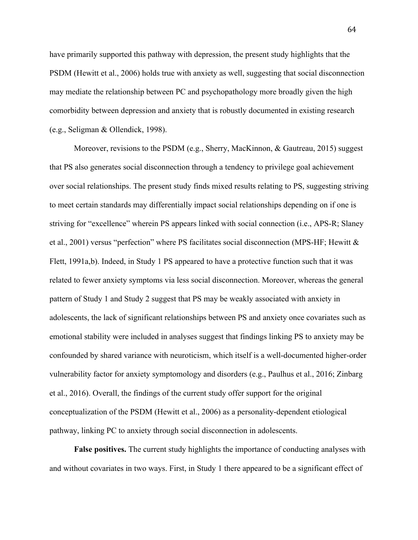have primarily supported this pathway with depression, the present study highlights that the PSDM (Hewitt et al., 2006) holds true with anxiety as well, suggesting that social disconnection may mediate the relationship between PC and psychopathology more broadly given the high comorbidity between depression and anxiety that is robustly documented in existing research (e.g., Seligman & Ollendick, 1998).

Moreover, revisions to the PSDM (e.g., Sherry, MacKinnon, & Gautreau, 2015) suggest that PS also generates social disconnection through a tendency to privilege goal achievement over social relationships. The present study finds mixed results relating to PS, suggesting striving to meet certain standards may differentially impact social relationships depending on if one is striving for "excellence" wherein PS appears linked with social connection (i.e., APS-R; Slaney et al., 2001) versus "perfection" where PS facilitates social disconnection (MPS-HF; Hewitt & Flett, 1991a,b). Indeed, in Study 1 PS appeared to have a protective function such that it was related to fewer anxiety symptoms via less social disconnection. Moreover, whereas the general pattern of Study 1 and Study 2 suggest that PS may be weakly associated with anxiety in adolescents, the lack of significant relationships between PS and anxiety once covariates such as emotional stability were included in analyses suggest that findings linking PS to anxiety may be confounded by shared variance with neuroticism, which itself is a well-documented higher-order vulnerability factor for anxiety symptomology and disorders (e.g., Paulhus et al., 2016; Zinbarg et al., 2016). Overall, the findings of the current study offer support for the original conceptualization of the PSDM (Hewitt et al., 2006) as a personality-dependent etiological pathway, linking PC to anxiety through social disconnection in adolescents.

**False positives.** The current study highlights the importance of conducting analyses with and without covariates in two ways. First, in Study 1 there appeared to be a significant effect of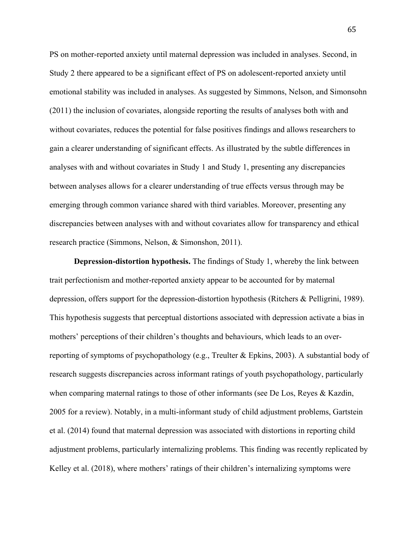PS on mother-reported anxiety until maternal depression was included in analyses. Second, in Study 2 there appeared to be a significant effect of PS on adolescent-reported anxiety until emotional stability was included in analyses. As suggested by Simmons, Nelson, and Simonsohn (2011) the inclusion of covariates, alongside reporting the results of analyses both with and without covariates, reduces the potential for false positives findings and allows researchers to gain a clearer understanding of significant effects. As illustrated by the subtle differences in analyses with and without covariates in Study 1 and Study 1, presenting any discrepancies between analyses allows for a clearer understanding of true effects versus through may be emerging through common variance shared with third variables. Moreover, presenting any discrepancies between analyses with and without covariates allow for transparency and ethical research practice (Simmons, Nelson, & Simonshon, 2011).

**Depression-distortion hypothesis.** The findings of Study 1, whereby the link between trait perfectionism and mother-reported anxiety appear to be accounted for by maternal depression, offers support for the depression-distortion hypothesis (Ritchers & Pelligrini, 1989). This hypothesis suggests that perceptual distortions associated with depression activate a bias in mothers' perceptions of their children's thoughts and behaviours, which leads to an overreporting of symptoms of psychopathology (e.g., Treulter & Epkins, 2003). A substantial body of research suggests discrepancies across informant ratings of youth psychopathology, particularly when comparing maternal ratings to those of other informants (see De Los, Reyes & Kazdin, 2005 for a review). Notably, in a multi-informant study of child adjustment problems, Gartstein et al. (2014) found that maternal depression was associated with distortions in reporting child adjustment problems, particularly internalizing problems. This finding was recently replicated by Kelley et al. (2018), where mothers' ratings of their children's internalizing symptoms were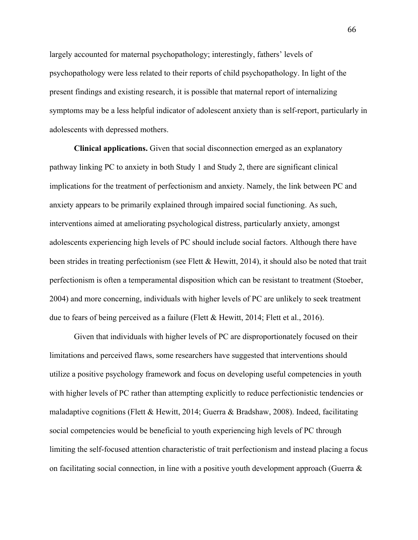largely accounted for maternal psychopathology; interestingly, fathers' levels of psychopathology were less related to their reports of child psychopathology. In light of the present findings and existing research, it is possible that maternal report of internalizing symptoms may be a less helpful indicator of adolescent anxiety than is self-report, particularly in adolescents with depressed mothers.

**Clinical applications.** Given that social disconnection emerged as an explanatory pathway linking PC to anxiety in both Study 1 and Study 2, there are significant clinical implications for the treatment of perfectionism and anxiety. Namely, the link between PC and anxiety appears to be primarily explained through impaired social functioning. As such, interventions aimed at ameliorating psychological distress, particularly anxiety, amongst adolescents experiencing high levels of PC should include social factors. Although there have been strides in treating perfectionism (see Flett & Hewitt, 2014), it should also be noted that trait perfectionism is often a temperamental disposition which can be resistant to treatment (Stoeber, 2004) and more concerning, individuals with higher levels of PC are unlikely to seek treatment due to fears of being perceived as a failure (Flett & Hewitt, 2014; Flett et al., 2016).

Given that individuals with higher levels of PC are disproportionately focused on their limitations and perceived flaws, some researchers have suggested that interventions should utilize a positive psychology framework and focus on developing useful competencies in youth with higher levels of PC rather than attempting explicitly to reduce perfectionistic tendencies or maladaptive cognitions (Flett & Hewitt, 2014; Guerra & Bradshaw, 2008). Indeed, facilitating social competencies would be beneficial to youth experiencing high levels of PC through limiting the self-focused attention characteristic of trait perfectionism and instead placing a focus on facilitating social connection, in line with a positive youth development approach (Guerra &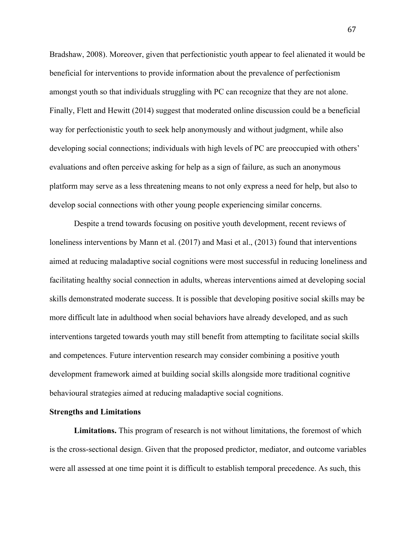Bradshaw, 2008). Moreover, given that perfectionistic youth appear to feel alienated it would be beneficial for interventions to provide information about the prevalence of perfectionism amongst youth so that individuals struggling with PC can recognize that they are not alone. Finally, Flett and Hewitt (2014) suggest that moderated online discussion could be a beneficial way for perfectionistic youth to seek help anonymously and without judgment, while also developing social connections; individuals with high levels of PC are preoccupied with others' evaluations and often perceive asking for help as a sign of failure, as such an anonymous platform may serve as a less threatening means to not only express a need for help, but also to develop social connections with other young people experiencing similar concerns.

Despite a trend towards focusing on positive youth development, recent reviews of loneliness interventions by Mann et al. (2017) and Masi et al., (2013) found that interventions aimed at reducing maladaptive social cognitions were most successful in reducing loneliness and facilitating healthy social connection in adults, whereas interventions aimed at developing social skills demonstrated moderate success. It is possible that developing positive social skills may be more difficult late in adulthood when social behaviors have already developed, and as such interventions targeted towards youth may still benefit from attempting to facilitate social skills and competences. Future intervention research may consider combining a positive youth development framework aimed at building social skills alongside more traditional cognitive behavioural strategies aimed at reducing maladaptive social cognitions.

### **Strengths and Limitations**

**Limitations.** This program of research is not without limitations, the foremost of which is the cross-sectional design. Given that the proposed predictor, mediator, and outcome variables were all assessed at one time point it is difficult to establish temporal precedence. As such, this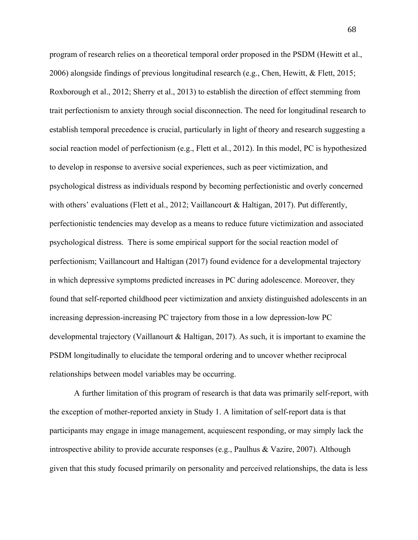program of research relies on a theoretical temporal order proposed in the PSDM (Hewitt et al., 2006) alongside findings of previous longitudinal research (e.g., Chen, Hewitt, & Flett, 2015; Roxborough et al., 2012; Sherry et al., 2013) to establish the direction of effect stemming from trait perfectionism to anxiety through social disconnection. The need for longitudinal research to establish temporal precedence is crucial, particularly in light of theory and research suggesting a social reaction model of perfectionism (e.g., Flett et al., 2012). In this model, PC is hypothesized to develop in response to aversive social experiences, such as peer victimization, and psychological distress as individuals respond by becoming perfectionistic and overly concerned with others' evaluations (Flett et al., 2012; Vaillancourt & Haltigan, 2017). Put differently, perfectionistic tendencies may develop as a means to reduce future victimization and associated psychological distress. There is some empirical support for the social reaction model of perfectionism; Vaillancourt and Haltigan (2017) found evidence for a developmental trajectory in which depressive symptoms predicted increases in PC during adolescence. Moreover, they found that self-reported childhood peer victimization and anxiety distinguished adolescents in an increasing depression-increasing PC trajectory from those in a low depression-low PC developmental trajectory (Vaillanourt & Haltigan, 2017). As such, it is important to examine the PSDM longitudinally to elucidate the temporal ordering and to uncover whether reciprocal relationships between model variables may be occurring.

A further limitation of this program of research is that data was primarily self-report, with the exception of mother-reported anxiety in Study 1. A limitation of self-report data is that participants may engage in image management, acquiescent responding, or may simply lack the introspective ability to provide accurate responses (e.g., Paulhus & Vazire, 2007). Although given that this study focused primarily on personality and perceived relationships, the data is less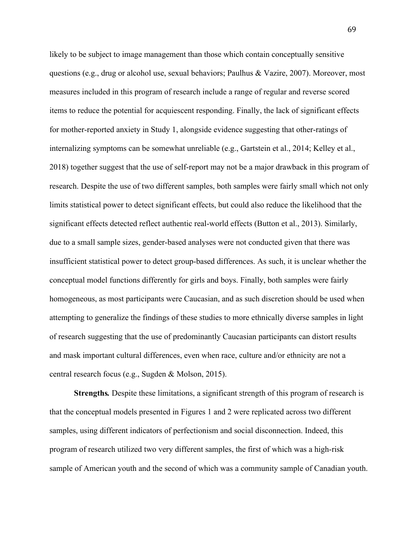likely to be subject to image management than those which contain conceptually sensitive questions (e.g., drug or alcohol use, sexual behaviors; Paulhus & Vazire, 2007). Moreover, most measures included in this program of research include a range of regular and reverse scored items to reduce the potential for acquiescent responding. Finally, the lack of significant effects for mother-reported anxiety in Study 1, alongside evidence suggesting that other-ratings of internalizing symptoms can be somewhat unreliable (e.g., Gartstein et al., 2014; Kelley et al., 2018) together suggest that the use of self-report may not be a major drawback in this program of research. Despite the use of two different samples, both samples were fairly small which not only limits statistical power to detect significant effects, but could also reduce the likelihood that the significant effects detected reflect authentic real-world effects (Button et al., 2013). Similarly, due to a small sample sizes, gender-based analyses were not conducted given that there was insufficient statistical power to detect group-based differences. As such, it is unclear whether the conceptual model functions differently for girls and boys. Finally, both samples were fairly homogeneous, as most participants were Caucasian, and as such discretion should be used when attempting to generalize the findings of these studies to more ethnically diverse samples in light of research suggesting that the use of predominantly Caucasian participants can distort results and mask important cultural differences, even when race, culture and/or ethnicity are not a central research focus (e.g., Sugden & Molson, 2015).

**Strengths***.* Despite these limitations, a significant strength of this program of research is that the conceptual models presented in Figures 1 and 2 were replicated across two different samples, using different indicators of perfectionism and social disconnection. Indeed, this program of research utilized two very different samples, the first of which was a high-risk sample of American youth and the second of which was a community sample of Canadian youth.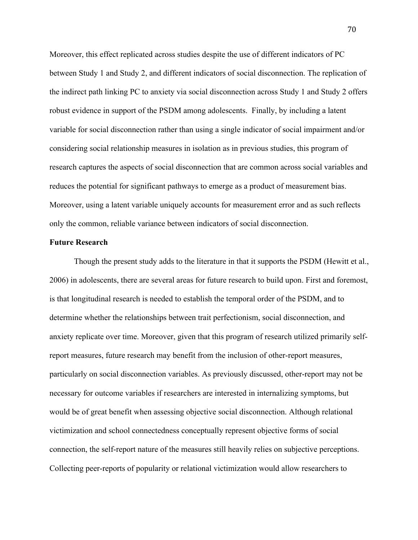Moreover, this effect replicated across studies despite the use of different indicators of PC between Study 1 and Study 2, and different indicators of social disconnection. The replication of the indirect path linking PC to anxiety via social disconnection across Study 1 and Study 2 offers robust evidence in support of the PSDM among adolescents. Finally, by including a latent variable for social disconnection rather than using a single indicator of social impairment and/or considering social relationship measures in isolation as in previous studies, this program of research captures the aspects of social disconnection that are common across social variables and reduces the potential for significant pathways to emerge as a product of measurement bias. Moreover, using a latent variable uniquely accounts for measurement error and as such reflects only the common, reliable variance between indicators of social disconnection.

#### **Future Research**

Though the present study adds to the literature in that it supports the PSDM (Hewitt et al., 2006) in adolescents, there are several areas for future research to build upon. First and foremost, is that longitudinal research is needed to establish the temporal order of the PSDM, and to determine whether the relationships between trait perfectionism, social disconnection, and anxiety replicate over time. Moreover, given that this program of research utilized primarily selfreport measures, future research may benefit from the inclusion of other-report measures, particularly on social disconnection variables. As previously discussed, other-report may not be necessary for outcome variables if researchers are interested in internalizing symptoms, but would be of great benefit when assessing objective social disconnection. Although relational victimization and school connectedness conceptually represent objective forms of social connection, the self-report nature of the measures still heavily relies on subjective perceptions. Collecting peer-reports of popularity or relational victimization would allow researchers to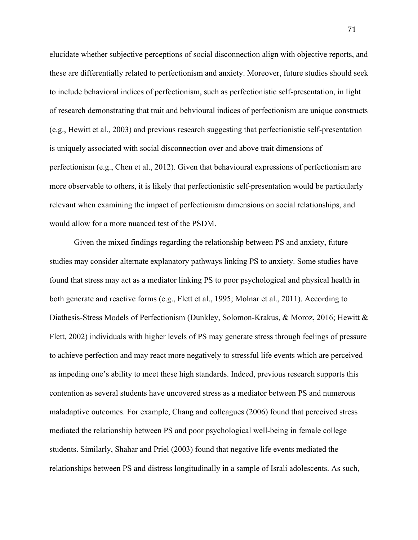elucidate whether subjective perceptions of social disconnection align with objective reports, and these are differentially related to perfectionism and anxiety. Moreover, future studies should seek to include behavioral indices of perfectionism, such as perfectionistic self-presentation, in light of research demonstrating that trait and behvioural indices of perfectionism are unique constructs (e.g., Hewitt et al., 2003) and previous research suggesting that perfectionistic self-presentation is uniquely associated with social disconnection over and above trait dimensions of perfectionism (e.g., Chen et al., 2012). Given that behavioural expressions of perfectionism are more observable to others, it is likely that perfectionistic self-presentation would be particularly relevant when examining the impact of perfectionism dimensions on social relationships, and would allow for a more nuanced test of the PSDM.

Given the mixed findings regarding the relationship between PS and anxiety, future studies may consider alternate explanatory pathways linking PS to anxiety. Some studies have found that stress may act as a mediator linking PS to poor psychological and physical health in both generate and reactive forms (e.g., Flett et al., 1995; Molnar et al., 2011). According to Diathesis-Stress Models of Perfectionism (Dunkley, Solomon-Krakus, & Moroz, 2016; Hewitt & Flett, 2002) individuals with higher levels of PS may generate stress through feelings of pressure to achieve perfection and may react more negatively to stressful life events which are perceived as impeding one's ability to meet these high standards. Indeed, previous research supports this contention as several students have uncovered stress as a mediator between PS and numerous maladaptive outcomes. For example, Chang and colleagues (2006) found that perceived stress mediated the relationship between PS and poor psychological well-being in female college students. Similarly, Shahar and Priel (2003) found that negative life events mediated the relationships between PS and distress longitudinally in a sample of Israli adolescents. As such,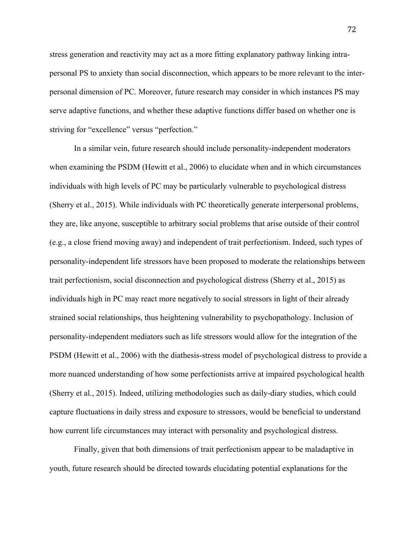stress generation and reactivity may act as a more fitting explanatory pathway linking intrapersonal PS to anxiety than social disconnection, which appears to be more relevant to the interpersonal dimension of PC. Moreover, future research may consider in which instances PS may serve adaptive functions, and whether these adaptive functions differ based on whether one is striving for "excellence" versus "perfection."

In a similar vein, future research should include personality-independent moderators when examining the PSDM (Hewitt et al., 2006) to elucidate when and in which circumstances individuals with high levels of PC may be particularly vulnerable to psychological distress (Sherry et al., 2015). While individuals with PC theoretically generate interpersonal problems, they are, like anyone, susceptible to arbitrary social problems that arise outside of their control (e.g., a close friend moving away) and independent of trait perfectionism. Indeed, such types of personality-independent life stressors have been proposed to moderate the relationships between trait perfectionism, social disconnection and psychological distress (Sherry et al., 2015) as individuals high in PC may react more negatively to social stressors in light of their already strained social relationships, thus heightening vulnerability to psychopathology. Inclusion of personality-independent mediators such as life stressors would allow for the integration of the PSDM (Hewitt et al., 2006) with the diathesis-stress model of psychological distress to provide a more nuanced understanding of how some perfectionists arrive at impaired psychological health (Sherry et al., 2015). Indeed, utilizing methodologies such as daily-diary studies, which could capture fluctuations in daily stress and exposure to stressors, would be beneficial to understand how current life circumstances may interact with personality and psychological distress.

Finally, given that both dimensions of trait perfectionism appear to be maladaptive in youth, future research should be directed towards elucidating potential explanations for the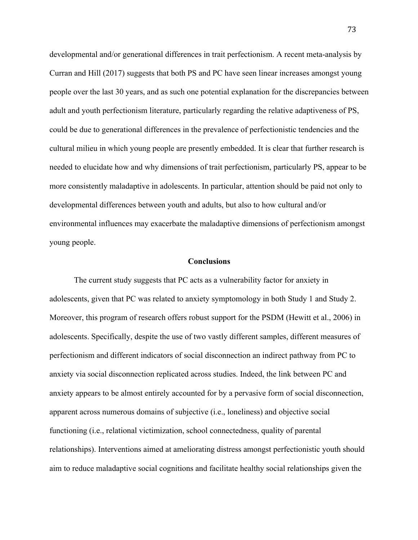developmental and/or generational differences in trait perfectionism. A recent meta-analysis by Curran and Hill (2017) suggests that both PS and PC have seen linear increases amongst young people over the last 30 years, and as such one potential explanation for the discrepancies between adult and youth perfectionism literature, particularly regarding the relative adaptiveness of PS, could be due to generational differences in the prevalence of perfectionistic tendencies and the cultural milieu in which young people are presently embedded. It is clear that further research is needed to elucidate how and why dimensions of trait perfectionism, particularly PS, appear to be more consistently maladaptive in adolescents. In particular, attention should be paid not only to developmental differences between youth and adults, but also to how cultural and/or environmental influences may exacerbate the maladaptive dimensions of perfectionism amongst young people.

#### **Conclusions**

The current study suggests that PC acts as a vulnerability factor for anxiety in adolescents, given that PC was related to anxiety symptomology in both Study 1 and Study 2. Moreover, this program of research offers robust support for the PSDM (Hewitt et al., 2006) in adolescents. Specifically, despite the use of two vastly different samples, different measures of perfectionism and different indicators of social disconnection an indirect pathway from PC to anxiety via social disconnection replicated across studies. Indeed, the link between PC and anxiety appears to be almost entirely accounted for by a pervasive form of social disconnection, apparent across numerous domains of subjective (i.e., loneliness) and objective social functioning (i.e., relational victimization, school connectedness, quality of parental relationships). Interventions aimed at ameliorating distress amongst perfectionistic youth should aim to reduce maladaptive social cognitions and facilitate healthy social relationships given the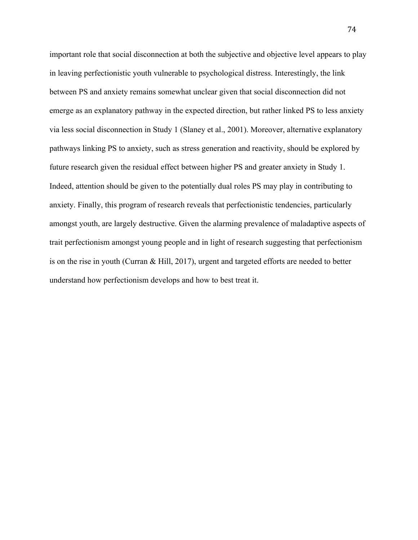important role that social disconnection at both the subjective and objective level appears to play in leaving perfectionistic youth vulnerable to psychological distress. Interestingly, the link between PS and anxiety remains somewhat unclear given that social disconnection did not emerge as an explanatory pathway in the expected direction, but rather linked PS to less anxiety via less social disconnection in Study 1 (Slaney et al., 2001). Moreover, alternative explanatory pathways linking PS to anxiety, such as stress generation and reactivity, should be explored by future research given the residual effect between higher PS and greater anxiety in Study 1. Indeed, attention should be given to the potentially dual roles PS may play in contributing to anxiety. Finally, this program of research reveals that perfectionistic tendencies, particularly amongst youth, are largely destructive. Given the alarming prevalence of maladaptive aspects of trait perfectionism amongst young people and in light of research suggesting that perfectionism is on the rise in youth (Curran & Hill, 2017), urgent and targeted efforts are needed to better understand how perfectionism develops and how to best treat it.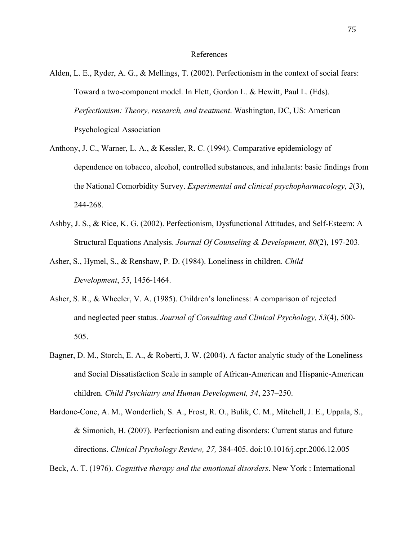#### References

- Alden, L. E., Ryder, A. G., & Mellings, T. (2002). Perfectionism in the context of social fears: Toward a two-component model. In Flett, Gordon L. & Hewitt, Paul L. (Eds). *Perfectionism: Theory, research, and treatment*. Washington, DC, US: American Psychological Association
- Anthony, J. C., Warner, L. A., & Kessler, R. C. (1994). Comparative epidemiology of dependence on tobacco, alcohol, controlled substances, and inhalants: basic findings from the National Comorbidity Survey. *Experimental and clinical psychopharmacology*, *2*(3), 244-268.
- Ashby, J. S., & Rice, K. G. (2002). Perfectionism, Dysfunctional Attitudes, and Self-Esteem: A Structural Equations Analysis. *Journal Of Counseling & Development*, *80*(2), 197-203.
- Asher, S., Hymel, S., & Renshaw, P. D. (1984). Loneliness in children. *Child Development*, *55*, 1456-1464.
- Asher, S. R., & Wheeler, V. A. (1985). Children's loneliness: A comparison of rejected and neglected peer status. *Journal of Consulting and Clinical Psychology, 53*(4), 500- 505.
- Bagner, D. M., Storch, E. A., & Roberti, J. W. (2004). A factor analytic study of the Loneliness and Social Dissatisfaction Scale in sample of African-American and Hispanic-American children. *Child Psychiatry and Human Development, 34*, 237–250.
- Bardone-Cone, A. M., Wonderlich, S. A., Frost, R. O., Bulik, C. M., Mitchell, J. E., Uppala, S., & Simonich, H. (2007). Perfectionism and eating disorders: Current status and future directions. *Clinical Psychology Review, 27,* 384-405. doi:10.1016/j.cpr.2006.12.005

Beck, A. T. (1976). *Cognitive therapy and the emotional disorders*. New York : International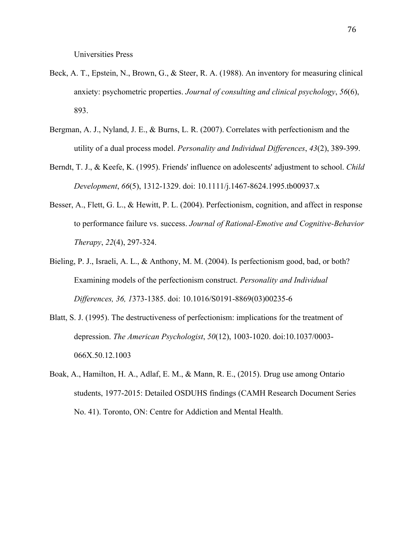Universities Press

- Beck, A. T., Epstein, N., Brown, G., & Steer, R. A. (1988). An inventory for measuring clinical anxiety: psychometric properties. *Journal of consulting and clinical psychology*, *56*(6), 893.
- Bergman, A. J., Nyland, J. E., & Burns, L. R. (2007). Correlates with perfectionism and the utility of a dual process model. *Personality and Individual Differences*, *43*(2), 389-399.
- Berndt, T. J., & Keefe, K. (1995). Friends' influence on adolescents' adjustment to school. *Child Development*, *66*(5), 1312-1329. doi: 10.1111/j.1467-8624.1995.tb00937.x
- Besser, A., Flett, G. L., & Hewitt, P. L. (2004). Perfectionism, cognition, and affect in response to performance failure vs. success. *Journal of Rational-Emotive and Cognitive-Behavior Therapy*, *22*(4), 297-324.
- Bieling, P. J., Israeli, A. L., & Anthony, M. M. (2004). Is perfectionism good, bad, or both? Examining models of the perfectionism construct. *Personality and Individual Differences, 36, 1*373-1385. doi: 10.1016/S0191-8869(03)00235-6
- Blatt, S. J. (1995). The destructiveness of perfectionism: implications for the treatment of depression. *The American Psychologist*, *50*(12), 1003-1020. doi:10.1037/0003- 066X.50.12.1003
- Boak, A., Hamilton, H. A., Adlaf, E. M., & Mann, R. E., (2015). Drug use among Ontario students, 1977-2015: Detailed OSDUHS findings (CAMH Research Document Series No. 41). Toronto, ON: Centre for Addiction and Mental Health.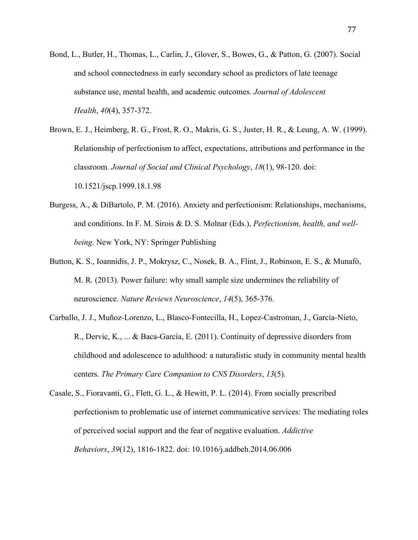- Bond, L., Butler, H., Thomas, L., Carlin, J., Glover, S., Bowes, G., & Patton, G. (2007). Social and school connectedness in early secondary school as predictors of late teenage substance use, mental health, and academic outcomes. *Journal of Adolescent Health*, *40*(4), 357-372.
- Brown, E. J., Heimberg, R. G., Frost, R. O., Makris, G. S., Juster, H. R., & Leung, A. W. (1999). Relationship of perfectionism to affect, expectations, attributions and performance in the classroom. *Journal of Social and Clinical Psychology*, *18*(1), 98-120. doi: 10.1521/jscp.1999.18.1.98
- Burgess, A., & DiBartolo, P. M. (2016). Anxiety and perfectionism: Relationships, mechanisms, and conditions. In F. M. Sirois & D. S. Molnar (Eds.), *Perfectionism, health, and wellbeing*. New York, NY: Springer Publishing
- Button, K. S., Ioannidis, J. P., Mokrysz, C., Nosek, B. A., Flint, J., Robinson, E. S., & Munafò, M. R. (2013). Power failure: why small sample size undermines the reliability of neuroscience. *Nature Reviews Neuroscience*, *14*(5), 365-376.
- Carballo, J. J., Muñoz-Lorenzo, L., Blasco-Fontecilla, H., Lopez-Castroman, J., García-Nieto, R., Dervic, K., ... & Baca-García, E. (2011). Continuity of depressive disorders from childhood and adolescence to adulthood: a naturalistic study in community mental health centers. *The Primary Care Companion to CNS Disorders*, *13*(5).
- Casale, S., Fioravanti, G., Flett, G. L., & Hewitt, P. L. (2014). From socially prescribed perfectionism to problematic use of internet communicative services: The mediating roles of perceived social support and the fear of negative evaluation. *Addictive Behaviors*, *39*(12), 1816-1822. doi: 10.1016/j.addbeh.2014.06.006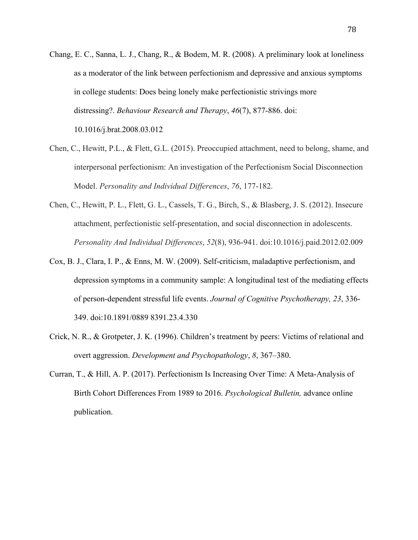- Chang, E. C., Sanna, L. J., Chang, R., & Bodem, M. R. (2008). A preliminary look at loneliness as a moderator of the link between perfectionism and depressive and anxious symptoms in college students: Does being lonely make perfectionistic strivings more distressing?. *Behaviour Research and Therapy*, *46*(7), 877-886. doi: 10.1016/j.brat.2008.03.012
- Chen, C., Hewitt, P.L., & Flett, G.L. (2015). Preoccupied attachment, need to belong, shame, and interpersonal perfectionism: An investigation of the Perfectionism Social Disconnection Model. *Personality and Individual Differences*, *76*, 177-182.
- Chen, C., Hewitt, P. L., Flett, G. L., Cassels, T. G., Birch, S., & Blasberg, J. S. (2012). Insecure attachment, perfectionistic self-presentation, and social disconnection in adolescents. *Personality And Individual Differences*, *52*(8), 936-941. doi:10.1016/j.paid.2012.02.009
- Cox, B. J., Clara, I. P., & Enns, M. W. (2009). Self-criticism, maladaptive perfectionism, and depression symptoms in a community sample: A longitudinal test of the mediating effects of person-dependent stressful life events. *Journal of Cognitive Psychotherapy, 23*, 336- 349. doi:10.1891/0889 8391.23.4.330
- Crick, N. R., & Grotpeter, J. K. (1996). Children's treatment by peers: Victims of relational and overt aggression. *Development and Psychopathology*, *8*, 367–380.
- Curran, T., & Hill, A. P. (2017). Perfectionism Is Increasing Over Time: A Meta-Analysis of Birth Cohort Differences From 1989 to 2016. *Psychological Bulletin,* advance online publication.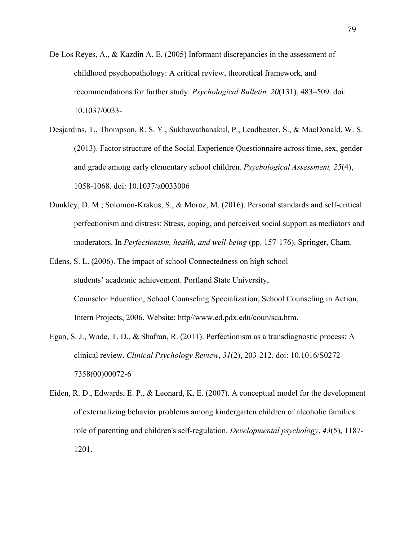- De Los Reyes, A., & Kazdin A. E. (2005) Informant discrepancies in the assessment of childhood psychopathology: A critical review, theoretical framework, and recommendations for further study. *Psychological Bulletin, 20*(131), 483–509. doi: 10.1037/0033-
- Desjardins, T., Thompson, R. S. Y., Sukhawathanakul, P., Leadbeater, S., & MacDonald, W. S. (2013). Factor structure of the Social Experience Questionnaire across time, sex, gender and grade among early elementary school children. *Psychological Assessment, 25*(4), 1058-1068. doi: 10.1037/a0033006
- Dunkley, D. M., Solomon-Krakus, S., & Moroz, M. (2016). Personal standards and self-critical perfectionism and distress: Stress, coping, and perceived social support as mediators and moderators. In *Perfectionism, health, and well-being* (pp. 157-176). Springer, Cham.
- Edens, S. L. (2006). The impact of school Connectedness on high school students' academic achievement. Portland State University, Counselor Education, School Counseling Specialization, School Counseling in Action, Intern Projects, 2006. Website: http//www.ed.pdx.edu/coun/sca.htm.
- Egan, S. J., Wade, T. D., & Shafran, R. (2011). Perfectionism as a transdiagnostic process: A clinical review. *Clinical Psychology Review*, *31*(2), 203-212. doi: 10.1016/S0272- 7358(00)00072-6
- Eiden, R. D., Edwards, E. P., & Leonard, K. E. (2007). A conceptual model for the development of externalizing behavior problems among kindergarten children of alcoholic families: role of parenting and children's self-regulation. *Developmental psychology*, *43*(5), 1187- 1201.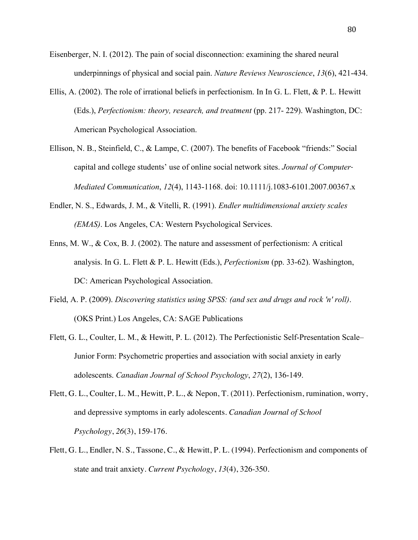- Eisenberger, N. I. (2012). The pain of social disconnection: examining the shared neural underpinnings of physical and social pain. *Nature Reviews Neuroscience*, *13*(6), 421-434.
- Ellis, A. (2002). The role of irrational beliefs in perfectionism. In In G. L. Flett, & P. L. Hewitt (Eds.), *Perfectionism: theory, research, and treatment* (pp. 217- 229). Washington, DC: American Psychological Association.
- Ellison, N. B., Steinfield, C., & Lampe, C. (2007). The benefits of Facebook "friends:" Social capital and college students' use of online social network sites. *Journal of Computer*‐ *Mediated Communication*, *12*(4), 1143-1168. doi: 10.1111/j.1083-6101.2007.00367.x
- Endler, N. S., Edwards, J. M., & Vitelli, R. (1991). *Endler multidimensional anxiety scales (EMAS)*. Los Angeles, CA: Western Psychological Services.
- Enns, M. W., & Cox, B. J. (2002). The nature and assessment of perfectionism: A critical analysis. In G. L. Flett & P. L. Hewitt (Eds.), *Perfectionism* (pp. 33-62). Washington, DC: American Psychological Association.
- Field, A. P. (2009). *Discovering statistics using SPSS: (and sex and drugs and rock 'n' roll)*. (OKS Print.) Los Angeles, CA: SAGE Publications
- Flett, G. L., Coulter, L. M., & Hewitt, P. L. (2012). The Perfectionistic Self-Presentation Scale– Junior Form: Psychometric properties and association with social anxiety in early adolescents. *Canadian Journal of School Psychology*, *27*(2), 136-149.
- Flett, G. L., Coulter, L. M., Hewitt, P. L., & Nepon, T. (2011). Perfectionism, rumination, worry, and depressive symptoms in early adolescents. *Canadian Journal of School Psychology*, *26*(3), 159-176.
- Flett, G. L., Endler, N. S., Tassone, C., & Hewitt, P. L. (1994). Perfectionism and components of state and trait anxiety. *Current Psychology*, *13*(4), 326-350.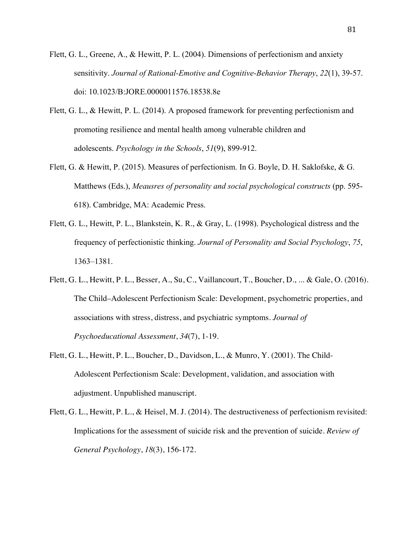- Flett, G. L., Greene, A., & Hewitt, P. L. (2004). Dimensions of perfectionism and anxiety sensitivity. *Journal of Rational-Emotive and Cognitive-Behavior Therapy*, *22*(1), 39-57. doi: 10.1023/B:JORE.0000011576.18538.8e
- Flett, G. L., & Hewitt, P. L. (2014). A proposed framework for preventing perfectionism and promoting resilience and mental health among vulnerable children and adolescents. *Psychology in the Schools*, *51*(9), 899-912.
- Flett, G. & Hewitt, P. (2015). Measures of perfectionism. In G. Boyle, D. H. Saklofske, & G. Matthews (Eds.), *Meausres of personality and social psychological constructs* (pp. 595- 618). Cambridge, MA: Academic Press.
- Flett, G. L., Hewitt, P. L., Blankstein, K. R., & Gray, L. (1998). Psychological distress and the frequency of perfectionistic thinking. *Journal of Personality and Social Psychology*, *75*, 1363–1381.
- Flett, G. L., Hewitt, P. L., Besser, A., Su, C., Vaillancourt, T., Boucher, D., ... & Gale, O. (2016). The Child–Adolescent Perfectionism Scale: Development, psychometric properties, and associations with stress, distress, and psychiatric symptoms. *Journal of Psychoeducational Assessment*, *34*(7), 1-19.
- Flett, G. L., Hewitt, P. L., Boucher, D., Davidson, L., & Munro, Y. (2001). The Child-Adolescent Perfectionism Scale: Development, validation, and association with adjustment. Unpublished manuscript.
- Flett, G. L., Hewitt, P. L., & Heisel, M. J. (2014). The destructiveness of perfectionism revisited: Implications for the assessment of suicide risk and the prevention of suicide. *Review of General Psychology*, *18*(3), 156-172.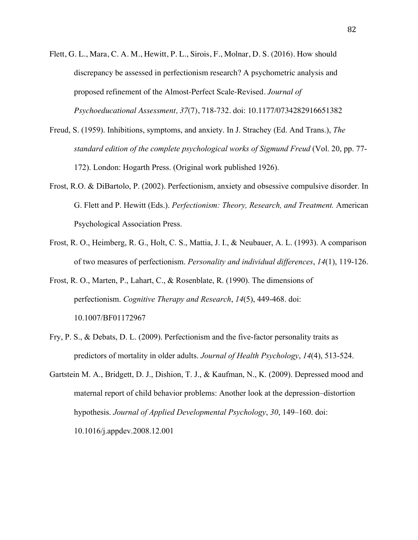- Flett, G. L., Mara, C. A. M., Hewitt, P. L., Sirois, F., Molnar, D. S. (2016). How should discrepancy be assessed in perfectionism research? A psychometric analysis and proposed refinement of the Almost-Perfect Scale-Revised. *Journal of Psychoeducational Assessment, 37*(7), 718-732. doi: 10.1177/0734282916651382
- Freud, S. (1959). Inhibitions, symptoms, and anxiety. In J. Strachey (Ed. And Trans.), *The standard edition of the complete psychological works of Sigmund Freud* (Vol. 20, pp. 77- 172). London: Hogarth Press. (Original work published 1926).
- Frost, R.O. & DiBartolo, P. (2002). Perfectionism, anxiety and obsessive compulsive disorder. In G. Flett and P. Hewitt (Eds.). *Perfectionism: Theory, Research, and Treatment.* American Psychological Association Press.
- Frost, R. O., Heimberg, R. G., Holt, C. S., Mattia, J. I., & Neubauer, A. L. (1993). A comparison of two measures of perfectionism. *Personality and individual differences*, *14*(1), 119-126.
- Frost, R. O., Marten, P., Lahart, C., & Rosenblate, R. (1990). The dimensions of perfectionism. *Cognitive Therapy and Research*, *14*(5), 449-468. doi: 10.1007/BF01172967
- Fry, P. S., & Debats, D. L. (2009). Perfectionism and the five-factor personality traits as predictors of mortality in older adults. *Journal of Health Psychology*, *14*(4), 513-524.
- Gartstein M. A., Bridgett, D. J., Dishion, T. J., & Kaufman, N., K. (2009). Depressed mood and maternal report of child behavior problems: Another look at the depression–distortion hypothesis. *Journal of Applied Developmental Psychology*, *30*, 149–160. doi: 10.1016/j.appdev.2008.12.001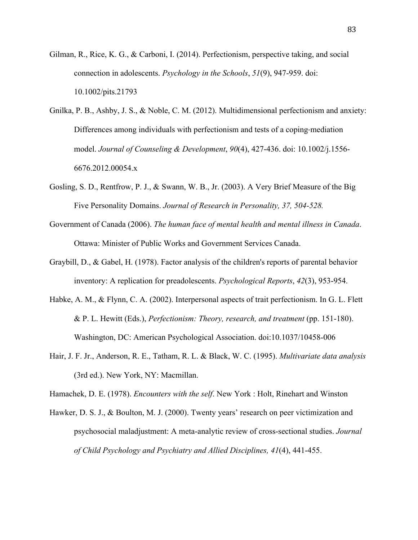- Gilman, R., Rice, K. G., & Carboni, I. (2014). Perfectionism, perspective taking, and social connection in adolescents. *Psychology in the Schools*, *51*(9), 947-959. doi: 10.1002/pits.21793
- Gnilka, P. B., Ashby, J. S., & Noble, C. M. (2012). Multidimensional perfectionism and anxiety: Differences among individuals with perfectionism and tests of a coping-mediation model. *Journal of Counseling & Development*, *90*(4), 427-436. doi: 10.1002/j.1556- 6676.2012.00054.x
- Gosling, S. D., Rentfrow, P. J., & Swann, W. B., Jr. (2003). A Very Brief Measure of the Big Five Personality Domains. *Journal of Research in Personality, 37, 504-528.*
- Government of Canada (2006). *The human face of mental health and mental illness in Canada*. Ottawa: Minister of Public Works and Government Services Canada.
- Graybill, D., & Gabel, H. (1978). Factor analysis of the children's reports of parental behavior inventory: A replication for preadolescents. *Psychological Reports*, *42*(3), 953-954.
- Habke, A. M., & Flynn, C. A. (2002). Interpersonal aspects of trait perfectionism. In G. L. Flett & P. L. Hewitt (Eds.), *Perfectionism: Theory, research, and treatment* (pp. 151-180). Washington, DC: American Psychological Association. doi:10.1037/10458-006
- Hair, J. F. Jr., Anderson, R. E., Tatham, R. L. & Black, W. C. (1995). *Multivariate data analysis*  (3rd ed.). New York, NY: Macmillan.

Hamachek, D. E. (1978). *Encounters with the self*. New York : Holt, Rinehart and Winston

Hawker, D. S. J., & Boulton, M. J. (2000). Twenty years' research on peer victimization and psychosocial maladjustment: A meta-analytic review of cross-sectional studies. *Journal of Child Psychology and Psychiatry and Allied Disciplines, 41*(4), 441-455.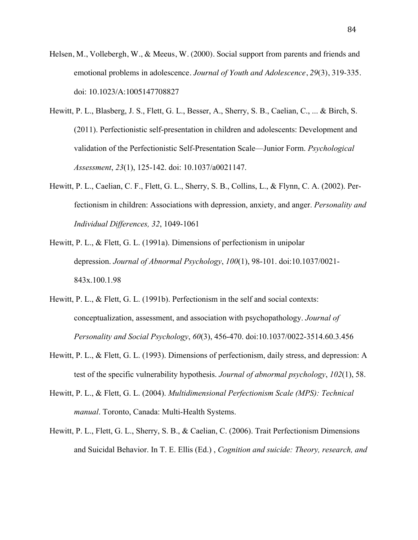- Helsen, M., Vollebergh, W., & Meeus, W. (2000). Social support from parents and friends and emotional problems in adolescence. *Journal of Youth and Adolescence*, *29*(3), 319-335. doi: 10.1023/A:1005147708827
- Hewitt, P. L., Blasberg, J. S., Flett, G. L., Besser, A., Sherry, S. B., Caelian, C., ... & Birch, S. (2011). Perfectionistic self-presentation in children and adolescents: Development and validation of the Perfectionistic Self-Presentation Scale—Junior Form. *Psychological Assessment*, *23*(1), 125-142. doi: 10.1037/a0021147.
- Hewitt, P. L., Caelian, C. F., Flett, G. L., Sherry, S. B., Collins, L., & Flynn, C. A. (2002). Perfectionism in children: Associations with depression, anxiety, and anger. *Personality and Individual Differences, 32*, 1049-1061
- Hewitt, P. L., & Flett, G. L. (1991a). Dimensions of perfectionism in unipolar depression. *Journal of Abnormal Psychology*, *100*(1), 98-101. doi:10.1037/0021- 843x.100.1.98
- Hewitt, P. L., & Flett, G. L. (1991b). Perfectionism in the self and social contexts: conceptualization, assessment, and association with psychopathology. *Journal of Personality and Social Psychology*, *60*(3), 456-470. doi:10.1037/0022-3514.60.3.456
- Hewitt, P. L., & Flett, G. L. (1993). Dimensions of perfectionism, daily stress, and depression: A test of the specific vulnerability hypothesis. *Journal of abnormal psychology*, *102*(1), 58.
- Hewitt, P. L., & Flett, G. L. (2004). *Multidimensional Perfectionism Scale (MPS): Technical manual*. Toronto, Canada: Multi-Health Systems.
- Hewitt, P. L., Flett, G. L., Sherry, S. B., & Caelian, C. (2006). Trait Perfectionism Dimensions and Suicidal Behavior. In T. E. Ellis (Ed.) , *Cognition and suicide: Theory, research, and*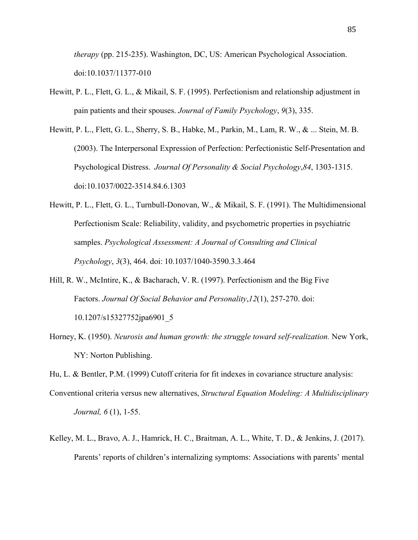*therapy* (pp. 215-235). Washington, DC, US: American Psychological Association. doi:10.1037/11377-010

- Hewitt, P. L., Flett, G. L., & Mikail, S. F. (1995). Perfectionism and relationship adjustment in pain patients and their spouses. *Journal of Family Psychology*, *9*(3), 335.
- Hewitt, P. L., Flett, G. L., Sherry, S. B., Habke, M., Parkin, M., Lam, R. W., & ... Stein, M. B. (2003). The Interpersonal Expression of Perfection: Perfectionistic Self-Presentation and Psychological Distress. *Journal Of Personality & Social Psychology*,*84*, 1303-1315. doi:10.1037/0022-3514.84.6.1303
- Hewitt, P. L., Flett, G. L., Turnbull-Donovan, W., & Mikail, S. F. (1991). The Multidimensional Perfectionism Scale: Reliability, validity, and psychometric properties in psychiatric samples. *Psychological Assessment: A Journal of Consulting and Clinical Psychology*, *3*(3), 464. doi: 10.1037/1040-3590.3.3.464
- Hill, R. W., McIntire, K., & Bacharach, V. R. (1997). Perfectionism and the Big Five Factors. *Journal Of Social Behavior and Personality*,*12*(1), 257-270. doi: 10.1207/s15327752jpa6901\_5
- Horney, K. (1950). *Neurosis and human growth: the struggle toward self-realization.* New York, NY: Norton Publishing.

Hu, L. & Bentler, P.M. (1999) Cutoff criteria for fit indexes in covariance structure analysis:

- Conventional criteria versus new alternatives, *Structural Equation Modeling: A Multidisciplinary Journal, 6* (1), 1-55.
- Kelley, M. L., Bravo, A. J., Hamrick, H. C., Braitman, A. L., White, T. D., & Jenkins, J. (2017). Parents' reports of children's internalizing symptoms: Associations with parents' mental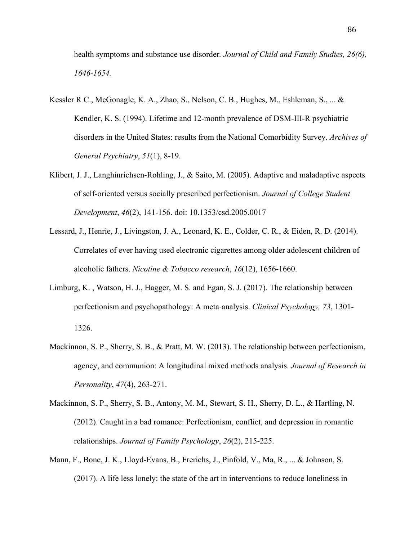health symptoms and substance use disorder*. Journal of Child and Family Studies, 26(6), 1646-1654.*

- Kessler R C., McGonagle, K. A., Zhao, S., Nelson, C. B., Hughes, M., Eshleman, S., ... & Kendler, K. S. (1994). Lifetime and 12-month prevalence of DSM-III-R psychiatric disorders in the United States: results from the National Comorbidity Survey. *Archives of General Psychiatry*, *51*(1), 8-19.
- Klibert, J. J., Langhinrichsen-Rohling, J., & Saito, M. (2005). Adaptive and maladaptive aspects of self-oriented versus socially prescribed perfectionism. *Journal of College Student Development*, *46*(2), 141-156. doi: 10.1353/csd.2005.0017
- Lessard, J., Henrie, J., Livingston, J. A., Leonard, K. E., Colder, C. R., & Eiden, R. D. (2014). Correlates of ever having used electronic cigarettes among older adolescent children of alcoholic fathers. *Nicotine & Tobacco research*, *16*(12), 1656-1660.
- Limburg, K. , Watson, H. J., Hagger, M. S. and Egan, S. J. (2017). The relationship between perfectionism and psychopathology: A meta‐analysis. *Clinical Psychology, 73*, 1301- 1326.
- Mackinnon, S. P., Sherry, S. B., & Pratt, M. W. (2013). The relationship between perfectionism, agency, and communion: A longitudinal mixed methods analysis. *Journal of Research in Personality*, *47*(4), 263-271.
- Mackinnon, S. P., Sherry, S. B., Antony, M. M., Stewart, S. H., Sherry, D. L., & Hartling, N. (2012). Caught in a bad romance: Perfectionism, conflict, and depression in romantic relationships. *Journal of Family Psychology*, *26*(2), 215-225.
- Mann, F., Bone, J. K., Lloyd-Evans, B., Frerichs, J., Pinfold, V., Ma, R., ... & Johnson, S. (2017). A life less lonely: the state of the art in interventions to reduce loneliness in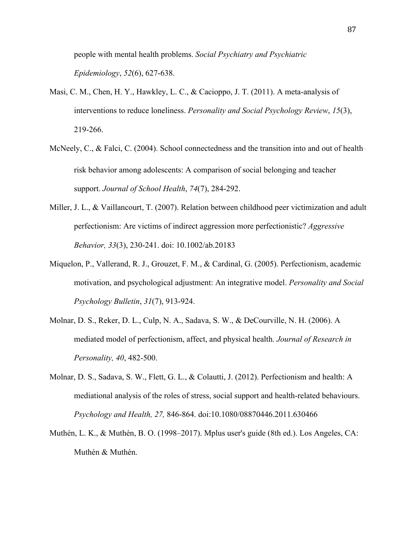people with mental health problems. *Social Psychiatry and Psychiatric Epidemiology*, *52*(6), 627-638.

- Masi, C. M., Chen, H. Y., Hawkley, L. C., & Cacioppo, J. T. (2011). A meta-analysis of interventions to reduce loneliness. *Personality and Social Psychology Review*, *15*(3), 219-266.
- McNeely, C., & Falci, C. (2004). School connectedness and the transition into and out of health– risk behavior among adolescents: A comparison of social belonging and teacher support. *Journal of School Health*, *74*(7), 284-292.
- Miller, J. L., & Vaillancourt, T. (2007). Relation between childhood peer victimization and adult perfectionism: Are victims of indirect aggression more perfectionistic? *Aggressive Behavior, 33*(3), 230-241. doi: 10.1002/ab.20183
- Miquelon, P., Vallerand, R. J., Grouzet, F. M., & Cardinal, G. (2005). Perfectionism, academic motivation, and psychological adjustment: An integrative model. *Personality and Social Psychology Bulletin*, *31*(7), 913-924.
- Molnar, D. S., Reker, D. L., Culp, N. A., Sadava, S. W., & DeCourville, N. H. (2006). A mediated model of perfectionism, affect, and physical health. *Journal of Research in Personality, 40*, 482-500.
- Molnar, D. S., Sadava, S. W., Flett, G. L., & Colautti, J. (2012). Perfectionism and health: A mediational analysis of the roles of stress, social support and health-related behaviours. *Psychology and Health, 27,* 846-864. doi:10.1080/08870446.2011.630466
- Muthén, L. K., & Muthén, B. O. (1998–2017). Mplus user's guide (8th ed.). Los Angeles, CA: Muthén & Muthén.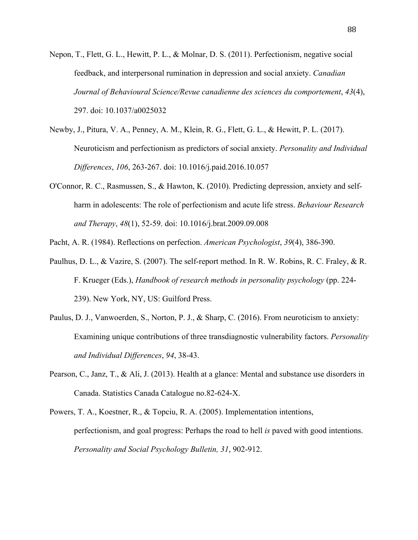- Nepon, T., Flett, G. L., Hewitt, P. L., & Molnar, D. S. (2011). Perfectionism, negative social feedback, and interpersonal rumination in depression and social anxiety. *Canadian Journal of Behavioural Science/Revue canadienne des sciences du comportement*, *43*(4), 297. doi: 10.1037/a0025032
- Newby, J., Pitura, V. A., Penney, A. M., Klein, R. G., Flett, G. L., & Hewitt, P. L. (2017). Neuroticism and perfectionism as predictors of social anxiety. *Personality and Individual Differences*, *106*, 263-267. doi: 10.1016/j.paid.2016.10.057
- O'Connor, R. C., Rasmussen, S., & Hawton, K. (2010). Predicting depression, anxiety and selfharm in adolescents: The role of perfectionism and acute life stress. *Behaviour Research and Therapy*, *48*(1), 52-59. doi: 10.1016/j.brat.2009.09.008

Pacht, A. R. (1984). Reflections on perfection. *American Psychologist*, *39*(4), 386-390.

- Paulhus, D. L., & Vazire, S. (2007). The self-report method. In R. W. Robins, R. C. Fraley, & R. F. Krueger (Eds.), *Handbook of research methods in personality psychology* (pp. 224- 239). New York, NY, US: Guilford Press.
- Paulus, D. J., Vanwoerden, S., Norton, P. J., & Sharp, C. (2016). From neuroticism to anxiety: Examining unique contributions of three transdiagnostic vulnerability factors. *Personality and Individual Differences*, *94*, 38-43.
- Pearson, C., Janz, T., & Ali, J. (2013). Health at a glance: Mental and substance use disorders in Canada. Statistics Canada Catalogue no.82-624-X.
- Powers, T. A., Koestner, R., & Topciu, R. A. (2005). Implementation intentions, perfectionism, and goal progress: Perhaps the road to hell *is* paved with good intentions. *Personality and Social Psychology Bulletin, 31*, 902-912.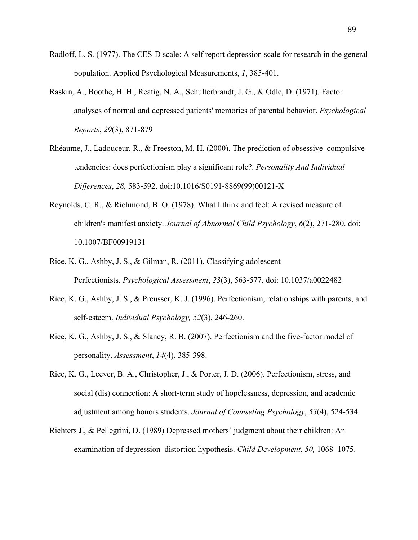- Radloff, L. S. (1977). The CES-D scale: A self report depression scale for research in the general population. Applied Psychological Measurements, *1*, 385-401.
- Raskin, A., Boothe, H. H., Reatig, N. A., Schulterbrandt, J. G., & Odle, D. (1971). Factor analyses of normal and depressed patients' memories of parental behavior. *Psychological Reports*, *29*(3), 871-879
- Rhéaume, J., Ladouceur, R., & Freeston, M. H. (2000). The prediction of obsessive–compulsive tendencies: does perfectionism play a significant role?. *Personality And Individual Differences*, *28,* 583-592. doi:10.1016/S0191-8869(99)00121-X
- Reynolds, C. R., & Richmond, B. O. (1978). What I think and feel: A revised measure of children's manifest anxiety. *Journal of Abnormal Child Psychology*, *6*(2), 271-280. doi: 10.1007/BF00919131
- Rice, K. G., Ashby, J. S., & Gilman, R. (2011). Classifying adolescent Perfectionists. *Psychological Assessment*, *23*(3), 563-577. doi: 10.1037/a0022482
- Rice, K. G., Ashby, J. S., & Preusser, K. J. (1996). Perfectionism, relationships with parents, and self-esteem. *Individual Psychology, 52*(3), 246-260.
- Rice, K. G., Ashby, J. S., & Slaney, R. B. (2007). Perfectionism and the five-factor model of personality. *Assessment*, *14*(4), 385-398.
- Rice, K. G., Leever, B. A., Christopher, J., & Porter, J. D. (2006). Perfectionism, stress, and social (dis) connection: A short-term study of hopelessness, depression, and academic adjustment among honors students. *Journal of Counseling Psychology*, *53*(4), 524-534.
- Richters J., & Pellegrini, D. (1989) Depressed mothers' judgment about their children: An examination of depression–distortion hypothesis. *Child Development*, *50,* 1068–1075.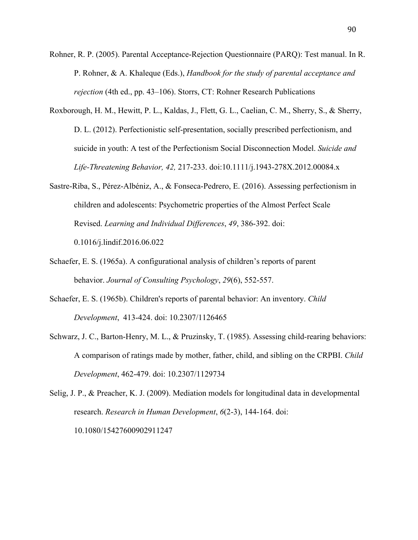- Rohner, R. P. (2005). Parental Acceptance-Rejection Questionnaire (PARQ): Test manual. In R. P. Rohner, & A. Khaleque (Eds.), *Handbook for the study of parental acceptance and rejection* (4th ed., pp. 43–106). Storrs, CT: Rohner Research Publications
- Roxborough, H. M., Hewitt, P. L., Kaldas, J., Flett, G. L., Caelian, C. M., Sherry, S., & Sherry, D. L. (2012). Perfectionistic self-presentation, socially prescribed perfectionism, and suicide in youth: A test of the Perfectionism Social Disconnection Model. *Suicide and Life-Threatening Behavior, 42,* 217-233. doi:10.1111/j.1943-278X.2012.00084.x
- Sastre-Riba, S., Pérez-Albéniz, A., & Fonseca-Pedrero, E. (2016). Assessing perfectionism in children and adolescents: Psychometric properties of the Almost Perfect Scale Revised. *Learning and Individual Differences*, *49*, 386-392. doi: 0.1016/j.lindif.2016.06.022
- Schaefer, E. S. (1965a). A configurational analysis of children's reports of parent behavior. *Journal of Consulting Psychology*, *29*(6), 552-557.
- Schaefer, E. S. (1965b). Children's reports of parental behavior: An inventory. *Child Development*, 413-424. doi: 10.2307/1126465
- Schwarz, J. C., Barton-Henry, M. L., & Pruzinsky, T. (1985). Assessing child-rearing behaviors: A comparison of ratings made by mother, father, child, and sibling on the CRPBI. *Child Development*, 462-479. doi: 10.2307/1129734

Selig, J. P., & Preacher, K. J. (2009). Mediation models for longitudinal data in developmental research. *Research in Human Development*, *6*(2-3), 144-164. doi: 10.1080/15427600902911247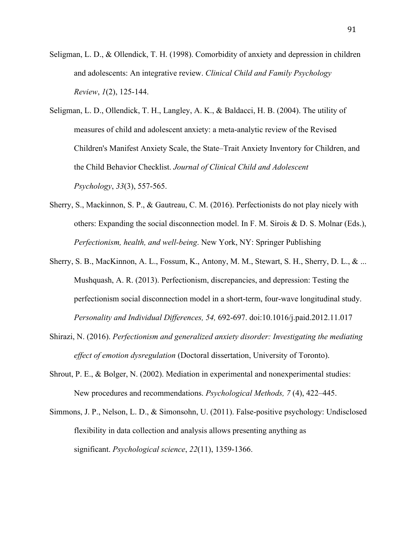- Seligman, L. D., & Ollendick, T. H. (1998). Comorbidity of anxiety and depression in children and adolescents: An integrative review. *Clinical Child and Family Psychology Review*, *1*(2), 125-144.
- Seligman, L. D., Ollendick, T. H., Langley, A. K., & Baldacci, H. B. (2004). The utility of measures of child and adolescent anxiety: a meta-analytic review of the Revised Children's Manifest Anxiety Scale, the State–Trait Anxiety Inventory for Children, and the Child Behavior Checklist. *Journal of Clinical Child and Adolescent Psychology*, *33*(3), 557-565.
- Sherry, S., Mackinnon, S. P., & Gautreau, C. M. (2016). Perfectionists do not play nicely with others: Expanding the social disconnection model. In F. M. Sirois & D. S. Molnar (Eds.), *Perfectionism, health, and well-being*. New York, NY: Springer Publishing
- Sherry, S. B., MacKinnon, A. L., Fossum, K., Antony, M. M., Stewart, S. H., Sherry, D. L., & ... Mushquash, A. R. (2013). Perfectionism, discrepancies, and depression: Testing the perfectionism social disconnection model in a short-term, four-wave longitudinal study. *Personality and Individual Differences, 54,* 692-697. doi:10.1016/j.paid.2012.11.017
- Shirazi, N. (2016). *Perfectionism and generalized anxiety disorder: Investigating the mediating effect of emotion dysregulation* (Doctoral dissertation, University of Toronto).
- Shrout, P. E., & Bolger, N. (2002). Mediation in experimental and nonexperimental studies: New procedures and recommendations. *Psychological Methods, 7* (4), 422–445.
- Simmons, J. P., Nelson, L. D., & Simonsohn, U. (2011). False-positive psychology: Undisclosed flexibility in data collection and analysis allows presenting anything as significant. *Psychological science*, *22*(11), 1359-1366.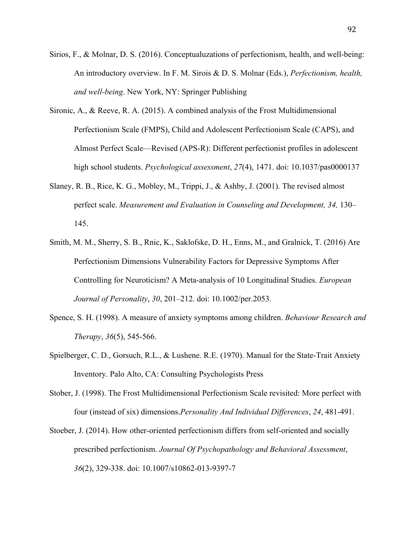- Sirios, F., & Molnar, D. S. (2016). Conceptualuzations of perfectionism, health, and well-being: An introductory overview. In F. M. Sirois & D. S. Molnar (Eds.), *Perfectionism, health, and well-being*. New York, NY: Springer Publishing
- Sironic, A., & Reeve, R. A. (2015). A combined analysis of the Frost Multidimensional Perfectionism Scale (FMPS), Child and Adolescent Perfectionism Scale (CAPS), and Almost Perfect Scale—Revised (APS-R): Different perfectionist profiles in adolescent high school students. *Psychological assessment*, *27*(4), 1471. doi: 10.1037/pas0000137
- Slaney, R. B., Rice, K. G., Mobley, M., Trippi, J., & Ashby, J. (2001). The revised almost perfect scale. *Measurement and Evaluation in Counseling and Development, 34,* 130– 145.
- Smith, M. M., Sherry, S. B., Rnic, K., Saklofske, D. H., Enns, M., and Gralnick, T. (2016) Are Perfectionism Dimensions Vulnerability Factors for Depressive Symptoms After Controlling for Neuroticism? A Meta-analysis of 10 Longitudinal Studies. *European Journal of Personality*, *30*, 201–212. doi: 10.1002/per.2053.
- Spence, S. H. (1998). A measure of anxiety symptoms among children. *Behaviour Research and Therapy*, *36*(5), 545-566.
- Spielberger, C. D., Gorsuch, R.L., & Lushene. R.E. (1970). Manual for the State-Trait Anxiety Inventory. Palo Alto, CA: Consulting Psychologists Press
- Stober, J. (1998). The Frost Multidimensional Perfectionism Scale revisited: More perfect with four (instead of six) dimensions.*Personality And Individual Differences*, *24*, 481-491.
- Stoeber, J. (2014). How other-oriented perfectionism differs from self-oriented and socially prescribed perfectionism. *Journal Of Psychopathology and Behavioral Assessment*, *36*(2), 329-338. doi: 10.1007/s10862-013-9397-7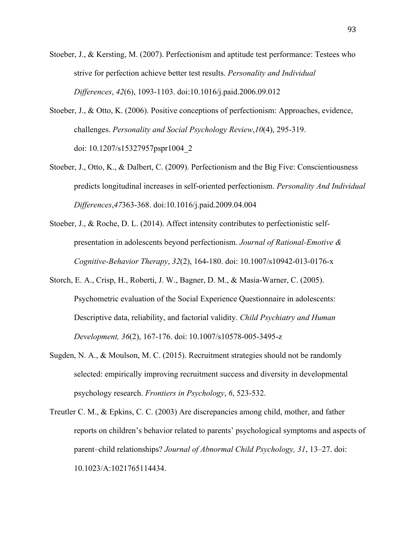- Stoeber, J., & Kersting, M. (2007). Perfectionism and aptitude test performance: Testees who strive for perfection achieve better test results. *Personality and Individual Differences*, *42*(6), 1093-1103. doi:10.1016/j.paid.2006.09.012
- Stoeber, J., & Otto, K. (2006). Positive conceptions of perfectionism: Approaches, evidence, challenges. *Personality and Social Psychology Review*,*10*(4), 295-319. doi: 10.1207/s15327957pspr1004\_2
- Stoeber, J., Otto, K., & Dalbert, C. (2009). Perfectionism and the Big Five: Conscientiousness predicts longitudinal increases in self-oriented perfectionism. *Personality And Individual Differences*,*47*363-368. doi:10.1016/j.paid.2009.04.004
- Stoeber, J., & Roche, D. L. (2014). Affect intensity contributes to perfectionistic selfpresentation in adolescents beyond perfectionism. *Journal of Rational-Emotive & Cognitive-Behavior Therapy*, *32*(2), 164-180. doi: 10.1007/s10942-013-0176-x
- Storch, E. A., Crisp, H., Roberti, J. W., Bagner, D. M., & Masia-Warner, C. (2005). Psychometric evaluation of the Social Experience Questionnaire in adolescents: Descriptive data, reliability, and factorial validity. *Child Psychiatry and Human Development, 36*(2), 167-176. doi: 10.1007/s10578-005-3495-z
- Sugden, N. A., & Moulson, M. C. (2015). Recruitment strategies should not be randomly selected: empirically improving recruitment success and diversity in developmental psychology research. *Frontiers in Psychology*, *6*, 523-532.
- Treutler C. M., & Epkins, C. C. (2003) Are discrepancies among child, mother, and father reports on children's behavior related to parents' psychological symptoms and aspects of parent–child relationships? *Journal of Abnormal Child Psychology, 31*, 13–27. doi: 10.1023/A:1021765114434.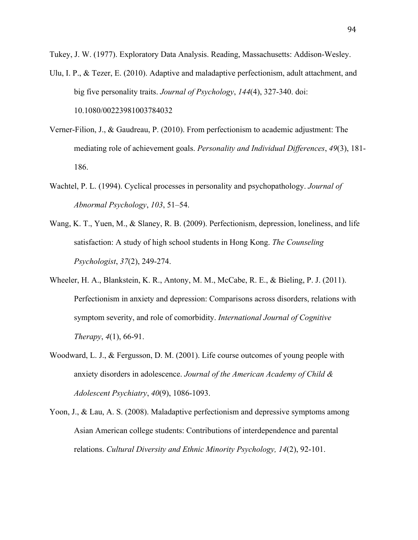Tukey, J. W. (1977). Exploratory Data Analysis. Reading, Massachusetts: Addison-Wesley.

- Ulu, I. P., & Tezer, E. (2010). Adaptive and maladaptive perfectionism, adult attachment, and big five personality traits. *Journal of Psychology*, *144*(4), 327-340. doi: 10.1080/00223981003784032
- Verner-Filion, J., & Gaudreau, P. (2010). From perfectionism to academic adjustment: The mediating role of achievement goals. *Personality and Individual Differences*, *49*(3), 181- 186.
- Wachtel, P. L. (1994). Cyclical processes in personality and psychopathology. *Journal of Abnormal Psychology*, *103*, 51–54.
- Wang, K. T., Yuen, M., & Slaney, R. B. (2009). Perfectionism, depression, loneliness, and life satisfaction: A study of high school students in Hong Kong. *The Counseling Psychologist*, *37*(2), 249-274.
- Wheeler, H. A., Blankstein, K. R., Antony, M. M., McCabe, R. E., & Bieling, P. J. (2011). Perfectionism in anxiety and depression: Comparisons across disorders, relations with symptom severity, and role of comorbidity. *International Journal of Cognitive Therapy*, *4*(1), 66-91.
- Woodward, L. J., & Fergusson, D. M. (2001). Life course outcomes of young people with anxiety disorders in adolescence. *Journal of the American Academy of Child & Adolescent Psychiatry*, *40*(9), 1086-1093.
- Yoon, J., & Lau, A. S. (2008). Maladaptive perfectionism and depressive symptoms among Asian American college students: Contributions of interdependence and parental relations. *Cultural Diversity and Ethnic Minority Psychology, 14*(2), 92-101.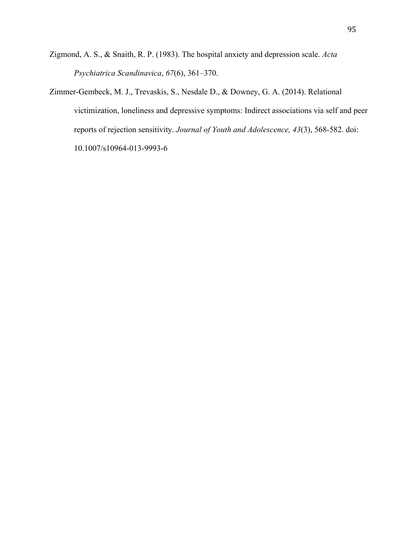- Zigmond, A. S., & Snaith, R. P. (1983). The hospital anxiety and depression scale. *Acta Psychiatrica Scandinavica*, *67*(6), 361–370.
- Zimmer-Gembeck, M. J., Trevaskis, S., Nesdale D., & Downey, G. A. (2014). Relational victimization, loneliness and depressive symptoms: Indirect associations via self and peer reports of rejection sensitivity. *Journal of Youth and Adolescence, 43*(3), 568-582. doi: 10.1007/s10964-013-9993-6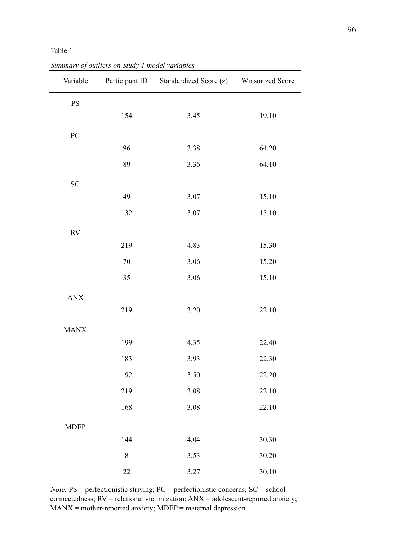## Table 1

| Variable          |           | Participant ID Standardized Score (z) Winsorized Score |       |
|-------------------|-----------|--------------------------------------------------------|-------|
| <b>PS</b>         |           |                                                        |       |
|                   | 154       | 3.45                                                   | 19.10 |
| ${\rm P}{\bf C}$  |           |                                                        |       |
|                   | 96        | 3.38                                                   | 64.20 |
|                   | 89        | 3.36                                                   | 64.10 |
| <b>SC</b>         |           |                                                        |       |
|                   | 49        | 3.07                                                   | 15.10 |
|                   | 132       | 3.07                                                   | 15.10 |
| $\mathop{\rm RV}$ |           |                                                        |       |
|                   | 219       | 4.83                                                   | 15.30 |
|                   | 70        | 3.06                                                   | 15.20 |
|                   | 35        | 3.06                                                   | 15.10 |
| $\mbox{ANX}$      |           |                                                        |       |
|                   | 219       | 3.20                                                   | 22.10 |
| <b>MANX</b>       |           |                                                        |       |
|                   | 199       | 4.35                                                   | 22.40 |
|                   | 183       | 3.93                                                   | 22.30 |
|                   | 192       | 3.50                                                   | 22.20 |
|                   | 219       | 3.08                                                   | 22.10 |
|                   | 168       | 3.08                                                   | 22.10 |
| <b>MDEP</b>       |           |                                                        |       |
|                   | 144       | 4.04                                                   | 30.30 |
|                   | $\,$ $\,$ | 3.53                                                   | 30.20 |
|                   | $22\,$    | 3.27                                                   | 30.10 |

*Summary of outliers on Study 1 model variables*

*Note.* PS = perfectionistic striving; PC = perfectionistic concerns; SC = school connectedness; RV = relational victimization; ANX = adolescent-reported anxiety;  $MANX = mother-reported$  anxiety;  $MDEP =$  maternal depression.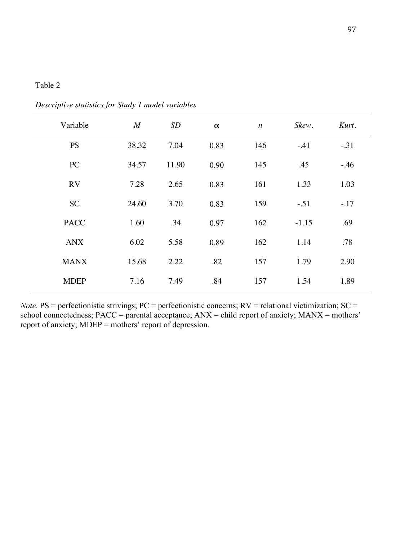| Variable    | M     | SD    | $\alpha$ | $\boldsymbol{n}$ | Skew.   | Kurt.  |
|-------------|-------|-------|----------|------------------|---------|--------|
| <b>PS</b>   | 38.32 | 7.04  | 0.83     | 146              | $-.41$  | $-31$  |
| PC          | 34.57 | 11.90 | 0.90     | 145              | .45     | $-46$  |
| <b>RV</b>   | 7.28  | 2.65  | 0.83     | 161              | 1.33    | 1.03   |
| <b>SC</b>   | 24.60 | 3.70  | 0.83     | 159              | $-.51$  | $-.17$ |
| <b>PACC</b> | 1.60  | .34   | 0.97     | 162              | $-1.15$ | .69    |
| <b>ANX</b>  | 6.02  | 5.58  | 0.89     | 162              | 1.14    | .78    |
| <b>MANX</b> | 15.68 | 2.22  | .82      | 157              | 1.79    | 2.90   |
| <b>MDEP</b> | 7.16  | 7.49  | .84      | 157              | 1.54    | 1.89   |

*Descriptive statistics for Study 1 model variables*

*Note.* PS = perfectionistic strivings; PC = perfectionistic concerns; RV = relational victimization; SC = school connectedness;  $PACC = parental acceptance$ ;  $ANX = child report of anxiety$ ;  $MANX = mothers'$ report of anxiety;  $MDEP = \text{mothers'}$  report of depression.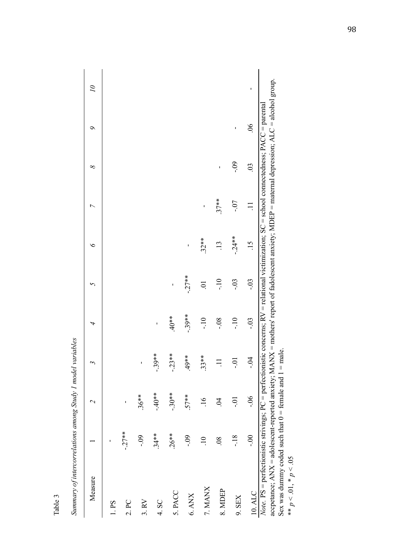| Measure                                                                                                                                                                                                                                                                                                  |                |                 |            | 4        | 5       | $\breve{\phantom{0}}$ | $\overline{ }$ | ∞              | ৹              | $\overline{\mathcal{L}}$ |
|----------------------------------------------------------------------------------------------------------------------------------------------------------------------------------------------------------------------------------------------------------------------------------------------------------|----------------|-----------------|------------|----------|---------|-----------------------|----------------|----------------|----------------|--------------------------|
| L.PS                                                                                                                                                                                                                                                                                                     |                |                 |            |          |         |                       |                |                |                |                          |
| 2. PC                                                                                                                                                                                                                                                                                                    | $-27**$        | ı               |            |          |         |                       |                |                |                |                          |
| 3. RV                                                                                                                                                                                                                                                                                                    | $\dot{60}$ .   | $.36**$         | ı          |          |         |                       |                |                |                |                          |
| 4. SC                                                                                                                                                                                                                                                                                                    | $.34**$        | $**0*$          | $-39**$    | ı        |         |                       |                |                |                |                          |
| 5. PACC                                                                                                                                                                                                                                                                                                  | $.26**$        | $-.30**$        | $-23**$    | $40*$    | ı       |                       |                |                |                |                          |
| $6.$ ANX $\,$                                                                                                                                                                                                                                                                                            | $-0.9$         | $.57**$         | $49**$     | $-.39**$ | $-27**$ | ı                     |                |                |                |                          |
| 7. MANX                                                                                                                                                                                                                                                                                                  | $\Xi$          | $\frac{91}{1}$  | $.33**$    | $-10$    | 5.      | $.32**$               | ı              |                |                |                          |
| 8. MDEP                                                                                                                                                                                                                                                                                                  | $\overline{0}$ | $\widetilde{q}$ |            | $-0.8$   | $-10$   | $\ddot{13}$           | $.37**$        | $\blacksquare$ |                |                          |
| $9.$ SEX                                                                                                                                                                                                                                                                                                 | $-18$          | ió-             | <u>ioʻ</u> | $-10$    | $-0.3$  | $-24**$               | $-0$ .         | $-0.9$         | ı              |                          |
| 10. ALC                                                                                                                                                                                                                                                                                                  | $\approx$      | 90.             | $-0.4$     | $-0.3$   | $-0.3$  | $\frac{15}{2}$        | $\Xi$          | $\overline{0}$ | $\frac{90}{5}$ | ı                        |
| accpetance; ANX = adolescent-reported anxiety; MANX = mothers' report of fadolescent anxiety; MDEP = maternal depression; ALC = alcohol group.<br><i>Note</i> . PS = perfectionistic strivings; PC = perfectionistic concerns; RV = relational victimization; SC = school connectedness; PACC = parental |                |                 |            |          |         |                       |                |                |                |                          |
| Sex was dummy coded such that $0 =$ female and 1<br>** $p < 0.01$ , * $p < 0.05$                                                                                                                                                                                                                         |                |                 | $=$ male.  |          |         |                       |                |                |                |                          |

Summary of intercorrelations among Study 1 model variables *Summary of intercorrelations among Study 1 model variables* 

Table 3

98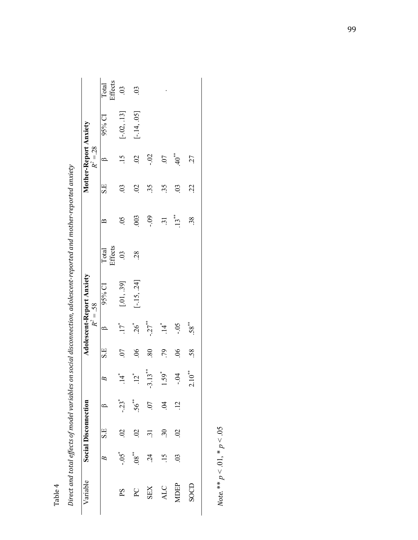|                                                                                                                      | Effects<br>Total | $\widetilde{\mathrm{C}}$ | $\overline{0}$   |                     |                           |                |             |
|----------------------------------------------------------------------------------------------------------------------|------------------|--------------------------|------------------|---------------------|---------------------------|----------------|-------------|
|                                                                                                                      | $95%$ CI         | $[-.02, .13]$            | $[-.14, .05]$    |                     |                           |                |             |
| Mother-Report Anxiety<br>$R^2 = 28$                                                                                  | ≃                |                          | $\mathcal{S}$    | <u>si</u>           | 07                        | $40^{**}$      | 27          |
| Direct and total effects of model variables on social disconnection, adolescent-reported and mother-reported anxiety | S.E              | $\mathcal{S}$            | $\mathfrak{S}$   | 35                  | 35                        | $\overline{0}$ | 22          |
|                                                                                                                      | $\approx$        | $\widetilde{S}0$ .       | 003              | $-0.9$              | $\ddot{3}$                | $.13***$       | 38          |
|                                                                                                                      | Effects<br>Total | $\ddot{\mathrm{S}}$      | 28               |                     |                           |                |             |
| <b>Adolescent-Report Anxiety</b>                                                                                     | 95% CI           | [.01, .39]               | $[-15, 24]$      |                     |                           |                |             |
| $R^2 = .58$                                                                                                          |                  | $.17$ <sup>*</sup>       | $26^{*}$         | $-27$ <sup>**</sup> | $\frac{1}{4}$             | $-0.5$         | $.58^{**}$  |
|                                                                                                                      | S.E              | 07                       | $\frac{6}{2}$    | .80                 | .79                       | $\frac{6}{2}$  | 58.         |
|                                                                                                                      | B                | 4                        | $\overline{2}^*$ | $13**$<br>ن.        | $1.59$ <sup>*</sup>       | $-0.4$         | $2.10^{**}$ |
|                                                                                                                      | $\approx$        | $-23$ <sup>*</sup>       | $56**$           |                     | $\widetilde{z}$           | $\vec{5}$      |             |
| <b>Social Disconnection</b>                                                                                          | S.E              | S                        | $\mathfrak{S}$   | 5                   | $\widetilde{\mathcal{E}}$ | $\mathcal{S}$  |             |
|                                                                                                                      | $\approx$        | - 20.-                   | $+80$ .          | $\dot{c}$           | $\frac{5}{1}$             | $\mathfrak{S}$ |             |
| Variable                                                                                                             |                  | ΡS                       | $\sum_{i=1}^{n}$ | <b>ZES</b>          | <b>ALC</b>                | MDEP           | S OCD       |

Table 4

Note. \*\*  $p < .01$ , \*  $p < .05$ *Note.* \*\*  $p < 0.01$ , \*  $p < 0.05$ 

99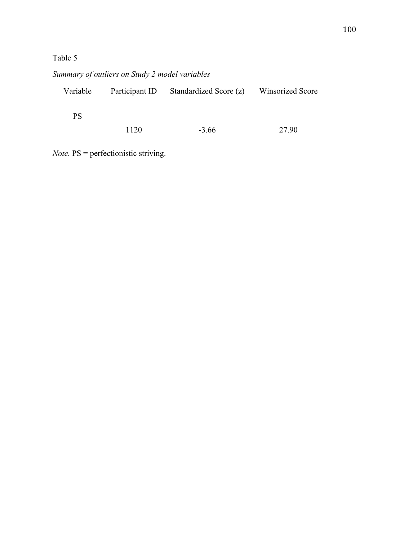# Table 5

| Variable  | Participant ID | Standardized Score (z) | <b>Winsorized Score</b> |
|-----------|----------------|------------------------|-------------------------|
| <b>PS</b> |                |                        |                         |
|           | 1120           | $-3.66$                | 27.90                   |

*Summary of outliers on Study 2 model variables*

*Note.* PS = perfectionistic striving.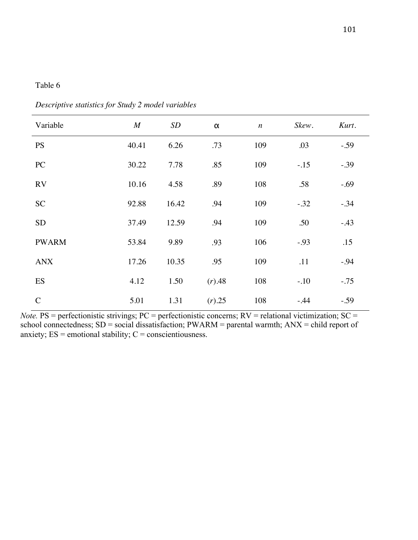| Variable      | $\boldsymbol{M}$ | SD    | $\pmb{\alpha}$ | $\boldsymbol{n}$ | Skew.  | Kurt.  |
|---------------|------------------|-------|----------------|------------------|--------|--------|
| <b>PS</b>     | 40.41            | 6.26  | .73            | 109              | .03    | $-.59$ |
| PC            | 30.22            | 7.78  | .85            | 109              | $-.15$ | $-.39$ |
| <b>RV</b>     | 10.16            | 4.58  | .89            | 108              | .58    | $-.69$ |
| <b>SC</b>     | 92.88            | 16.42 | .94            | 109              | $-.32$ | $-.34$ |
| <b>SD</b>     | 37.49            | 12.59 | .94            | 109              | .50    | $-43$  |
| <b>PWARM</b>  | 53.84            | 9.89  | .93            | 106              | $-.93$ | .15    |
| <b>ANX</b>    | 17.26            | 10.35 | .95            | 109              | .11    | $-.94$ |
| ES            | 4.12             | 1.50  | (r) .48        | 108              | $-.10$ | $-.75$ |
| $\mathcal{C}$ | 5.01             | 1.31  | $(r)$ .25      | 108              | $-.44$ | $-.59$ |

*Descriptive statistics for Study 2 model variables*

*Note.* PS = perfectionistic strivings; PC = perfectionistic concerns; RV = relational victimization; SC = school connectedness; SD = social dissatisfaction; PWARM = parental warmth; ANX = child report of anxiety;  $ES =$  emotional stability;  $C =$  conscientiousness.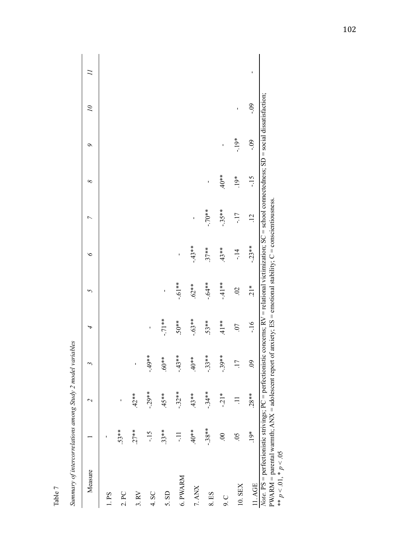| Measure                                                                                                                                                                                                                                                                                                              |                    | $\overline{\mathcal{C}}$ | 3              | 4        | $\overline{5}$ | $\breve{\phantom{0}}$ | $\overline{ }$  | ∞       | $\sigma$ | $\overline{\mathcal{L}}$ |   |
|----------------------------------------------------------------------------------------------------------------------------------------------------------------------------------------------------------------------------------------------------------------------------------------------------------------------|--------------------|--------------------------|----------------|----------|----------------|-----------------------|-----------------|---------|----------|--------------------------|---|
| 1. P <sub>S</sub>                                                                                                                                                                                                                                                                                                    | ı                  |                          |                |          |                |                       |                 |         |          |                          |   |
| 2. PC                                                                                                                                                                                                                                                                                                                | $.53**$            | ı                        |                |          |                |                       |                 |         |          |                          |   |
| 3. RV                                                                                                                                                                                                                                                                                                                | $.27**$            | $.42**$                  | ı              |          |                |                       |                 |         |          |                          |   |
| 4. SC                                                                                                                                                                                                                                                                                                                | $-15$              | $-29**$                  | $-49**$        | ı        |                |                       |                 |         |          |                          |   |
| 5. SD                                                                                                                                                                                                                                                                                                                | $.33**$            | $45**$                   | $*80.6$        | $-71**$  | ı              |                       |                 |         |          |                          |   |
| 6. PWARM                                                                                                                                                                                                                                                                                                             | Ę                  | $-32**$                  | $-43**$        | $.50**$  | $-.61**$       | ı                     |                 |         |          |                          |   |
| 7. ANX                                                                                                                                                                                                                                                                                                               | $*80*$             | $.43**$                  | $*80*$         | $-.63**$ | $.62**$        | $-43**$               | ı               |         |          |                          |   |
| 8. ES                                                                                                                                                                                                                                                                                                                | $-38**$            | $-34**$                  | $-33**$        | $.53**$  | $-64**$        | $.37**$               | $**01 -$        | ı       |          |                          |   |
| 9.0                                                                                                                                                                                                                                                                                                                  | $\odot$            | $-21*$                   | $-39**$        | $41**$   | $-41**$        | $.43**$               | $-.35***$       | $*804.$ | ı        |                          |   |
| 10. SEX                                                                                                                                                                                                                                                                                                              | $\widetilde{S}0$ . | $\Xi$                    | 17             | 0        | $\mathfrak{S}$ | $-14$                 | $-17$           | $19*$   | $-19*$   | ı                        |   |
| 11.AGE                                                                                                                                                                                                                                                                                                               | $.19*$             | $.28**$                  | $\ddot{\circ}$ | $-16$    | $\frac{1}{2}$  | $-23**$               | $\overline{12}$ | $-15$   | $-0.9$   | $-0.9$                   | ı |
| <i>Note</i> . PS = perfectionistic strivings; PC = perfectionistic concerns; RV = relational victimization; SC = school connectedness; SD = social dissatisfaction;<br>PWARM = parental warmth; ANX = adolescent report of anxiety; ES = emotional stability; C = conscientiousness.<br>** $p < 0.01$ , * $p < 0.05$ |                    |                          |                |          |                |                       |                 |         |          |                          |   |

Summary of intercorrelations among Study 2 model variables *Summary of intercorrelations among Study 2 model variables* 

Table 7

102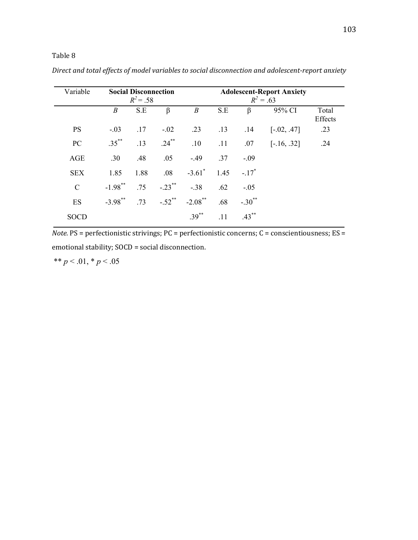## Table 8

| Variable      | <b>Social Disconnection</b><br>$R^2 = .58$ |      |           | <b>Adolescent-Report Anxiety</b><br>$R^2 = .63$ |      |                      |               |                  |
|---------------|--------------------------------------------|------|-----------|-------------------------------------------------|------|----------------------|---------------|------------------|
|               | $\boldsymbol{B}$                           | S.E  | $\beta$   | $\boldsymbol{B}$                                | S.E  | $\beta$              | 95% CI        | Total<br>Effects |
| <b>PS</b>     | $-.03$                                     | .17  | $-.02$    | .23                                             | .13  | .14                  | $[-.02, .47]$ | .23              |
| PC            | $.35***$                                   | .13  | $.24***$  | .10                                             | .11  | .07                  | $[-.16, .32]$ | .24              |
| AGE           | .30                                        | .48  | .05       | $-.49$                                          | .37  | $-.09$               |               |                  |
| <b>SEX</b>    | 1.85                                       | 1.88 | .08       | $-3.61$ <sup>*</sup>                            | 1.45 | $-.17$ <sup>*</sup>  |               |                  |
| $\mathcal{C}$ | $-1.98***$                                 | .75  | $-.23$ ** | $-.38$                                          | .62  | $-.05$               |               |                  |
| ES            | $-3.98$ **                                 | .73  | $-.52$ ** | $-2.08$ **                                      | .68  | $-.30$ <sup>**</sup> |               |                  |
| <b>SOCD</b>   |                                            |      |           | $.39***$                                        | .11  | $.43***$             |               |                  |

*Direct and total effects of model variables to social disconnection and adolescent-report anxiety*

*Note.* PS = perfectionistic strivings; PC = perfectionistic concerns; C = conscientiousness; ES = emotional stability; SOCD = social disconnection.

\*\*  $p < .01$ , \*  $p < .05$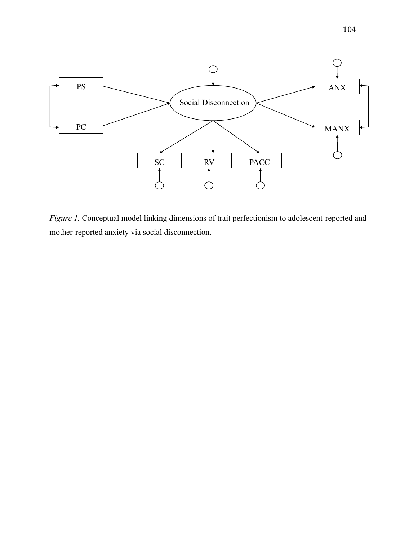

*Figure 1.* Conceptual model linking dimensions of trait perfectionism to adolescent-reported and mother-reported anxiety via social disconnection.